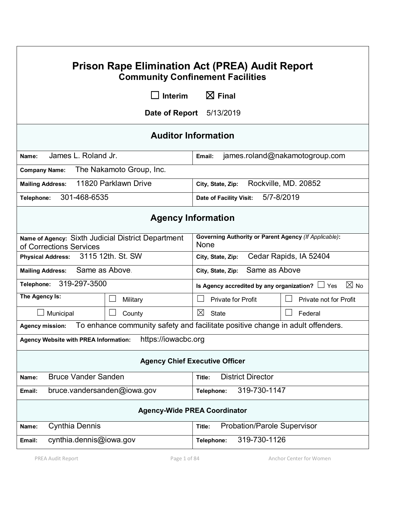| <b>Prison Rape Elimination Act (PREA) Audit Report</b><br><b>Community Confinement Facilities</b> |                                                                                |                                                                        |                           |                        |  |  |  |  |
|---------------------------------------------------------------------------------------------------|--------------------------------------------------------------------------------|------------------------------------------------------------------------|---------------------------|------------------------|--|--|--|--|
|                                                                                                   | Interim<br><b>1. I</b>                                                         | $\boxtimes$ Final                                                      |                           |                        |  |  |  |  |
| <b>Date of Report</b> 5/13/2019                                                                   |                                                                                |                                                                        |                           |                        |  |  |  |  |
| <b>Auditor Information</b>                                                                        |                                                                                |                                                                        |                           |                        |  |  |  |  |
| James L. Roland Jr.<br>Name:                                                                      |                                                                                | james.roland@nakamotogroup.com<br>Email:                               |                           |                        |  |  |  |  |
| The Nakamoto Group, Inc.<br><b>Company Name:</b>                                                  |                                                                                |                                                                        |                           |                        |  |  |  |  |
| 11820 Parklawn Drive<br><b>Mailing Address:</b>                                                   | Rockville, MD. 20852<br>City, State, Zip:                                      |                                                                        |                           |                        |  |  |  |  |
| 301-468-6535<br>Telephone:                                                                        |                                                                                | 5/7-8/2019<br>Date of Facility Visit:                                  |                           |                        |  |  |  |  |
| <b>Agency Information</b>                                                                         |                                                                                |                                                                        |                           |                        |  |  |  |  |
| Name of Agency: Sixth Judicial District Department<br>of Corrections Services                     |                                                                                | <b>Governing Authority or Parent Agency (If Applicable):</b><br>None   |                           |                        |  |  |  |  |
| 3115 12th. St. SW<br><b>Physical Address:</b>                                                     |                                                                                | Cedar Rapids, IA 52404<br>City, State, Zip:                            |                           |                        |  |  |  |  |
| Same as Above.<br><b>Mailing Address:</b>                                                         |                                                                                | Same as Above<br>City, State, Zip:                                     |                           |                        |  |  |  |  |
| 319-297-3500<br>Telephone:                                                                        |                                                                                | $\boxtimes$ No<br>Is Agency accredited by any organization? $\Box$ Yes |                           |                        |  |  |  |  |
| The Agency Is:                                                                                    | Military                                                                       |                                                                        | <b>Private for Profit</b> | Private not for Profit |  |  |  |  |
| Municipal                                                                                         | County                                                                         | ⊠<br><b>State</b>                                                      |                           | Federal                |  |  |  |  |
| <b>Agency mission:</b>                                                                            | To enhance community safety and facilitate positive change in adult offenders. |                                                                        |                           |                        |  |  |  |  |
| <b>Agency Website with PREA Information:</b>                                                      | https://iowacbc.org                                                            |                                                                        |                           |                        |  |  |  |  |
| <b>Agency Chief Executive Officer</b>                                                             |                                                                                |                                                                        |                           |                        |  |  |  |  |
| <b>Bruce Vander Sanden</b><br>Name:                                                               |                                                                                | <b>District Director</b><br>Title:                                     |                           |                        |  |  |  |  |
| bruce.vandersanden@iowa.gov<br>Email:                                                             |                                                                                | 319-730-1147<br>Telephone:                                             |                           |                        |  |  |  |  |
| <b>Agency-Wide PREA Coordinator</b>                                                               |                                                                                |                                                                        |                           |                        |  |  |  |  |
| <b>Cynthia Dennis</b><br>Name:                                                                    | <b>Probation/Parole Supervisor</b><br>Title:                                   |                                                                        |                           |                        |  |  |  |  |
| cynthia.dennis@iowa.gov<br>Email:                                                                 |                                                                                | Telephone:                                                             | 319-730-1126              |                        |  |  |  |  |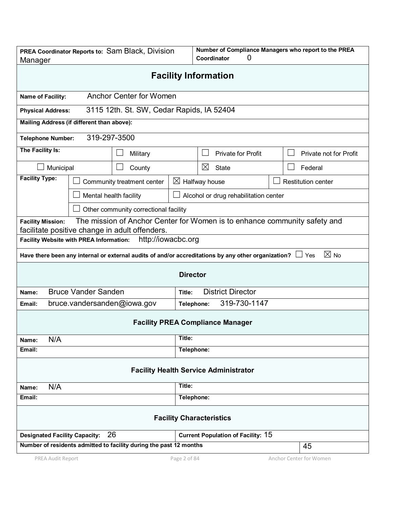| PREA Coordinator Reports to: Sam Black, Division<br>Manager                                                                                             |                                                                                                                                     |                                       |              | Number of Compliance Managers who report to the PREA<br>Coordinator<br>0 |  |                           |  |  |
|---------------------------------------------------------------------------------------------------------------------------------------------------------|-------------------------------------------------------------------------------------------------------------------------------------|---------------------------------------|--------------|--------------------------------------------------------------------------|--|---------------------------|--|--|
| <b>Facility Information</b>                                                                                                                             |                                                                                                                                     |                                       |              |                                                                          |  |                           |  |  |
| <b>Anchor Center for Women</b><br>Name of Facility:                                                                                                     |                                                                                                                                     |                                       |              |                                                                          |  |                           |  |  |
| 3115 12th. St. SW, Cedar Rapids, IA 52404<br><b>Physical Address:</b>                                                                                   |                                                                                                                                     |                                       |              |                                                                          |  |                           |  |  |
| Mailing Address (if different than above):                                                                                                              |                                                                                                                                     |                                       |              |                                                                          |  |                           |  |  |
| 319-297-3500<br><b>Telephone Number:</b>                                                                                                                |                                                                                                                                     |                                       |              |                                                                          |  |                           |  |  |
| The Facility Is:                                                                                                                                        |                                                                                                                                     | Military                              |              | <b>Private for Profit</b>                                                |  | Private not for Profit    |  |  |
| Municipal                                                                                                                                               |                                                                                                                                     | County                                |              | ⊠<br><b>State</b>                                                        |  | Federal                   |  |  |
| <b>Facility Type:</b>                                                                                                                                   |                                                                                                                                     | Community treatment center            |              | $\boxtimes$ Halfway house                                                |  | <b>Restitution center</b> |  |  |
|                                                                                                                                                         |                                                                                                                                     | Mental health facility                |              | Alcohol or drug rehabilitation center                                    |  |                           |  |  |
|                                                                                                                                                         |                                                                                                                                     | Other community correctional facility |              |                                                                          |  |                           |  |  |
| The mission of Anchor Center for Women is to enhance community safety and<br><b>Facility Mission:</b><br>facilitate positive change in adult offenders. |                                                                                                                                     |                                       |              |                                                                          |  |                           |  |  |
| http://iowacbc.org<br><b>Facility Website with PREA Information:</b>                                                                                    |                                                                                                                                     |                                       |              |                                                                          |  |                           |  |  |
|                                                                                                                                                         | $\boxtimes$ No<br>Have there been any internal or external audits of and/or accreditations by any other organization?<br>$\Box$ Yes |                                       |              |                                                                          |  |                           |  |  |
| <b>Director</b>                                                                                                                                         |                                                                                                                                     |                                       |              |                                                                          |  |                           |  |  |
| Name:                                                                                                                                                   | <b>Bruce Vander Sanden</b>                                                                                                          |                                       | Title:       | <b>District Director</b>                                                 |  |                           |  |  |
| Email:                                                                                                                                                  |                                                                                                                                     | bruce.vandersanden@iowa.gov           |              | 319-730-1147<br>Telephone:                                               |  |                           |  |  |
|                                                                                                                                                         |                                                                                                                                     |                                       |              | <b>Facility PREA Compliance Manager</b>                                  |  |                           |  |  |
| N/A<br>Name:                                                                                                                                            |                                                                                                                                     |                                       | Title:       |                                                                          |  |                           |  |  |
| Email:                                                                                                                                                  |                                                                                                                                     |                                       | Telephone:   |                                                                          |  |                           |  |  |
| <b>Facility Health Service Administrator</b>                                                                                                            |                                                                                                                                     |                                       |              |                                                                          |  |                           |  |  |
| N/A<br>Name:                                                                                                                                            |                                                                                                                                     |                                       | Title:       |                                                                          |  |                           |  |  |
| Email:                                                                                                                                                  |                                                                                                                                     |                                       | Telephone:   |                                                                          |  |                           |  |  |
| <b>Facility Characteristics</b>                                                                                                                         |                                                                                                                                     |                                       |              |                                                                          |  |                           |  |  |
| 26<br><b>Designated Facility Capacity:</b>                                                                                                              |                                                                                                                                     |                                       |              | <b>Current Population of Facility: 15</b>                                |  |                           |  |  |
| Number of residents admitted to facility during the past 12 months                                                                                      |                                                                                                                                     |                                       | 45           |                                                                          |  |                           |  |  |
| PREA Audit Report                                                                                                                                       |                                                                                                                                     |                                       | Page 2 of 84 |                                                                          |  | Anchor Center for Women   |  |  |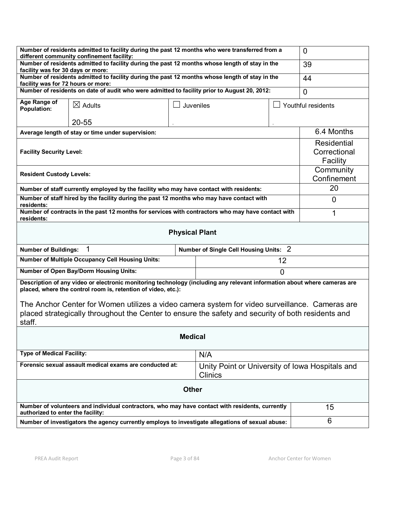| Number of residents admitted to facility during the past 12 months who were transferred from a                                                                                                       |          |                    |  |  |  |  |
|------------------------------------------------------------------------------------------------------------------------------------------------------------------------------------------------------|----------|--------------------|--|--|--|--|
|                                                                                                                                                                                                      |          | $\overline{0}$     |  |  |  |  |
| different community confinement facility:<br>Number of residents admitted to facility during the past 12 months whose length of stay in the<br>facility was for 30 days or more:                     |          |                    |  |  |  |  |
| Number of residents admitted to facility during the past 12 months whose length of stay in the<br>facility was for 72 hours or more:                                                                 |          |                    |  |  |  |  |
| Number of residents on date of audit who were admitted to facility prior to August 20, 2012:<br>Age Range of                                                                                         |          |                    |  |  |  |  |
| Juveniles                                                                                                                                                                                            |          | Youthful residents |  |  |  |  |
|                                                                                                                                                                                                      |          |                    |  |  |  |  |
| Average length of stay or time under supervision:                                                                                                                                                    |          |                    |  |  |  |  |
| <b>Facility Security Level:</b>                                                                                                                                                                      |          |                    |  |  |  |  |
| <b>Resident Custody Levels:</b>                                                                                                                                                                      |          |                    |  |  |  |  |
| Number of staff currently employed by the facility who may have contact with residents:                                                                                                              |          | 20                 |  |  |  |  |
| Number of staff hired by the facility during the past 12 months who may have contact with<br>residents:                                                                                              |          |                    |  |  |  |  |
| Number of contracts in the past 12 months for services with contractors who may have contact with<br>residents:                                                                                      |          |                    |  |  |  |  |
| <b>Physical Plant</b>                                                                                                                                                                                |          |                    |  |  |  |  |
|                                                                                                                                                                                                      |          |                    |  |  |  |  |
| Number of Single Cell Housing Units: 2                                                                                                                                                               |          |                    |  |  |  |  |
|                                                                                                                                                                                                      | 12       |                    |  |  |  |  |
|                                                                                                                                                                                                      | $\Omega$ |                    |  |  |  |  |
| Description of any video or electronic monitoring technology (including any relevant information about where cameras are                                                                             |          |                    |  |  |  |  |
| The Anchor Center for Women utilizes a video camera system for video surveillance. Cameras are<br>placed strategically throughout the Center to ensure the safety and security of both residents and |          |                    |  |  |  |  |
| <b>Medical</b>                                                                                                                                                                                       |          |                    |  |  |  |  |
| N/A                                                                                                                                                                                                  |          |                    |  |  |  |  |
| Unity Point or University of Iowa Hospitals and<br><b>Clinics</b>                                                                                                                                    |          |                    |  |  |  |  |
| <b>Other</b>                                                                                                                                                                                         |          |                    |  |  |  |  |
| Number of volunteers and individual contractors, who may have contact with residents, currently                                                                                                      |          | 15                 |  |  |  |  |
|                                                                                                                                                                                                      |          |                    |  |  |  |  |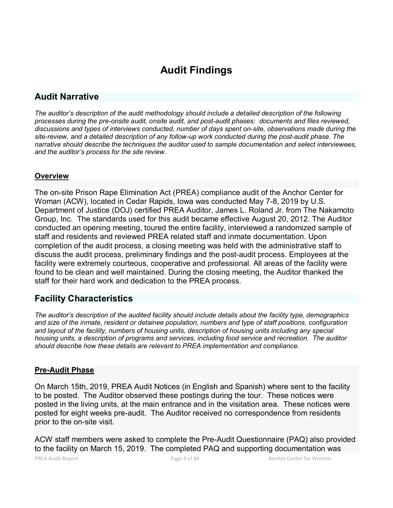# **Audit Findings**

# **Audit Narrative**

*The auditor's description of the audit methodology should include a detailed description of the following processes during the pre-onsite audit, onsite audit, and post-audit phases: documents and files reviewed, discussions and types of interviews conducted, number of days spent on-site, observations made during the site-review, and a detailed description of any follow-up work conducted during the post-audit phase. The narrative should describe the techniques the auditor used to sample documentation and select interviewees, and the auditor's process for the site review.*

## **Overview**

The on-site Prison Rape Elimination Act (PREA) compliance audit of the Anchor Center for Woman (ACW), located in Cedar Rapids, Iowa was conducted May 7-8, 2019 by U.S. Department of Justice (DOJ) certified PREA Auditor, James L. Roland Jr. from The Nakamoto Group, Inc. The standards used for this audit became effective August 20, 2012. The Auditor conducted an opening meeting, toured the entire facility, interviewed a randomized sample of staff and residents and reviewed PREA related staff and inmate documentation. Upon completion of the audit process, a closing meeting was held with the administrative staff to discuss the audit process, preliminary findings and the post-audit process. Employees at the facility were extremely courteous, cooperative and professional. All areas of the facility were found to be clean and well maintained. During the closing meeting, the Auditor thanked the staff for their hard work and dedication to the PREA process.

## **Facility Characteristics**

*The auditor's description of the audited facility should include details about the facility type, demographics and size of the inmate, resident or detainee population, numbers and type of staff positions, configuration and layout of the facility, numbers of housing units, description of housing units including any special housing units, a description of programs and services, including food service and recreation. The auditor should describe how these details are relevant to PREA implementation and compliance.*

## **Pre-Audit Phase**

On March 15th, 2019, PREA Audit Notices (in English and Spanish) where sent to the facility to be posted. The Auditor observed these postings during the tour. These notices were posted in the living units, at the main entrance and in the visitation area. These notices were posted for eight weeks pre-audit. The Auditor received no correspondence from residents prior to the on-site visit.

ACW staff members were asked to complete the Pre-Audit Questionnaire (PAQ) also provided to the facility on March 15, 2019. The completed PAQ and supporting documentation was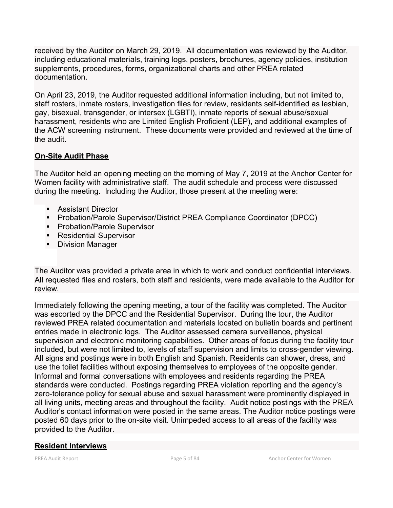received by the Auditor on March 29, 2019. All documentation was reviewed by the Auditor, including educational materials, training logs, posters, brochures, agency policies, institution supplements, procedures, forms, organizational charts and other PREA related documentation.

On April 23, 2019, the Auditor requested additional information including, but not limited to, staff rosters, inmate rosters, investigation files for review, residents self-identified as lesbian, gay, bisexual, transgender, or intersex (LGBTI), inmate reports of sexual abuse/sexual harassment, residents who are Limited English Proficient (LEP), and additional examples of the ACW screening instrument. These documents were provided and reviewed at the time of the audit.

## **On-Site Audit Phase**

The Auditor held an opening meeting on the morning of May 7, 2019 at the Anchor Center for Women facility with administrative staff. The audit schedule and process were discussed during the meeting. Including the Auditor, those present at the meeting were:

- **Assistant Director**
- **Probation/Parole Supervisor/District PREA Compliance Coordinator (DPCC)**
- **Probation/Parole Supervisor**
- **Residential Supervisor**
- **Division Manager**

The Auditor was provided a private area in which to work and conduct confidential interviews. All requested files and rosters, both staff and residents, were made available to the Auditor for review.

Immediately following the opening meeting, a tour of the facility was completed. The Auditor was escorted by the DPCC and the Residential Supervisor. During the tour, the Auditor reviewed PREA related documentation and materials located on bulletin boards and pertinent entries made in electronic logs. The Auditor assessed camera surveillance, physical supervision and electronic monitoring capabilities. Other areas of focus during the facility tour included, but were not limited to, levels of staff supervision and limits to cross-gender viewing. All signs and postings were in both English and Spanish. Residents can shower, dress, and use the toilet facilities without exposing themselves to employees of the opposite gender. Informal and formal conversations with employees and residents regarding the PREA standards were conducted. Postings regarding PREA violation reporting and the agency's zero-tolerance policy for sexual abuse and sexual harassment were prominently displayed in all living units, meeting areas and throughout the facility. Audit notice postings with the PREA Auditor's contact information were posted in the same areas. The Auditor notice postings were posted 60 days prior to the on-site visit. Unimpeded access to all areas of the facility was provided to the Auditor.

## **Resident Interviews**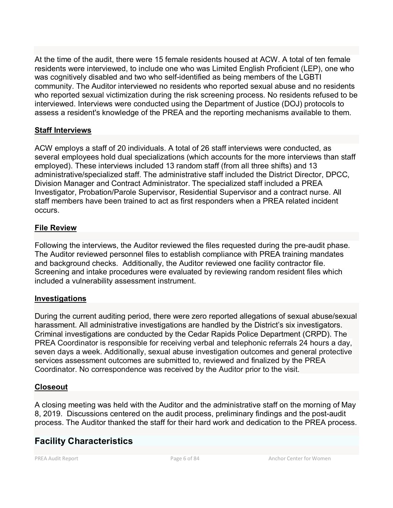At the time of the audit, there were 15 female residents housed at ACW. A total of ten female residents were interviewed, to include one who was Limited English Proficient (LEP), one who was cognitively disabled and two who self-identified as being members of the LGBTI community. The Auditor interviewed no residents who reported sexual abuse and no residents who reported sexual victimization during the risk screening process. No residents refused to be interviewed. Interviews were conducted using the Department of Justice (DOJ) protocols to assess a resident's knowledge of the PREA and the reporting mechanisms available to them.

## **Staff Interviews**

ACW employs a staff of 20 individuals. A total of 26 staff interviews were conducted, as several employees hold dual specializations (which accounts for the more interviews than staff employed). These interviews included 13 random staff (from all three shifts) and 13 administrative/specialized staff. The administrative staff included the District Director, DPCC, Division Manager and Contract Administrator. The specialized staff included a PREA Investigator, Probation/Parole Supervisor, Residential Supervisor and a contract nurse. All staff members have been trained to act as first responders when a PREA related incident occurs.

## **File Review**

Following the interviews, the Auditor reviewed the files requested during the pre-audit phase. The Auditor reviewed personnel files to establish compliance with PREA training mandates and background checks. Additionally, the Auditor reviewed one facility contractor file. Screening and intake procedures were evaluated by reviewing random resident files which included a vulnerability assessment instrument.

## **Investigations**

During the current auditing period, there were zero reported allegations of sexual abuse/sexual harassment. All administrative investigations are handled by the District's six investigators. Criminal investigations are conducted by the Cedar Rapids Police Department (CRPD). The PREA Coordinator is responsible for receiving verbal and telephonic referrals 24 hours a day, seven days a week. Additionally, sexual abuse investigation outcomes and general protective services assessment outcomes are submitted to, reviewed and finalized by the PREA Coordinator. No correspondence was received by the Auditor prior to the visit.

## **Closeout**

A closing meeting was held with the Auditor and the administrative staff on the morning of May 8, 2019. Discussions centered on the audit process, preliminary findings and the post-audit process. The Auditor thanked the staff for their hard work and dedication to the PREA process.

# **Facility Characteristics**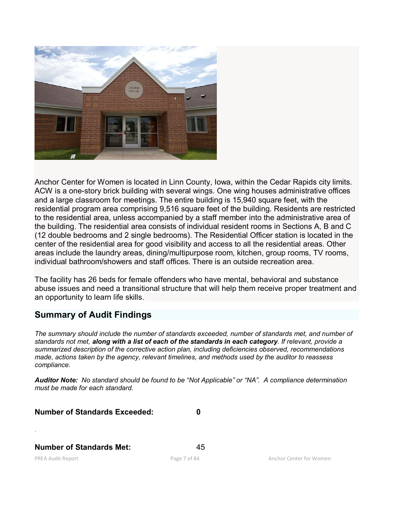

Anchor Center for Women is located in Linn County, Iowa, within the Cedar Rapids city limits. ACW is a one-story brick building with several wings. One wing houses administrative offices and a large classroom for meetings. The entire building is 15,940 square feet, with the residential program area comprising 9,516 square feet of the building. Residents are restricted to the residential area, unless accompanied by a staff member into the administrative area of the building. The residential area consists of individual resident rooms in Sections A, B and C (12 double bedrooms and 2 single bedrooms). The Residential Officer station is located in the center of the residential area for good visibility and access to all the residential areas. Other areas include the laundry areas, dining/multipurpose room, kitchen, group rooms, TV rooms, individual bathroom/showers and staff offices. There is an outside recreation area.

The facility has 26 beds for female offenders who have mental, behavioral and substance abuse issues and need a transitional structure that will help them receive proper treatment and an opportunity to learn life skills.

# **Summary of Audit Findings**

*The summary should include the number of standards exceeded, number of standards met, and number of standards not met, along with a list of each of the standards in each category. If relevant, provide a summarized description of the corrective action plan, including deficiencies observed, recommendations made, actions taken by the agency, relevant timelines, and methods used by the auditor to reassess compliance.*

*Auditor Note: No standard should be found to be "Not Applicable" or "NA". A compliance determination must be made for each standard.*

**Number of Standards Exceeded: 0**

**Number of Standards Met:** 45

.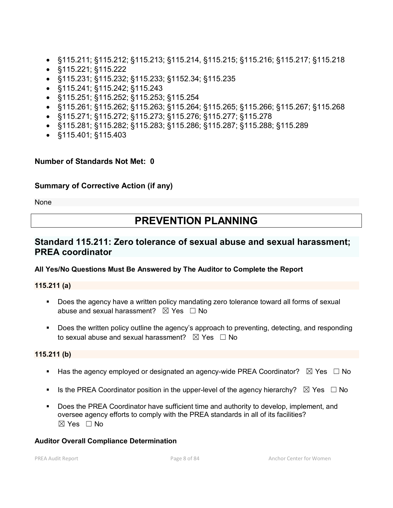- §115.211; §115.212; §115.213; §115.214, §115.215; §115.216; §115.217; §115.218
- §115.221; §115.222
- §115.231; §115.232; §115.233; §1152.34; §115.235
- §115.241; §115.242; §115.243
- §115.251; §115.252; §115.253; §115.254
- §115.261; §115.262; §115.263; §115.264; §115.265; §115.266; §115.267; §115.268
- §115.271; §115.272; §115.273; §115.276; §115.277; §115.278
- §115.281; §115.282; §115.283; §115.286; §115.287; §115.288; §115.289
- §115.401; §115.403

## **Number of Standards Not Met: 0**

## **Summary of Corrective Action (if any)**

None

# **PREVENTION PLANNING**

# **Standard 115.211: Zero tolerance of sexual abuse and sexual harassment; PREA coordinator**

## **All Yes/No Questions Must Be Answered by The Auditor to Complete the Report**

**115.211 (a)**

- Does the agency have a written policy mandating zero tolerance toward all forms of sexual abuse and sexual harassment?  $\boxtimes$  Yes  $\Box$  No
- **Does the written policy outline the agency's approach to preventing, detecting, and responding** to sexual abuse and sexual harassment?  $\boxtimes$  Yes  $\Box$  No

**115.211 (b)**

- Has the agency employed or designated an agency-wide PREA Coordinator?  $\boxtimes$  Yes  $\Box$  No
- Is the PREA Coordinator position in the upper-level of the agency hierarchy?  $\boxtimes$  Yes  $\Box$  No
- Does the PREA Coordinator have sufficient time and authority to develop, implement, and oversee agency efforts to comply with the PREA standards in all of its facilities? ☒ Yes ☐ No

#### **Auditor Overall Compliance Determination**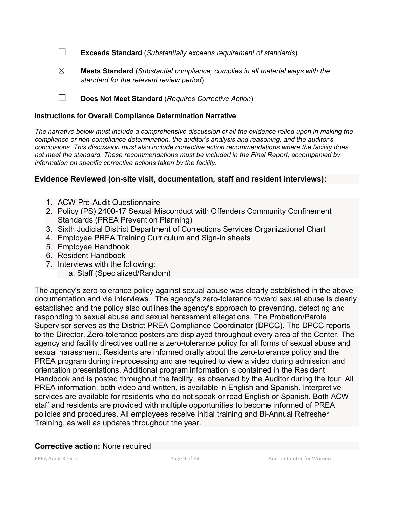☐ **Exceeds Standard** (*Substantially exceeds requirement of standards*)

☒ **Meets Standard** (*Substantial compliance; complies in all material ways with the standard for the relevant review period*)

☐ **Does Not Meet Standard** (*Requires Corrective Action*)

#### **Instructions for Overall Compliance Determination Narrative**

*The narrative below must include a comprehensive discussion of all the evidence relied upon in making the compliance or non-compliance determination, the auditor's analysis and reasoning, and the auditor's conclusions. This discussion must also include corrective action recommendations where the facility does not meet the standard. These recommendations must be included in the Final Report, accompanied by information on specific corrective actions taken by the facility.*

#### **Evidence Reviewed (on-site visit, documentation, staff and resident interviews):**

- 1. ACW Pre-Audit Questionnaire
- 2. Policy (PS) 2400-17 Sexual Misconduct with Offenders Community Confinement Standards (PREA Prevention Planning)
- 3. Sixth Judicial District Department of Corrections Services Organizational Chart
- 4. Employee PREA Training Curriculum and Sign-in sheets
- 5. Employee Handbook
- 6. Resident Handbook
- 7. Interviews with the following:
	- a. Staff (Specialized/Random)

The agency's zero-tolerance policy against sexual abuse was clearly established in the above documentation and via interviews. The agency's zero-tolerance toward sexual abuse is clearly established and the policy also outlines the agency's approach to preventing, detecting and responding to sexual abuse and sexual harassment allegations. The Probation/Parole Supervisor serves as the District PREA Compliance Coordinator (DPCC). The DPCC reports to the Director. Zero-tolerance posters are displayed throughout every area of the Center. The agency and facility directives outline a zero-tolerance policy for all forms of sexual abuse and sexual harassment. Residents are informed orally about the zero-tolerance policy and the PREA program during in-processing and are required to view a video during admission and orientation presentations. Additional program information is contained in the Resident Handbook and is posted throughout the facility, as observed by the Auditor during the tour. All PREA information, both video and written, is available in English and Spanish. Interpretive services are available for residents who do not speak or read English or Spanish. Both ACW staff and residents are provided with multiple opportunities to become informed of PREA policies and procedures. All employees receive initial training and Bi-Annual Refresher Training, as well as updates throughout the year.

#### **Corrective action:** None required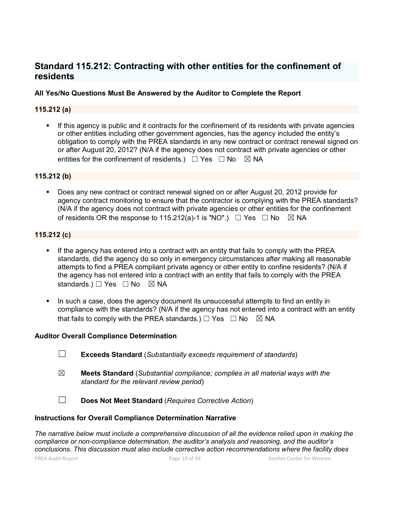# **Standard 115.212: Contracting with other entities for the confinement of residents**

## **All Yes/No Questions Must Be Answered by the Auditor to Complete the Report**

## **115.212 (a)**

If this agency is public and it contracts for the confinement of its residents with private agencies or other entities including other government agencies, has the agency included the entity's obligation to comply with the PREA standards in any new contract or contract renewal signed on or after August 20, 2012? (N/A if the agency does not contract with private agencies or other entities for the confinement of residents.)  $\Box$  Yes  $\Box$  No  $\boxtimes$  NA

#### **115.212 (b)**

 Does any new contract or contract renewal signed on or after August 20, 2012 provide for agency contract monitoring to ensure that the contractor is complying with the PREA standards? (N/A if the agency does not contract with private agencies or other entities for the confinement of residents OR the response to 115.212(a)-1 is "NO".)  $\Box$  Yes  $\Box$  No  $\boxtimes$  NA

#### **115.212 (c)**

- If the agency has entered into a contract with an entity that fails to comply with the PREA standards, did the agency do so only in emergency circumstances after making all reasonable attempts to find a PREA compliant private agency or other entity to confine residents? (N/A if the agency has not entered into a contract with an entity that fails to comply with the PREA standards.)  $\Box$  Yes  $\Box$  No  $\boxtimes$  NA
- In such a case, does the agency document its unsuccessful attempts to find an entity in compliance with the standards? (N/A if the agency has not entered into a contract with an entity that fails to comply with the PREA standards.)  $\Box$  Yes  $\Box$  No  $\boxtimes$  NA

#### **Auditor Overall Compliance Determination**

- ☐ **Exceeds Standard** (*Substantially exceeds requirement of standards*)
- ☒ **Meets Standard** (*Substantial compliance; complies in all material ways with the standard for the relevant review period*)
- ☐ **Does Not Meet Standard** (*Requires Corrective Action*)

#### **Instructions for Overall Compliance Determination Narrative**

*The narrative below must include a comprehensive discussion of all the evidence relied upon in making the compliance or non-compliance determination, the auditor's analysis and reasoning, and the auditor's conclusions. This discussion must also include corrective action recommendations where the facility does*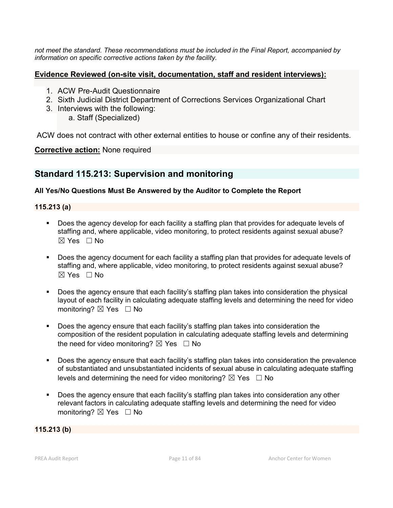*not meet the standard. These recommendations must be included in the Final Report, accompanied by information on specific corrective actions taken by the facility.*

## **Evidence Reviewed (on-site visit, documentation, staff and resident interviews):**

- 1. ACW Pre-Audit Questionnaire
- 2. Sixth Judicial District Department of Corrections Services Organizational Chart
- 3. Interviews with the following: a. Staff (Specialized)

ACW does not contract with other external entities to house or confine any of their residents.

**Corrective action:** None required

# **Standard 115.213: Supervision and monitoring**

## **All Yes/No Questions Must Be Answered by the Auditor to Complete the Report**

**115.213 (a)**

- Does the agency develop for each facility a staffing plan that provides for adequate levels of staffing and, where applicable, video monitoring, to protect residents against sexual abuse?  $\boxtimes$  Yes  $\Box$  No
- Does the agency document for each facility a staffing plan that provides for adequate levels of staffing and, where applicable, video monitoring, to protect residents against sexual abuse?  $\boxtimes$  Yes  $\Box$  No
- **Does the agency ensure that each facility's staffing plan takes into consideration the physical** layout of each facility in calculating adequate staffing levels and determining the need for video monitoring? **⊠** Yes □ No
- Does the agency ensure that each facility's staffing plan takes into consideration the composition of the resident population in calculating adequate staffing levels and determining the need for video monitoring?  $\boxtimes$  Yes  $\Box$  No
- Does the agency ensure that each facility's staffing plan takes into consideration the prevalence of substantiated and unsubstantiated incidents of sexual abuse in calculating adequate staffing levels and determining the need for video monitoring?  $\boxtimes$  Yes  $\Box$  No
- **Does the agency ensure that each facility's staffing plan takes into consideration any other** relevant factors in calculating adequate staffing levels and determining the need for video monitoring?  $\boxtimes$  Yes  $\Box$  No

#### **115.213 (b)**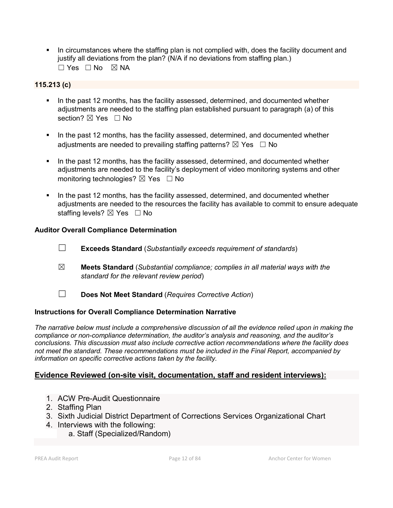In circumstances where the staffing plan is not complied with, does the facility document and justify all deviations from the plan? (N/A if no deviations from staffing plan.)  $\square$  Yes  $\square$  No  $\square$  NA

## **115.213 (c)**

- In the past 12 months, has the facility assessed, determined, and documented whether adjustments are needed to the staffing plan established pursuant to paragraph (a) of this section?  $\boxtimes$  Yes  $\Box$  No
- In the past 12 months, has the facility assessed, determined, and documented whether adjustments are needed to prevailing staffing patterns?  $\boxtimes$  Yes  $\Box$  No
- In the past 12 months, has the facility assessed, determined, and documented whether adjustments are needed to the facility's deployment of video monitoring systems and other monitoring technologies?  $\boxtimes$  Yes  $\Box$  No
- In the past 12 months, has the facility assessed, determined, and documented whether adjustments are needed to the resources the facility has available to commit to ensure adequate staffing levels? ⊠ Yes □ No

## **Auditor Overall Compliance Determination**

- ☐ **Exceeds Standard** (*Substantially exceeds requirement of standards*)
- ☒ **Meets Standard** (*Substantial compliance; complies in all material ways with the standard for the relevant review period*)
- ☐ **Does Not Meet Standard** (*Requires Corrective Action*)

## **Instructions for Overall Compliance Determination Narrative**

*The narrative below must include a comprehensive discussion of all the evidence relied upon in making the compliance or non-compliance determination, the auditor's analysis and reasoning, and the auditor's conclusions. This discussion must also include corrective action recommendations where the facility does not meet the standard. These recommendations must be included in the Final Report, accompanied by information on specific corrective actions taken by the facility.*

## **Evidence Reviewed (on-site visit, documentation, staff and resident interviews):**

- 1. ACW Pre-Audit Questionnaire
- 2. Staffing Plan
- 3. Sixth Judicial District Department of Corrections Services Organizational Chart
- 4. Interviews with the following:
	- a. Staff (Specialized/Random)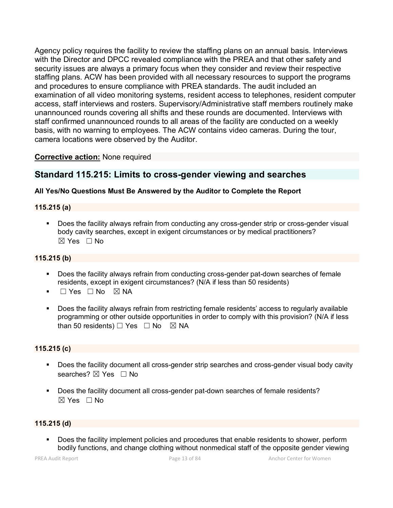Agency policy requires the facility to review the staffing plans on an annual basis. Interviews with the Director and DPCC revealed compliance with the PREA and that other safety and security issues are always a primary focus when they consider and review their respective staffing plans. ACW has been provided with all necessary resources to support the programs and procedures to ensure compliance with PREA standards. The audit included an examination of all video monitoring systems, resident access to telephones, resident computer access, staff interviews and rosters. Supervisory/Administrative staff members routinely make unannounced rounds covering all shifts and these rounds are documented. Interviews with staff confirmed unannounced rounds to all areas of the facility are conducted on a weekly basis, with no warning to employees. The ACW contains video cameras. During the tour, camera locations were observed by the Auditor.

## **Corrective action:** None required

# **Standard 115.215: Limits to cross-gender viewing and searches**

#### **All Yes/No Questions Must Be Answered by the Auditor to Complete the Report**

#### **115.215 (a)**

 Does the facility always refrain from conducting any cross-gender strip or cross-gender visual body cavity searches, except in exigent circumstances or by medical practitioners?  $\boxtimes$  Yes  $\Box$  No

#### **115.215 (b)**

- Does the facility always refrain from conducting cross-gender pat-down searches of female residents, except in exigent circumstances? (N/A if less than 50 residents)
- ☐ Yes ☐ No ☒ NA
- Does the facility always refrain from restricting female residents' access to regularly available programming or other outside opportunities in order to comply with this provision? (N/A if less than 50 residents)  $\Box$  Yes  $\Box$  No  $\boxtimes$  NA

#### **115.215 (c)**

- **Does the facility document all cross-gender strip searches and cross-gender visual body cavity** searches? **⊠** Yes □ No
- **Does the facility document all cross-gender pat-down searches of female residents?**  $\boxtimes$  Yes  $\Box$  No

#### **115.215 (d)**

 Does the facility implement policies and procedures that enable residents to shower, perform bodily functions, and change clothing without nonmedical staff of the opposite gender viewing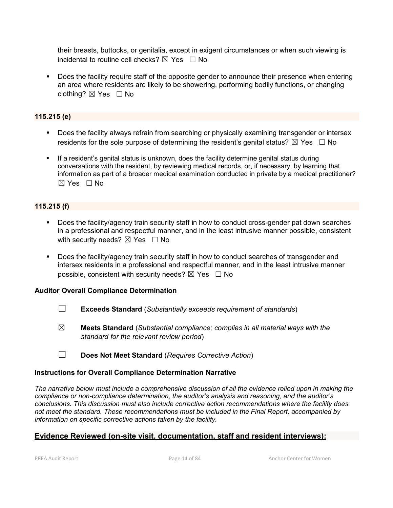their breasts, buttocks, or genitalia, except in exigent circumstances or when such viewing is incidental to routine cell checks?  $\boxtimes$  Yes  $\Box$  No

**Does the facility require staff of the opposite gender to announce their presence when entering** an area where residents are likely to be showering, performing bodily functions, or changing clothing?  $\boxtimes$  Yes  $\Box$  No

## **115.215 (e)**

- Does the facility always refrain from searching or physically examining transgender or intersex residents for the sole purpose of determining the resident's genital status?  $\boxtimes$  Yes  $\Box$  No
- If a resident's genital status is unknown, does the facility determine genital status during conversations with the resident, by reviewing medical records, or, if necessary, by learning that information as part of a broader medical examination conducted in private by a medical practitioner?  $\boxtimes$  Yes  $\Box$  No

## **115.215 (f)**

- Does the facility/agency train security staff in how to conduct cross-gender pat down searches in a professional and respectful manner, and in the least intrusive manner possible, consistent with security needs?  $\boxtimes$  Yes  $\Box$  No
- Does the facility/agency train security staff in how to conduct searches of transgender and intersex residents in a professional and respectful manner, and in the least intrusive manner possible, consistent with security needs?  $\boxtimes$  Yes  $\Box$  No

#### **Auditor Overall Compliance Determination**

- ☐ **Exceeds Standard** (*Substantially exceeds requirement of standards*)
- ☒ **Meets Standard** (*Substantial compliance; complies in all material ways with the standard for the relevant review period*)
- ☐ **Does Not Meet Standard** (*Requires Corrective Action*)

#### **Instructions for Overall Compliance Determination Narrative**

*The narrative below must include a comprehensive discussion of all the evidence relied upon in making the compliance or non-compliance determination, the auditor's analysis and reasoning, and the auditor's conclusions. This discussion must also include corrective action recommendations where the facility does not meet the standard. These recommendations must be included in the Final Report, accompanied by information on specific corrective actions taken by the facility.*

## **Evidence Reviewed (on-site visit, documentation, staff and resident interviews):**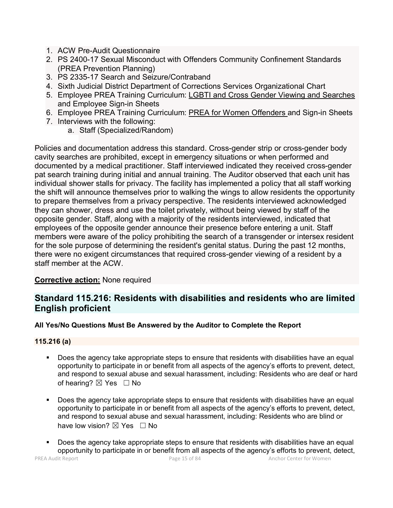- 1. ACW Pre-Audit Questionnaire
- 2. PS 2400-17 Sexual Misconduct with Offenders Community Confinement Standards (PREA Prevention Planning)
- 3. PS 2335-17 Search and Seizure/Contraband
- 4. Sixth Judicial District Department of Corrections Services Organizational Chart
- 5. Employee PREA Training Curriculum: LGBTI and Cross Gender Viewing and Searches and Employee Sign-in Sheets
- 6. Employee PREA Training Curriculum: PREA for Women Offenders and Sign-in Sheets
- 7. Interviews with the following:
	- a. Staff (Specialized/Random)

Policies and documentation address this standard. Cross-gender strip or cross-gender body cavity searches are prohibited, except in emergency situations or when performed and documented by a medical practitioner. Staff interviewed indicated they received cross-gender pat search training during initial and annual training. The Auditor observed that each unit has individual shower stalls for privacy. The facility has implemented a policy that all staff working the shift will announce themselves prior to walking the wings to allow residents the opportunity to prepare themselves from a privacy perspective. The residents interviewed acknowledged they can shower, dress and use the toilet privately, without being viewed by staff of the opposite gender. Staff, along with a majority of the residents interviewed, indicated that employees of the opposite gender announce their presence before entering a unit. Staff members were aware of the policy prohibiting the search of a transgender or intersex resident for the sole purpose of determining the resident's genital status. During the past 12 months, there were no exigent circumstances that required cross-gender viewing of a resident by a staff member at the ACW.

## **Corrective action:** None required

# **Standard 115.216: Residents with disabilities and residents who are limited English proficient**

## **All Yes/No Questions Must Be Answered by the Auditor to Complete the Report**

#### **115.216 (a)**

- Does the agency take appropriate steps to ensure that residents with disabilities have an equal opportunity to participate in or benefit from all aspects of the agency's efforts to prevent, detect, and respond to sexual abuse and sexual harassment, including: Residents who are deaf or hard of hearing?  $\boxtimes$  Yes  $\Box$  No
- Does the agency take appropriate steps to ensure that residents with disabilities have an equal opportunity to participate in or benefit from all aspects of the agency's efforts to prevent, detect, and respond to sexual abuse and sexual harassment, including: Residents who are blind or have low vision?  $\boxtimes$  Yes  $\Box$  No
- Does the agency take appropriate steps to ensure that residents with disabilities have an equal opportunity to participate in or benefit from all aspects of the agency's efforts to prevent, detect,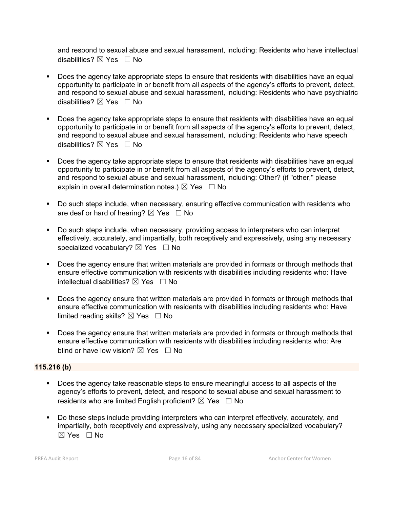and respond to sexual abuse and sexual harassment, including: Residents who have intellectual disabilities?  $\nabla$  Yes  $\Box$  No

- Does the agency take appropriate steps to ensure that residents with disabilities have an equal opportunity to participate in or benefit from all aspects of the agency's efforts to prevent, detect, and respond to sexual abuse and sexual harassment, including: Residents who have psychiatric disabilities?  $\nabla$  Yes  $\Box$  No
- Does the agency take appropriate steps to ensure that residents with disabilities have an equal opportunity to participate in or benefit from all aspects of the agency's efforts to prevent, detect, and respond to sexual abuse and sexual harassment, including: Residents who have speech disabilities?  $\boxtimes$  Yes  $\Box$  No
- Does the agency take appropriate steps to ensure that residents with disabilities have an equal opportunity to participate in or benefit from all aspects of the agency's efforts to prevent, detect, and respond to sexual abuse and sexual harassment, including: Other? (if "other," please explain in overall determination notes.)  $\boxtimes$  Yes  $\Box$  No
- Do such steps include, when necessary, ensuring effective communication with residents who are deaf or hard of hearing?  $\boxtimes$  Yes  $\Box$  No
- Do such steps include, when necessary, providing access to interpreters who can interpret effectively, accurately, and impartially, both receptively and expressively, using any necessary specialized vocabulary?  $\boxtimes$  Yes  $\Box$  No
- **Does the agency ensure that written materials are provided in formats or through methods that** ensure effective communication with residents with disabilities including residents who: Have intellectual disabilities?  $\boxtimes$  Yes  $\Box$  No
- Does the agency ensure that written materials are provided in formats or through methods that ensure effective communication with residents with disabilities including residents who: Have limited reading skills?  $\boxtimes$  Yes  $\Box$  No
- Does the agency ensure that written materials are provided in formats or through methods that ensure effective communication with residents with disabilities including residents who: Are blind or have low vision?  $\boxtimes$  Yes  $\Box$  No

#### **115.216 (b)**

- Does the agency take reasonable steps to ensure meaningful access to all aspects of the agency's efforts to prevent, detect, and respond to sexual abuse and sexual harassment to residents who are limited English proficient?  $\boxtimes$  Yes  $\Box$  No
- Do these steps include providing interpreters who can interpret effectively, accurately, and impartially, both receptively and expressively, using any necessary specialized vocabulary?  $\boxtimes$  Yes  $\Box$  No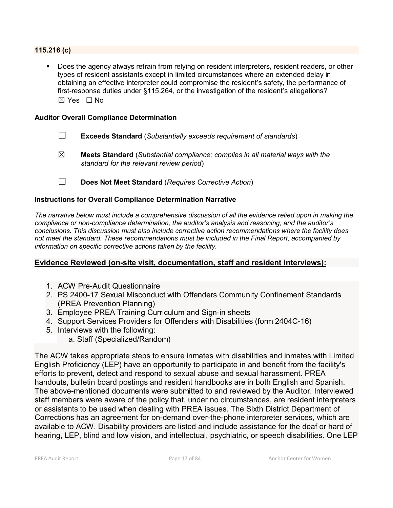#### **115.216 (c)**

 Does the agency always refrain from relying on resident interpreters, resident readers, or other types of resident assistants except in limited circumstances where an extended delay in obtaining an effective interpreter could compromise the resident's safety, the performance of first-response duties under §115.264, or the investigation of the resident's allegations?  $\boxtimes$  Yes  $\Box$  No

#### **Auditor Overall Compliance Determination**

- ☐ **Exceeds Standard** (*Substantially exceeds requirement of standards*)
- ☒ **Meets Standard** (*Substantial compliance; complies in all material ways with the standard for the relevant review period*)
- ☐ **Does Not Meet Standard** (*Requires Corrective Action*)

#### **Instructions for Overall Compliance Determination Narrative**

*The narrative below must include a comprehensive discussion of all the evidence relied upon in making the compliance or non-compliance determination, the auditor's analysis and reasoning, and the auditor's conclusions. This discussion must also include corrective action recommendations where the facility does not meet the standard. These recommendations must be included in the Final Report, accompanied by information on specific corrective actions taken by the facility.*

#### **Evidence Reviewed (on-site visit, documentation, staff and resident interviews):**

- 1. ACW Pre-Audit Questionnaire
- 2. PS 2400-17 Sexual Misconduct with Offenders Community Confinement Standards (PREA Prevention Planning)
- 3. Employee PREA Training Curriculum and Sign-in sheets
- 4. Support Services Providers for Offenders with Disabilities (form 2404C-16)
- 5. Interviews with the following:
	- a. Staff (Specialized/Random)

The ACW takes appropriate steps to ensure inmates with disabilities and inmates with Limited English Proficiency (LEP) have an opportunity to participate in and benefit from the facility's efforts to prevent, detect and respond to sexual abuse and sexual harassment. PREA handouts, bulletin board postings and resident handbooks are in both English and Spanish. The above-mentioned documents were submitted to and reviewed by the Auditor. Interviewed staff members were aware of the policy that, under no circumstances, are resident interpreters or assistants to be used when dealing with PREA issues. The Sixth District Department of Corrections has an agreement for on-demand over-the-phone interpreter services, which are available to ACW. Disability providers are listed and include assistance for the deaf or hard of hearing, LEP, blind and low vision, and intellectual, psychiatric, or speech disabilities. One LEP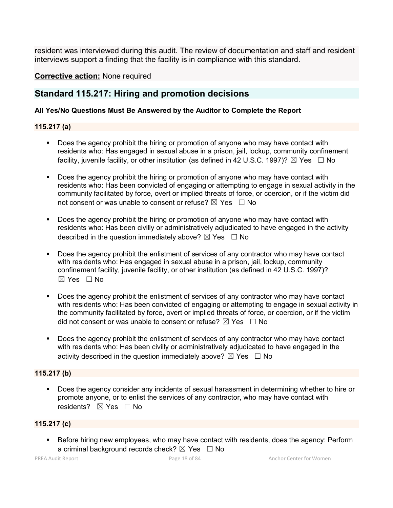resident was interviewed during this audit. The review of documentation and staff and resident interviews support a finding that the facility is in compliance with this standard.

**Corrective action:** None required

## **Standard 115.217: Hiring and promotion decisions**

#### **All Yes/No Questions Must Be Answered by the Auditor to Complete the Report**

#### **115.217 (a)**

- Does the agency prohibit the hiring or promotion of anyone who may have contact with residents who: Has engaged in sexual abuse in a prison, jail, lockup, community confinement facility, juvenile facility, or other institution (as defined in 42 U.S.C. 1997)?  $\boxtimes$  Yes  $\Box$  No
- Does the agency prohibit the hiring or promotion of anyone who may have contact with residents who: Has been convicted of engaging or attempting to engage in sexual activity in the community facilitated by force, overt or implied threats of force, or coercion, or if the victim did not consent or was unable to consent or refuse?  $\boxtimes$  Yes  $\Box$  No
- Does the agency prohibit the hiring or promotion of anyone who may have contact with residents who: Has been civilly or administratively adjudicated to have engaged in the activity described in the question immediately above?  $\boxtimes$  Yes  $\Box$  No
- Does the agency prohibit the enlistment of services of any contractor who may have contact with residents who: Has engaged in sexual abuse in a prison, jail, lockup, community confinement facility, juvenile facility, or other institution (as defined in 42 U.S.C. 1997)?  $\boxtimes$  Yes  $\Box$  No
- Does the agency prohibit the enlistment of services of any contractor who may have contact with residents who: Has been convicted of engaging or attempting to engage in sexual activity in the community facilitated by force, overt or implied threats of force, or coercion, or if the victim did not consent or was unable to consent or refuse?  $\boxtimes$  Yes  $\Box$  No
- Does the agency prohibit the enlistment of services of any contractor who may have contact with residents who: Has been civilly or administratively adjudicated to have engaged in the activity described in the question immediately above?  $\boxtimes$  Yes  $\Box$  No

#### **115.217 (b)**

 Does the agency consider any incidents of sexual harassment in determining whether to hire or promote anyone, or to enlist the services of any contractor, who may have contact with residents?  $\boxtimes$  Yes  $\Box$  No

#### **115.217 (c)**

 Before hiring new employees, who may have contact with residents, does the agency: Perform a criminal background records check?  $\boxtimes$  Yes  $\Box$  No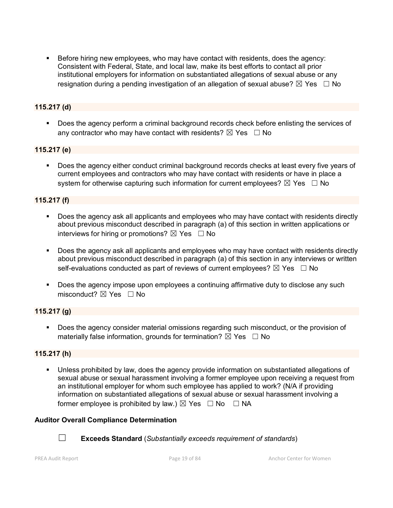Before hiring new employees, who may have contact with residents, does the agency: Consistent with Federal, State, and local law, make its best efforts to contact all prior institutional employers for information on substantiated allegations of sexual abuse or any resignation during a pending investigation of an allegation of sexual abuse?  $\boxtimes$  Yes  $\Box$  No

## **115.217 (d)**

 Does the agency perform a criminal background records check before enlisting the services of any contractor who may have contact with residents?  $\boxtimes$  Yes  $\Box$  No

#### **115.217 (e)**

 Does the agency either conduct criminal background records checks at least every five years of current employees and contractors who may have contact with residents or have in place a system for otherwise capturing such information for current employees?  $\boxtimes$  Yes  $\Box$  No

#### **115.217 (f)**

- Does the agency ask all applicants and employees who may have contact with residents directly about previous misconduct described in paragraph (a) of this section in written applications or interviews for hiring or promotions?  $\boxtimes$  Yes  $\Box$  No
- Does the agency ask all applicants and employees who may have contact with residents directly about previous misconduct described in paragraph (a) of this section in any interviews or written self-evaluations conducted as part of reviews of current employees?  $\boxtimes$  Yes  $\Box$  No
- **Does the agency impose upon employees a continuing affirmative duty to disclose any such** misconduct?  $\boxtimes$  Yes  $\Box$  No

#### **115.217 (g)**

**Does the agency consider material omissions regarding such misconduct, or the provision of** materially false information, grounds for termination?  $\boxtimes$  Yes  $\Box$  No

#### **115.217 (h)**

 Unless prohibited by law, does the agency provide information on substantiated allegations of sexual abuse or sexual harassment involving a former employee upon receiving a request from an institutional employer for whom such employee has applied to work? (N/A if providing information on substantiated allegations of sexual abuse or sexual harassment involving a former employee is prohibited by law.)  $\boxtimes$  Yes  $\Box$  No  $\Box$  NA

#### **Auditor Overall Compliance Determination**



☐ **Exceeds Standard** (*Substantially exceeds requirement of standards*)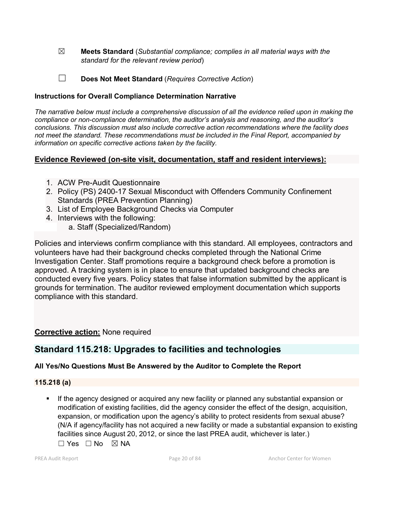- ☒ **Meets Standard** (*Substantial compliance; complies in all material ways with the standard for the relevant review period*)
- ☐ **Does Not Meet Standard** (*Requires Corrective Action*)

## **Instructions for Overall Compliance Determination Narrative**

*The narrative below must include a comprehensive discussion of all the evidence relied upon in making the compliance or non-compliance determination, the auditor's analysis and reasoning, and the auditor's conclusions. This discussion must also include corrective action recommendations where the facility does not meet the standard. These recommendations must be included in the Final Report, accompanied by information on specific corrective actions taken by the facility.*

## **Evidence Reviewed (on-site visit, documentation, staff and resident interviews):**

- 1. ACW Pre-Audit Questionnaire
- 2. Policy (PS) 2400-17 Sexual Misconduct with Offenders Community Confinement Standards (PREA Prevention Planning)
- 3. List of Employee Background Checks via Computer
- 4. Interviews with the following:
	- a. Staff (Specialized/Random)

Policies and interviews confirm compliance with this standard. All employees, contractors and volunteers have had their background checks completed through the National Crime Investigation Center. Staff promotions require a background check before a promotion is approved. A tracking system is in place to ensure that updated background checks are conducted every five years. Policy states that false information submitted by the applicant is grounds for termination. The auditor reviewed employment documentation which supports compliance with this standard.

## **Corrective action:** None required

# **Standard 115.218: Upgrades to facilities and technologies**

## **All Yes/No Questions Must Be Answered by the Auditor to Complete the Report**

#### **115.218 (a)**

 If the agency designed or acquired any new facility or planned any substantial expansion or modification of existing facilities, did the agency consider the effect of the design, acquisition, expansion, or modification upon the agency's ability to protect residents from sexual abuse? (N/A if agency/facility has not acquired a new facility or made a substantial expansion to existing facilities since August 20, 2012, or since the last PREA audit, whichever is later.)

 $\Box$  Yes  $\Box$  No  $\boxtimes$  NA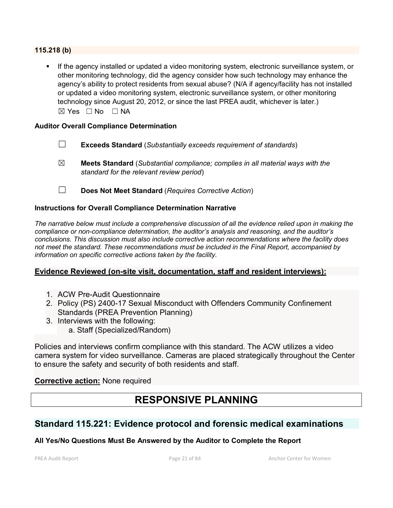**115.218 (b)**

 If the agency installed or updated a video monitoring system, electronic surveillance system, or other monitoring technology, did the agency consider how such technology may enhance the agency's ability to protect residents from sexual abuse? (N/A if agency/facility has not installed or updated a video monitoring system, electronic surveillance system, or other monitoring technology since August 20, 2012, or since the last PREA audit, whichever is later.) ☒ Yes ☐ No ☐ NA

#### **Auditor Overall Compliance Determination**

- ☐ **Exceeds Standard** (*Substantially exceeds requirement of standards*)
- ☒ **Meets Standard** (*Substantial compliance; complies in all material ways with the standard for the relevant review period*)
- ☐ **Does Not Meet Standard** (*Requires Corrective Action*)

#### **Instructions for Overall Compliance Determination Narrative**

*The narrative below must include a comprehensive discussion of all the evidence relied upon in making the compliance or non-compliance determination, the auditor's analysis and reasoning, and the auditor's conclusions. This discussion must also include corrective action recommendations where the facility does not meet the standard. These recommendations must be included in the Final Report, accompanied by information on specific corrective actions taken by the facility.*

#### **Evidence Reviewed (on-site visit, documentation, staff and resident interviews):**

- 1. ACW Pre-Audit Questionnaire
- 2. Policy (PS) 2400-17 Sexual Misconduct with Offenders Community Confinement Standards (PREA Prevention Planning)
- 3. Interviews with the following:
	- a. Staff (Specialized/Random)

Policies and interviews confirm compliance with this standard. The ACW utilizes a video camera system for video surveillance. Cameras are placed strategically throughout the Center to ensure the safety and security of both residents and staff.

#### **Corrective action:** None required

# **RESPONSIVE PLANNING**

# **Standard 115.221: Evidence protocol and forensic medical examinations**

#### **All Yes/No Questions Must Be Answered by the Auditor to Complete the Report**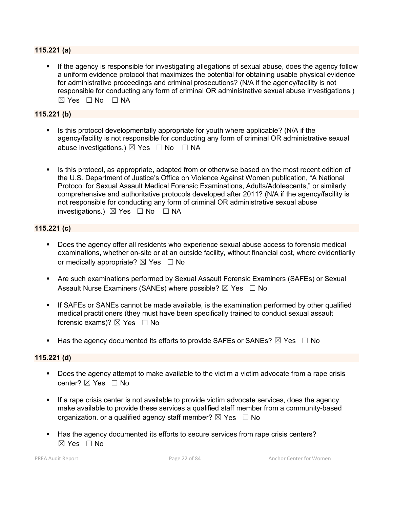#### **115.221 (a)**

 If the agency is responsible for investigating allegations of sexual abuse, does the agency follow a uniform evidence protocol that maximizes the potential for obtaining usable physical evidence for administrative proceedings and criminal prosecutions? (N/A if the agency/facility is not responsible for conducting any form of criminal OR administrative sexual abuse investigations.)  $\boxtimes$  Yes  $\Box$  No  $\Box$  NA

#### **115.221 (b)**

- Is this protocol developmentally appropriate for youth where applicable? (N/A if the agency/facility is not responsible for conducting any form of criminal OR administrative sexual abuse investigations.)  $\boxtimes$  Yes  $\Box$  No  $\Box$  NA
- Is this protocol, as appropriate, adapted from or otherwise based on the most recent edition of the U.S. Department of Justice's Office on Violence Against Women publication, "A National Protocol for Sexual Assault Medical Forensic Examinations, Adults/Adolescents," or similarly comprehensive and authoritative protocols developed after 2011? (N/A if the agency/facility is not responsible for conducting any form of criminal OR administrative sexual abuse investigations.)  $\boxtimes$  Yes  $\Box$  No  $\Box$  NA

#### **115.221 (c)**

- Does the agency offer all residents who experience sexual abuse access to forensic medical examinations, whether on-site or at an outside facility, without financial cost, where evidentiarily or medically appropriate?  $\boxtimes$  Yes  $\Box$  No
- Are such examinations performed by Sexual Assault Forensic Examiners (SAFEs) or Sexual Assault Nurse Examiners (SANEs) where possible?  $\boxtimes$  Yes  $\Box$  No
- If SAFEs or SANEs cannot be made available, is the examination performed by other qualified medical practitioners (they must have been specifically trained to conduct sexual assault forensic exams)?  $\boxtimes$  Yes  $\Box$  No
- Has the agency documented its efforts to provide SAFEs or SANEs?  $\boxtimes$  Yes  $\Box$  No

#### **115.221 (d)**

- Does the agency attempt to make available to the victim a victim advocate from a rape crisis center?  $\boxtimes$  Yes  $\Box$  No
- If a rape crisis center is not available to provide victim advocate services, does the agency make available to provide these services a qualified staff member from a community-based organization, or a qualified agency staff member?  $\boxtimes$  Yes  $\Box$  No
- Has the agency documented its efforts to secure services from rape crisis centers?  $\boxtimes$  Yes  $\Box$  No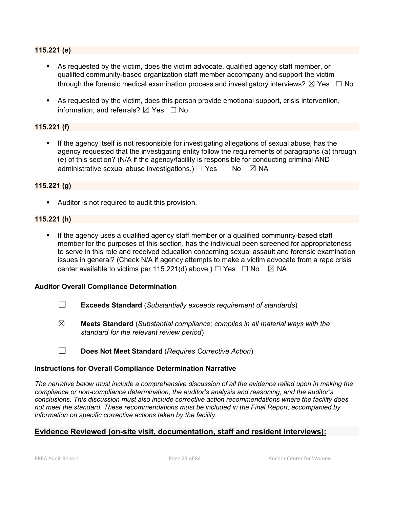#### **115.221 (e)**

- As requested by the victim, does the victim advocate, qualified agency staff member, or qualified community-based organization staff member accompany and support the victim through the forensic medical examination process and investigatory interviews?  $\boxtimes$  Yes  $\Box$  No
- As requested by the victim, does this person provide emotional support, crisis intervention, information, and referrals?  $\boxtimes$  Yes  $\Box$  No

## **115.221 (f)**

 If the agency itself is not responsible for investigating allegations of sexual abuse, has the agency requested that the investigating entity follow the requirements of paragraphs (a) through (e) of this section? (N/A if the agency/facility is responsible for conducting criminal AND administrative sexual abuse investigations.)  $\Box$  Yes  $\Box$  No  $\boxtimes$  NA

#### **115.221 (g)**

Auditor is not required to audit this provision.

#### **115.221 (h)**

 If the agency uses a qualified agency staff member or a qualified community-based staff member for the purposes of this section, has the individual been screened for appropriateness to serve in this role and received education concerning sexual assault and forensic examination issues in general? (Check N/A if agency attempts to make a victim advocate from a rape crisis center available to victims per 115.221(d) above.)  $\Box$  Yes  $\Box$  No  $\boxtimes$  NA

#### **Auditor Overall Compliance Determination**

- ☐ **Exceeds Standard** (*Substantially exceeds requirement of standards*)
- ☒ **Meets Standard** (*Substantial compliance; complies in all material ways with the standard for the relevant review period*)
- ☐ **Does Not Meet Standard** (*Requires Corrective Action*)

#### **Instructions for Overall Compliance Determination Narrative**

*The narrative below must include a comprehensive discussion of all the evidence relied upon in making the compliance or non-compliance determination, the auditor's analysis and reasoning, and the auditor's conclusions. This discussion must also include corrective action recommendations where the facility does not meet the standard. These recommendations must be included in the Final Report, accompanied by information on specific corrective actions taken by the facility.*

## **Evidence Reviewed (on-site visit, documentation, staff and resident interviews):**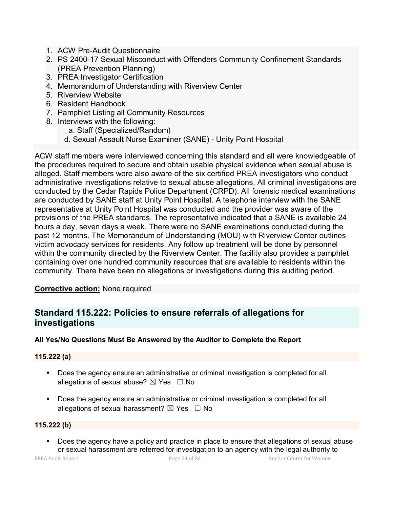- 1. ACW Pre-Audit Questionnaire
- 2. PS 2400-17 Sexual Misconduct with Offenders Community Confinement Standards (PREA Prevention Planning)
- 3. PREA Investigator Certification
- 4. Memorandum of Understanding with Riverview Center
- 5. Riverview Website
- 6. Resident Handbook
- 7. Pamphlet Listing all Community Resources
- 8. Interviews with the following:
	- a. Staff (Specialized/Random)
	- d. Sexual Assault Nurse Examiner (SANE) Unity Point Hospital

ACW staff members were interviewed concerning this standard and all were knowledgeable of the procedures required to secure and obtain usable physical evidence when sexual abuse is alleged. Staff members were also aware of the six certified PREA investigators who conduct administrative investigations relative to sexual abuse allegations. All criminal investigations are conducted by the Cedar Rapids Police Department (CRPD). All forensic medical examinations are conducted by SANE staff at Unity Point Hospital. A telephone interview with the SANE representative at Unity Point Hospital was conducted and the provider was aware of the provisions of the PREA standards. The representative indicated that a SANE is available 24 hours a day, seven days a week. There were no SANE examinations conducted during the past 12 months. The Memorandum of Understanding (MOU) with Riverview Center outlines victim advocacy services for residents. Any follow up treatment will be done by personnel within the community directed by the Riverview Center. The facility also provides a pamphlet containing over one hundred community resources that are available to residents within the community. There have been no allegations or investigations during this auditing period.

## **Corrective action:** None required

# **Standard 115.222: Policies to ensure referrals of allegations for investigations**

## **All Yes/No Questions Must Be Answered by the Auditor to Complete the Report**

#### **115.222 (a)**

- **Does the agency ensure an administrative or criminal investigation is completed for all** allegations of sexual abuse?  $\boxtimes$  Yes  $\Box$  No
- **Does the agency ensure an administrative or criminal investigation is completed for all** allegations of sexual harassment?  $\boxtimes$  Yes  $\Box$  No

#### **115.222 (b)**

 Does the agency have a policy and practice in place to ensure that allegations of sexual abuse or sexual harassment are referred for investigation to an agency with the legal authority to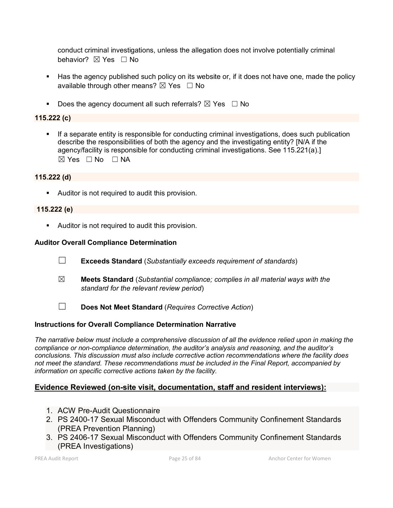conduct criminal investigations, unless the allegation does not involve potentially criminal behavior? **⊠** Yes □ No

- Has the agency published such policy on its website or, if it does not have one, made the policy available through other means?  $\boxtimes$  Yes  $\Box$  No
- Does the agency document all such referrals?  $\boxtimes$  Yes  $\Box$  No

## **115.222 (c)**

 If a separate entity is responsible for conducting criminal investigations, does such publication describe the responsibilities of both the agency and the investigating entity? [N/A if the agency/facility is responsible for conducting criminal investigations. See 115.221(a).]  $\boxtimes$  Yes  $\Box$  No  $\Box$  NA

#### **115.222 (d)**

**Auditor is not required to audit this provision.** 

#### **115.222 (e)**

**Auditor is not required to audit this provision.** 

#### **Auditor Overall Compliance Determination**

- ☐ **Exceeds Standard** (*Substantially exceeds requirement of standards*)
- ☒ **Meets Standard** (*Substantial compliance; complies in all material ways with the standard for the relevant review period*)
- 
- ☐ **Does Not Meet Standard** (*Requires Corrective Action*)

#### **Instructions for Overall Compliance Determination Narrative**

*The narrative below must include a comprehensive discussion of all the evidence relied upon in making the compliance or non-compliance determination, the auditor's analysis and reasoning, and the auditor's conclusions. This discussion must also include corrective action recommendations where the facility does not meet the standard. These recommendations must be included in the Final Report, accompanied by information on specific corrective actions taken by the facility.*

#### **Evidence Reviewed (on-site visit, documentation, staff and resident interviews):**

- 1. ACW Pre-Audit Questionnaire
- 2. PS 2400-17 Sexual Misconduct with Offenders Community Confinement Standards (PREA Prevention Planning)
- 3. PS 2406-17 Sexual Misconduct with Offenders Community Confinement Standards (PREA Investigations)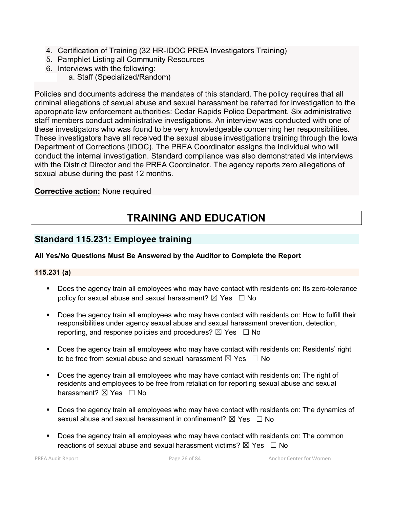- 4. Certification of Training (32 HR-IDOC PREA Investigators Training)
- 5. Pamphlet Listing all Community Resources
- 6. Interviews with the following:
	- a. Staff (Specialized/Random)

Policies and documents address the mandates of this standard. The policy requires that all criminal allegations of sexual abuse and sexual harassment be referred for investigation to the appropriate law enforcement authorities: Cedar Rapids Police Department. Six administrative staff members conduct administrative investigations. An interview was conducted with one of these investigators who was found to be very knowledgeable concerning her responsibilities. These investigators have all received the sexual abuse investigations training through the Iowa Department of Corrections (IDOC). The PREA Coordinator assigns the individual who will conduct the internal investigation. Standard compliance was also demonstrated via interviews with the District Director and the PREA Coordinator. The agency reports zero allegations of sexual abuse during the past 12 months.

## **Corrective action:** None required

# **TRAINING AND EDUCATION**

# **Standard 115.231: Employee training**

## **All Yes/No Questions Must Be Answered by the Auditor to Complete the Report**

#### **115.231 (a)**

- Does the agency train all employees who may have contact with residents on: Its zero-tolerance policy for sexual abuse and sexual harassment?  $\boxtimes$  Yes  $\Box$  No
- Does the agency train all employees who may have contact with residents on: How to fulfill their responsibilities under agency sexual abuse and sexual harassment prevention, detection, reporting, and response policies and procedures?  $\boxtimes$  Yes  $\Box$  No
- Does the agency train all employees who may have contact with residents on: Residents' right to be free from sexual abuse and sexual harassment  $\boxtimes$  Yes  $\Box$  No
- Does the agency train all employees who may have contact with residents on: The right of residents and employees to be free from retaliation for reporting sexual abuse and sexual harassment?  $\boxtimes$  Yes  $\Box$  No
- Does the agency train all employees who may have contact with residents on: The dynamics of sexual abuse and sexual harassment in confinement?  $\boxtimes$  Yes  $\Box$  No
- Does the agency train all employees who may have contact with residents on: The common reactions of sexual abuse and sexual harassment victims?  $\boxtimes$  Yes  $\Box$  No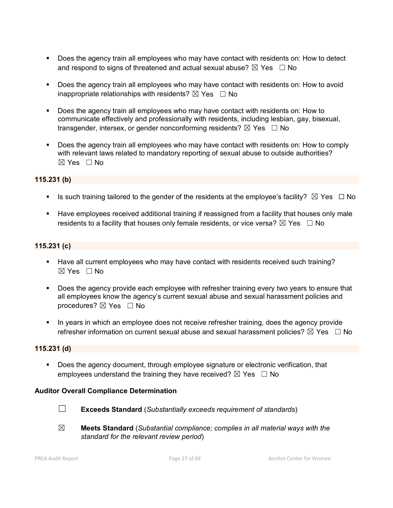- Does the agency train all employees who may have contact with residents on: How to detect and respond to signs of threatened and actual sexual abuse?  $\boxtimes$  Yes  $\Box$  No
- Does the agency train all employees who may have contact with residents on: How to avoid inappropriate relationships with residents?  $\boxtimes$  Yes  $\Box$  No
- Does the agency train all employees who may have contact with residents on: How to communicate effectively and professionally with residents, including lesbian, gay, bisexual, transgender, intersex, or gender nonconforming residents?  $\boxtimes$  Yes  $\Box$  No
- Does the agency train all employees who may have contact with residents on: How to comply with relevant laws related to mandatory reporting of sexual abuse to outside authorities? ☒ Yes ☐ No

#### **115.231 (b)**

- Is such training tailored to the gender of the residents at the employee's facility?  $\boxtimes$  Yes  $\Box$  No
- Have employees received additional training if reassigned from a facility that houses only male residents to a facility that houses only female residents, or vice versa?  $\boxtimes$  Yes  $\Box$  No

#### **115.231 (c)**

- Have all current employees who may have contact with residents received such training?  $\boxtimes$  Yes  $\Box$  No
- Does the agency provide each employee with refresher training every two years to ensure that all employees know the agency's current sexual abuse and sexual harassment policies and procedures?  $\boxtimes$  Yes  $\Box$  No
- In years in which an employee does not receive refresher training, does the agency provide refresher information on current sexual abuse and sexual harassment policies?  $\boxtimes$  Yes  $\Box$  No

#### **115.231 (d)**

 Does the agency document, through employee signature or electronic verification, that employees understand the training they have received?  $\boxtimes$  Yes  $\Box$  No

#### **Auditor Overall Compliance Determination**



- ☐ **Exceeds Standard** (*Substantially exceeds requirement of standards*)
- ☒ **Meets Standard** (*Substantial compliance; complies in all material ways with the standard for the relevant review period*)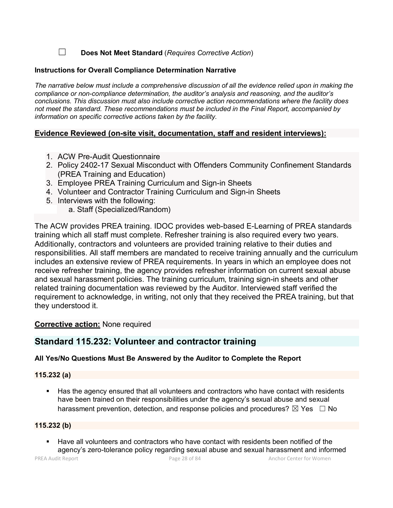☐ **Does Not Meet Standard** (*Requires Corrective Action*)

#### **Instructions for Overall Compliance Determination Narrative**

*The narrative below must include a comprehensive discussion of all the evidence relied upon in making the compliance or non-compliance determination, the auditor's analysis and reasoning, and the auditor's conclusions. This discussion must also include corrective action recommendations where the facility does not meet the standard. These recommendations must be included in the Final Report, accompanied by information on specific corrective actions taken by the facility.*

## **Evidence Reviewed (on-site visit, documentation, staff and resident interviews):**

- 1. ACW Pre-Audit Questionnaire
- 2. Policy 2402-17 Sexual Misconduct with Offenders Community Confinement Standards (PREA Training and Education)
- 3. Employee PREA Training Curriculum and Sign-in Sheets
- 4. Volunteer and Contractor Training Curriculum and Sign-in Sheets
- 5. Interviews with the following:
	- a. Staff (Specialized/Random)

The ACW provides PREA training. IDOC provides web-based E-Learning of PREA standards training which all staff must complete. Refresher training is also required every two years. Additionally, contractors and volunteers are provided training relative to their duties and responsibilities. All staff members are mandated to receive training annually and the curriculum includes an extensive review of PREA requirements. In years in which an employee does not receive refresher training, the agency provides refresher information on current sexual abuse and sexual harassment policies. The training curriculum, training sign-in sheets and other related training documentation was reviewed by the Auditor. Interviewed staff verified the requirement to acknowledge, in writing, not only that they received the PREA training, but that they understood it.

## **Corrective action:** None required

# **Standard 115.232: Volunteer and contractor training**

## **All Yes/No Questions Must Be Answered by the Auditor to Complete the Report**

#### **115.232 (a)**

 Has the agency ensured that all volunteers and contractors who have contact with residents have been trained on their responsibilities under the agency's sexual abuse and sexual harassment prevention, detection, and response policies and procedures?  $\boxtimes$  Yes  $\Box$  No

#### **115.232 (b)**

 Have all volunteers and contractors who have contact with residents been notified of the agency's zero-tolerance policy regarding sexual abuse and sexual harassment and informed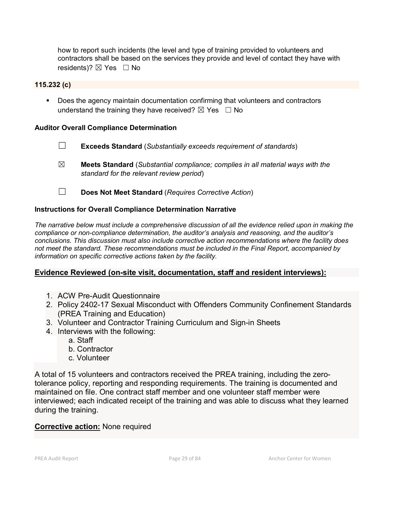how to report such incidents (the level and type of training provided to volunteers and contractors shall be based on the services they provide and level of contact they have with residents)?  $\boxtimes$  Yes  $\Box$  No

#### **115.232 (c)**

 Does the agency maintain documentation confirming that volunteers and contractors understand the training they have received?  $\boxtimes$  Yes  $\Box$  No

#### **Auditor Overall Compliance Determination**

- ☐ **Exceeds Standard** (*Substantially exceeds requirement of standards*)
- ☒ **Meets Standard** (*Substantial compliance; complies in all material ways with the standard for the relevant review period*)
- ☐ **Does Not Meet Standard** (*Requires Corrective Action*)

#### **Instructions for Overall Compliance Determination Narrative**

*The narrative below must include a comprehensive discussion of all the evidence relied upon in making the compliance or non-compliance determination, the auditor's analysis and reasoning, and the auditor's conclusions. This discussion must also include corrective action recommendations where the facility does not meet the standard. These recommendations must be included in the Final Report, accompanied by information on specific corrective actions taken by the facility.*

#### **Evidence Reviewed (on-site visit, documentation, staff and resident interviews):**

- 1. ACW Pre-Audit Questionnaire
- 2. Policy 2402-17 Sexual Misconduct with Offenders Community Confinement Standards (PREA Training and Education)
- 3. Volunteer and Contractor Training Curriculum and Sign-in Sheets
- 4. Interviews with the following:
	- a. Staff
	- b. Contractor
	- c. Volunteer

A total of 15 volunteers and contractors received the PREA training, including the zerotolerance policy, reporting and responding requirements. The training is documented and maintained on file. One contract staff member and one volunteer staff member were interviewed; each indicated receipt of the training and was able to discuss what they learned during the training.

#### **Corrective action:** None required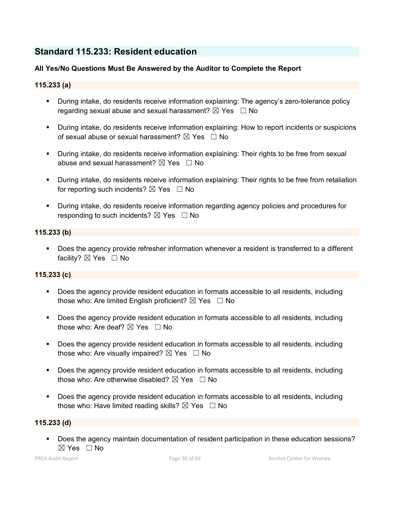# **Standard 115.233: Resident education**

## **All Yes/No Questions Must Be Answered by the Auditor to Complete the Report**

## **115.233 (a)**

- During intake, do residents receive information explaining: The agency's zero-tolerance policy regarding sexual abuse and sexual harassment?  $\boxtimes$  Yes  $\Box$  No
- During intake, do residents receive information explaining: How to report incidents or suspicions of sexual abuse or sexual harassment?  $\boxtimes$  Yes  $\Box$  No
- During intake, do residents receive information explaining: Their rights to be free from sexual abuse and sexual harassment?  $\boxtimes$  Yes  $\Box$  No
- During intake, do residents receive information explaining: Their rights to be free from retaliation for reporting such incidents?  $\boxtimes$  Yes  $\Box$  No
- During intake, do residents receive information regarding agency policies and procedures for responding to such incidents?  $\boxtimes$  Yes  $\Box$  No

#### **115.233 (b)**

 Does the agency provide refresher information whenever a resident is transferred to a different facility? ⊠ Yes □ No

#### **115.233 (c)**

- Does the agency provide resident education in formats accessible to all residents, including those who: Are limited English proficient?  $\boxtimes$  Yes  $\Box$  No
- Does the agency provide resident education in formats accessible to all residents, including those who: Are deaf?  $\boxtimes$  Yes  $\Box$  No
- Does the agency provide resident education in formats accessible to all residents, including those who: Are visually impaired?  $\boxtimes$  Yes  $\Box$  No
- **Does the agency provide resident education in formats accessible to all residents, including** those who: Are otherwise disabled?  $\boxtimes$  Yes  $\Box$  No
- Does the agency provide resident education in formats accessible to all residents, including those who: Have limited reading skills?  $\boxtimes$  Yes  $\Box$  No

#### **115.233 (d)**

 Does the agency maintain documentation of resident participation in these education sessions? ☒ Yes ☐ No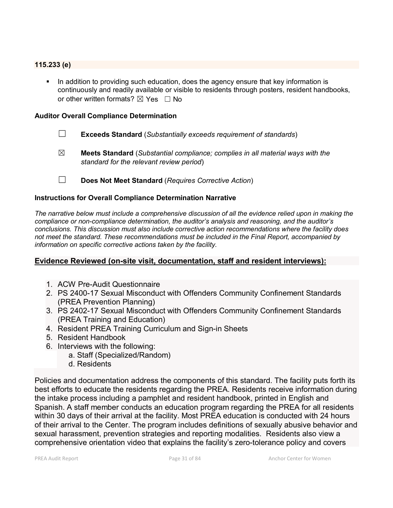#### **115.233 (e)**

In addition to providing such education, does the agency ensure that key information is continuously and readily available or visible to residents through posters, resident handbooks, or other written formats?  $\boxtimes$  Yes  $\Box$  No

#### **Auditor Overall Compliance Determination**

- ☐ **Exceeds Standard** (*Substantially exceeds requirement of standards*)
- ☒ **Meets Standard** (*Substantial compliance; complies in all material ways with the standard for the relevant review period*)
- ☐ **Does Not Meet Standard** (*Requires Corrective Action*)

## **Instructions for Overall Compliance Determination Narrative**

*The narrative below must include a comprehensive discussion of all the evidence relied upon in making the compliance or non-compliance determination, the auditor's analysis and reasoning, and the auditor's conclusions. This discussion must also include corrective action recommendations where the facility does not meet the standard. These recommendations must be included in the Final Report, accompanied by information on specific corrective actions taken by the facility.*

## **Evidence Reviewed (on-site visit, documentation, staff and resident interviews):**

- 1. ACW Pre-Audit Questionnaire
- 2. PS 2400-17 Sexual Misconduct with Offenders Community Confinement Standards (PREA Prevention Planning)
- 3. PS 2402-17 Sexual Misconduct with Offenders Community Confinement Standards (PREA Training and Education)
- 4. Resident PREA Training Curriculum and Sign-in Sheets
- 5. Resident Handbook
- 6. Interviews with the following:
	- a. Staff (Specialized/Random)
	- d. Residents

Policies and documentation address the components of this standard. The facility puts forth its best efforts to educate the residents regarding the PREA. Residents receive information during the intake process including a pamphlet and resident handbook, printed in English and Spanish. A staff member conducts an education program regarding the PREA for all residents within 30 days of their arrival at the facility. Most PREA education is conducted with 24 hours of their arrival to the Center. The program includes definitions of sexually abusive behavior and sexual harassment, prevention strategies and reporting modalities. Residents also view a comprehensive orientation video that explains the facility's zero-tolerance policy and covers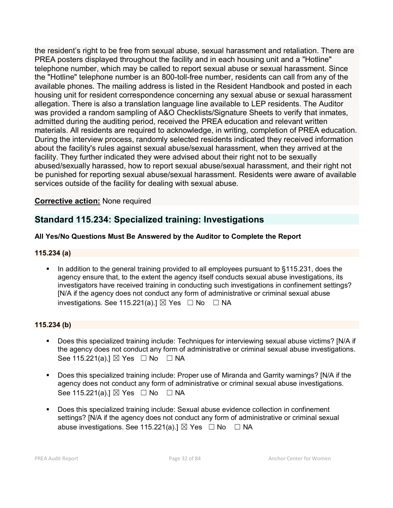the resident's right to be free from sexual abuse, sexual harassment and retaliation. There are PREA posters displayed throughout the facility and in each housing unit and a "Hotline" telephone number, which may be called to report sexual abuse or sexual harassment. Since the "Hotline" telephone number is an 800-toll-free number, residents can call from any of the available phones. The mailing address is listed in the Resident Handbook and posted in each housing unit for resident correspondence concerning any sexual abuse or sexual harassment allegation. There is also a translation language line available to LEP residents. The Auditor was provided a random sampling of A&O Checklists/Signature Sheets to verify that inmates, admitted during the auditing period, received the PREA education and relevant written materials. All residents are required to acknowledge, in writing, completion of PREA education. During the interview process, randomly selected residents indicated they received information about the facility's rules against sexual abuse/sexual harassment, when they arrived at the facility. They further indicated they were advised about their right not to be sexually abused/sexually harassed, how to report sexual abuse/sexual harassment, and their right not be punished for reporting sexual abuse/sexual harassment. Residents were aware of available services outside of the facility for dealing with sexual abuse.

## **Corrective action:** None required

# **Standard 115.234: Specialized training: Investigations**

## **All Yes/No Questions Must Be Answered by the Auditor to Complete the Report**

## **115.234 (a)**

 In addition to the general training provided to all employees pursuant to §115.231, does the agency ensure that, to the extent the agency itself conducts sexual abuse investigations, its investigators have received training in conducting such investigations in confinement settings? [N/A if the agency does not conduct any form of administrative or criminal sexual abuse investigations. See 115.221(a).]  $\boxtimes$  Yes  $\Box$  No  $\Box$  NA

#### **115.234 (b)**

- Does this specialized training include: Techniques for interviewing sexual abuse victims? [N/A if the agency does not conduct any form of administrative or criminal sexual abuse investigations. See 115.221(a).]  $\boxtimes$  Yes  $\Box$  No  $\Box$  NA
- Does this specialized training include: Proper use of Miranda and Garrity warnings? [N/A if the agency does not conduct any form of administrative or criminal sexual abuse investigations. See 115.221(a).]  $\boxtimes$  Yes  $\Box$  No  $\Box$  NA
- Does this specialized training include: Sexual abuse evidence collection in confinement settings? [N/A if the agency does not conduct any form of administrative or criminal sexual abuse investigations. See 115.221(a).]  $\boxtimes$  Yes  $\Box$  No  $\Box$  NA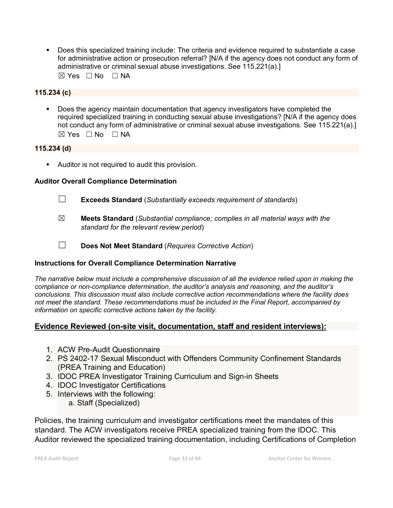Does this specialized training include: The criteria and evidence required to substantiate a case for administrative action or prosecution referral? [N/A if the agency does not conduct any form of administrative or criminal sexual abuse investigations. See 115.221(a).]  $\boxtimes$  Yes  $\Box$  No  $\Box$  NA

#### **115.234 (c)**

 Does the agency maintain documentation that agency investigators have completed the required specialized training in conducting sexual abuse investigations? [N/A if the agency does not conduct any form of administrative or criminal sexual abuse investigations. See 115.221(a).] ☒ Yes ☐ No ☐ NA

#### **115.234 (d)**

**Auditor is not required to audit this provision.** 

## **Auditor Overall Compliance Determination**

- ☐ **Exceeds Standard** (*Substantially exceeds requirement of standards*)
- ☒ **Meets Standard** (*Substantial compliance; complies in all material ways with the standard for the relevant review period*)
- ☐ **Does Not Meet Standard** (*Requires Corrective Action*)

## **Instructions for Overall Compliance Determination Narrative**

*The narrative below must include a comprehensive discussion of all the evidence relied upon in making the compliance or non-compliance determination, the auditor's analysis and reasoning, and the auditor's conclusions. This discussion must also include corrective action recommendations where the facility does not meet the standard. These recommendations must be included in the Final Report, accompanied by information on specific corrective actions taken by the facility.*

## **Evidence Reviewed (on-site visit, documentation, staff and resident interviews):**

- 1. ACW Pre-Audit Questionnaire
- 2. PS 2402-17 Sexual Misconduct with Offenders Community Confinement Standards (PREA Training and Education)
- 3. IDOC PREA Investigator Training Curriculum and Sign-in Sheets
- 4. IDOC Investigator Certifications
- 5. Interviews with the following:
	- a. Staff (Specialized)

Policies, the training curriculum and investigator certifications meet the mandates of this standard. The ACW investigators receive PREA specialized training from the IDOC. This Auditor reviewed the specialized training documentation, including Certifications of Completion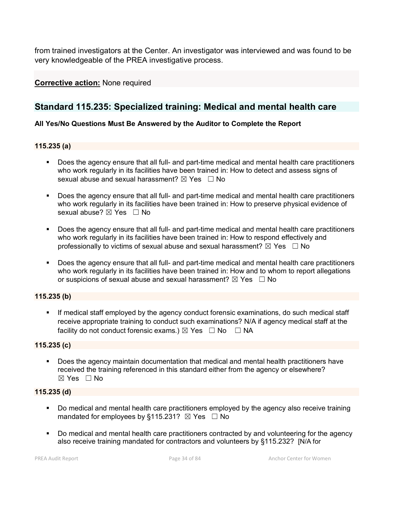from trained investigators at the Center. An investigator was interviewed and was found to be very knowledgeable of the PREA investigative process.

## **Corrective action:** None required

# **Standard 115.235: Specialized training: Medical and mental health care**

## **All Yes/No Questions Must Be Answered by the Auditor to Complete the Report**

#### **115.235 (a)**

- Does the agency ensure that all full- and part-time medical and mental health care practitioners who work regularly in its facilities have been trained in: How to detect and assess signs of sexual abuse and sexual harassment?  $\boxtimes$  Yes  $\Box$  No
- Does the agency ensure that all full- and part-time medical and mental health care practitioners who work regularly in its facilities have been trained in: How to preserve physical evidence of sexual abuse?  $\boxtimes$  Yes  $\Box$  No
- Does the agency ensure that all full- and part-time medical and mental health care practitioners who work regularly in its facilities have been trained in: How to respond effectively and professionally to victims of sexual abuse and sexual harassment?  $\boxtimes$  Yes  $\Box$  No
- Does the agency ensure that all full- and part-time medical and mental health care practitioners who work regularly in its facilities have been trained in: How and to whom to report allegations or suspicions of sexual abuse and sexual harassment?  $\boxtimes$  Yes  $\Box$  No

## **115.235 (b)**

 If medical staff employed by the agency conduct forensic examinations, do such medical staff receive appropriate training to conduct such examinations? N/A if agency medical staff at the facility do not conduct forensic exams.)  $\boxtimes$  Yes  $\Box$  No  $\Box$  NA

#### **115.235 (c)**

 Does the agency maintain documentation that medical and mental health practitioners have received the training referenced in this standard either from the agency or elsewhere?  $\boxtimes$  Yes  $\Box$  No

#### **115.235 (d)**

- Do medical and mental health care practitioners employed by the agency also receive training mandated for employees by §115.231?  $\boxtimes$  Yes  $\Box$  No
- Do medical and mental health care practitioners contracted by and volunteering for the agency also receive training mandated for contractors and volunteers by §115.232? [N/A for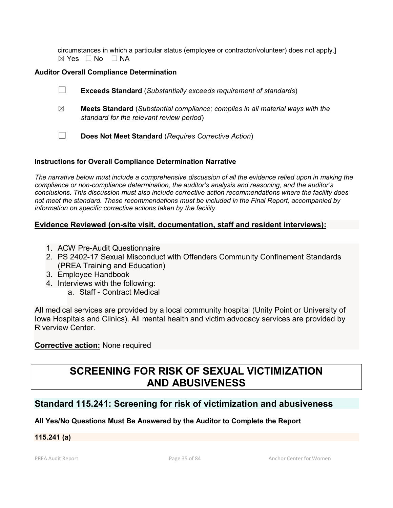circumstances in which a particular status (employee or contractor/volunteer) does not apply.]  $\boxtimes$  Yes  $\Box$  No  $\Box$  NA

## **Auditor Overall Compliance Determination**

☐ **Exceeds Standard** (*Substantially exceeds requirement of standards*) ☒ **Meets Standard** (*Substantial compliance; complies in all material ways with the standard for the relevant review period*) ☐ **Does Not Meet Standard** (*Requires Corrective Action*)

## **Instructions for Overall Compliance Determination Narrative**

*The narrative below must include a comprehensive discussion of all the evidence relied upon in making the compliance or non-compliance determination, the auditor's analysis and reasoning, and the auditor's conclusions. This discussion must also include corrective action recommendations where the facility does not meet the standard. These recommendations must be included in the Final Report, accompanied by information on specific corrective actions taken by the facility.*

## **Evidence Reviewed (on-site visit, documentation, staff and resident interviews):**

- 1. ACW Pre-Audit Questionnaire
- 2. PS 2402-17 Sexual Misconduct with Offenders Community Confinement Standards (PREA Training and Education)
- 3. Employee Handbook
- 4. Interviews with the following:
	- a. Staff Contract Medical

All medical services are provided by a local community hospital (Unity Point or University of Iowa Hospitals and Clinics). All mental health and victim advocacy services are provided by Riverview Center.

## **Corrective action:** None required

# **SCREENING FOR RISK OF SEXUAL VICTIMIZATION AND ABUSIVENESS**

## **Standard 115.241: Screening for risk of victimization and abusiveness**

## **All Yes/No Questions Must Be Answered by the Auditor to Complete the Report**

## **115.241 (a)**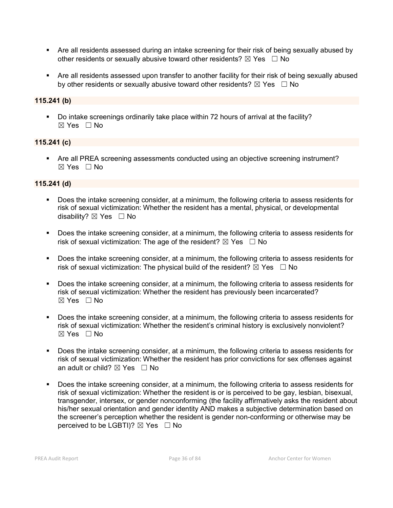- Are all residents assessed during an intake screening for their risk of being sexually abused by other residents or sexually abusive toward other residents?  $\boxtimes$  Yes  $\Box$  No
- Are all residents assessed upon transfer to another facility for their risk of being sexually abused by other residents or sexually abusive toward other residents?  $\boxtimes$  Yes  $\Box$  No

## **115.241 (b)**

 Do intake screenings ordinarily take place within 72 hours of arrival at the facility?  $\boxtimes$  Yes  $\Box$  No

## **115.241 (c)**

 Are all PREA screening assessments conducted using an objective screening instrument? ☒ Yes ☐ No

## **115.241 (d)**

- Does the intake screening consider, at a minimum, the following criteria to assess residents for risk of sexual victimization: Whether the resident has a mental, physical, or developmental disability? ⊠ Yes □ No
- Does the intake screening consider, at a minimum, the following criteria to assess residents for risk of sexual victimization: The age of the resident?  $\boxtimes$  Yes  $\Box$  No
- Does the intake screening consider, at a minimum, the following criteria to assess residents for risk of sexual victimization: The physical build of the resident?  $\boxtimes$  Yes  $\Box$  No
- Does the intake screening consider, at a minimum, the following criteria to assess residents for risk of sexual victimization: Whether the resident has previously been incarcerated?  $\boxtimes$  Yes  $\Box$  No
- **Does the intake screening consider, at a minimum, the following criteria to assess residents for** risk of sexual victimization: Whether the resident's criminal history is exclusively nonviolent?  $\boxtimes$  Yes  $\Box$  No
- Does the intake screening consider, at a minimum, the following criteria to assess residents for risk of sexual victimization: Whether the resident has prior convictions for sex offenses against an adult or child?  $\boxtimes$  Yes  $\Box$  No
- Does the intake screening consider, at a minimum, the following criteria to assess residents for risk of sexual victimization: Whether the resident is or is perceived to be gay, lesbian, bisexual, transgender, intersex, or gender nonconforming (the facility affirmatively asks the resident about his/her sexual orientation and gender identity AND makes a subjective determination based on the screener's perception whether the resident is gender non-conforming or otherwise may be perceived to be LGBTI)?  $\boxtimes$  Yes  $\Box$  No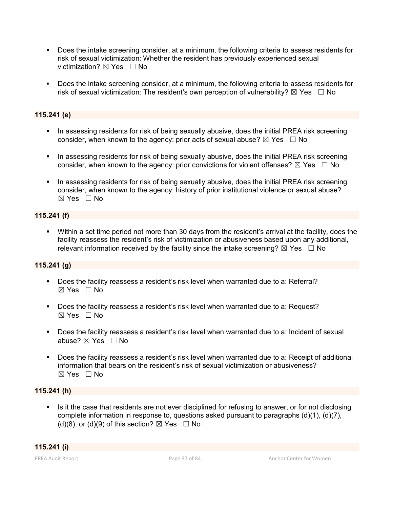- Does the intake screening consider, at a minimum, the following criteria to assess residents for risk of sexual victimization: Whether the resident has previously experienced sexual victimization?  $\boxtimes$  Yes  $\Box$  No
- Does the intake screening consider, at a minimum, the following criteria to assess residents for risk of sexual victimization: The resident's own perception of vulnerability?  $\boxtimes$  Yes  $\Box$  No

## **115.241 (e)**

- In assessing residents for risk of being sexually abusive, does the initial PREA risk screening consider, when known to the agency: prior acts of sexual abuse?  $\boxtimes$  Yes  $\Box$  No
- In assessing residents for risk of being sexually abusive, does the initial PREA risk screening consider, when known to the agency: prior convictions for violent offenses?  $\boxtimes$  Yes  $\Box$  No
- In assessing residents for risk of being sexually abusive, does the initial PREA risk screening consider, when known to the agency: history of prior institutional violence or sexual abuse?  $\boxtimes$  Yes  $\Box$  No

#### **115.241 (f)**

 Within a set time period not more than 30 days from the resident's arrival at the facility, does the facility reassess the resident's risk of victimization or abusiveness based upon any additional, relevant information received by the facility since the intake screening?  $\boxtimes$  Yes  $\Box$  No

## **115.241 (g)**

- Does the facility reassess a resident's risk level when warranted due to a: Referral?  $\boxtimes$  Yes  $\Box$  No
- Does the facility reassess a resident's risk level when warranted due to a: Request? ☒ Yes ☐ No
- Does the facility reassess a resident's risk level when warranted due to a: Incident of sexual abuse?  $\boxtimes$  Yes  $\Box$  No
- Does the facility reassess a resident's risk level when warranted due to a: Receipt of additional information that bears on the resident's risk of sexual victimization or abusiveness?  $\boxtimes$  Yes  $\Box$  No

## **115.241 (h)**

Is it the case that residents are not ever disciplined for refusing to answer, or for not disclosing complete information in response to, questions asked pursuant to paragraphs (d)(1), (d)(7), (d)(8), or (d)(9) of this section?  $\boxtimes$  Yes  $\Box$  No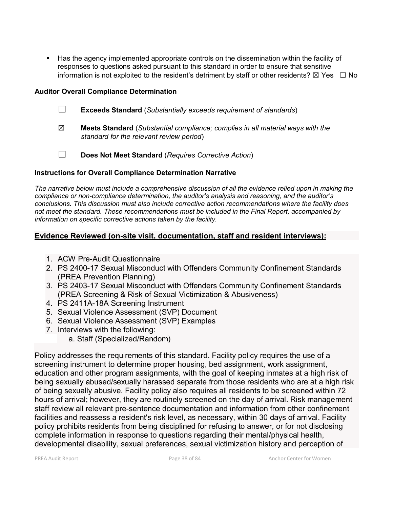Has the agency implemented appropriate controls on the dissemination within the facility of responses to questions asked pursuant to this standard in order to ensure that sensitive information is not exploited to the resident's detriment by staff or other residents?  $\boxtimes$  Yes  $\Box$  No

## **Auditor Overall Compliance Determination**

- ☐ **Exceeds Standard** (*Substantially exceeds requirement of standards*)
- ☒ **Meets Standard** (*Substantial compliance; complies in all material ways with the standard for the relevant review period*)
- ☐ **Does Not Meet Standard** (*Requires Corrective Action*)

## **Instructions for Overall Compliance Determination Narrative**

*The narrative below must include a comprehensive discussion of all the evidence relied upon in making the compliance or non-compliance determination, the auditor's analysis and reasoning, and the auditor's conclusions. This discussion must also include corrective action recommendations where the facility does not meet the standard. These recommendations must be included in the Final Report, accompanied by information on specific corrective actions taken by the facility.*

## **Evidence Reviewed (on-site visit, documentation, staff and resident interviews):**

- 1. ACW Pre-Audit Questionnaire
- 2. PS 2400-17 Sexual Misconduct with Offenders Community Confinement Standards (PREA Prevention Planning)
- 3. PS 2403-17 Sexual Misconduct with Offenders Community Confinement Standards (PREA Screening & Risk of Sexual Victimization & Abusiveness)
- 4. PS 2411A-18A Screening Instrument
- 5. Sexual Violence Assessment (SVP) Document
- 6. Sexual Violence Assessment (SVP) Examples
- 7. Interviews with the following:
	- a. Staff (Specialized/Random)

Policy addresses the requirements of this standard. Facility policy requires the use of a screening instrument to determine proper housing, bed assignment, work assignment, education and other program assignments, with the goal of keeping inmates at a high risk of being sexually abused/sexually harassed separate from those residents who are at a high risk of being sexually abusive. Facility policy also requires all residents to be screened within 72 hours of arrival; however, they are routinely screened on the day of arrival. Risk management staff review all relevant pre-sentence documentation and information from other confinement facilities and reassess a resident's risk level, as necessary, within 30 days of arrival. Facility policy prohibits residents from being disciplined for refusing to answer, or for not disclosing complete information in response to questions regarding their mental/physical health, developmental disability, sexual preferences, sexual victimization history and perception of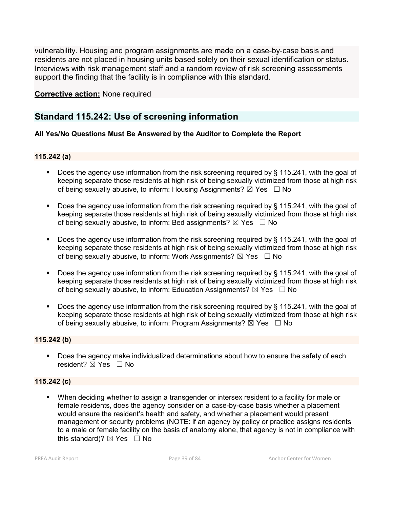vulnerability. Housing and program assignments are made on a case-by-case basis and residents are not placed in housing units based solely on their sexual identification or status. Interviews with risk management staff and a random review of risk screening assessments support the finding that the facility is in compliance with this standard.

## **Corrective action:** None required

# **Standard 115.242: Use of screening information**

## **All Yes/No Questions Must Be Answered by the Auditor to Complete the Report**

#### **115.242 (a)**

- Does the agency use information from the risk screening required by § 115.241, with the goal of keeping separate those residents at high risk of being sexually victimized from those at high risk of being sexually abusive, to inform: Housing Assignments?  $\boxtimes$  Yes  $\Box$  No
- Does the agency use information from the risk screening required by § 115.241, with the goal of keeping separate those residents at high risk of being sexually victimized from those at high risk of being sexually abusive, to inform: Bed assignments?  $\boxtimes$  Yes  $\Box$  No
- Does the agency use information from the risk screening required by § 115.241, with the goal of keeping separate those residents at high risk of being sexually victimized from those at high risk of being sexually abusive, to inform: Work Assignments?  $\boxtimes$  Yes  $\Box$  No
- Does the agency use information from the risk screening required by § 115.241, with the goal of keeping separate those residents at high risk of being sexually victimized from those at high risk of being sexually abusive, to inform: Education Assignments?  $\boxtimes$  Yes  $\Box$  No
- Does the agency use information from the risk screening required by § 115.241, with the goal of keeping separate those residents at high risk of being sexually victimized from those at high risk of being sexually abusive, to inform: Program Assignments?  $\boxtimes$  Yes  $\Box$  No

## **115.242 (b)**

**Does the agency make individualized determinations about how to ensure the safety of each** resident?  $\boxtimes$  Yes  $\Box$  No

## **115.242 (c)**

 When deciding whether to assign a transgender or intersex resident to a facility for male or female residents, does the agency consider on a case-by-case basis whether a placement would ensure the resident's health and safety, and whether a placement would present management or security problems (NOTE: if an agency by policy or practice assigns residents to a male or female facility on the basis of anatomy alone, that agency is not in compliance with this standard)?  $\boxtimes$  Yes  $\Box$  No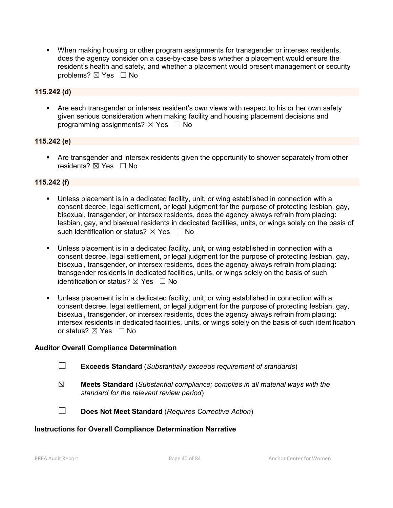When making housing or other program assignments for transgender or intersex residents, does the agency consider on a case-by-case basis whether a placement would ensure the resident's health and safety, and whether a placement would present management or security problems? ⊠ Yes □ No

## **115.242 (d)**

 Are each transgender or intersex resident's own views with respect to his or her own safety given serious consideration when making facility and housing placement decisions and programming assignments?  $\boxtimes$  Yes  $\Box$  No

## **115.242 (e)**

 Are transgender and intersex residents given the opportunity to shower separately from other residents? ⊠ Yes □ No

## **115.242 (f)**

- Unless placement is in a dedicated facility, unit, or wing established in connection with a consent decree, legal settlement, or legal judgment for the purpose of protecting lesbian, gay, bisexual, transgender, or intersex residents, does the agency always refrain from placing: lesbian, gay, and bisexual residents in dedicated facilities, units, or wings solely on the basis of such identification or status?  $\boxtimes$  Yes  $\Box$  No
- Unless placement is in a dedicated facility, unit, or wing established in connection with a consent decree, legal settlement, or legal judgment for the purpose of protecting lesbian, gay, bisexual, transgender, or intersex residents, does the agency always refrain from placing: transgender residents in dedicated facilities, units, or wings solely on the basis of such identification or status?  $\boxtimes$  Yes  $\Box$  No
- Unless placement is in a dedicated facility, unit, or wing established in connection with a consent decree, legal settlement, or legal judgment for the purpose of protecting lesbian, gay, bisexual, transgender, or intersex residents, does the agency always refrain from placing: intersex residents in dedicated facilities, units, or wings solely on the basis of such identification or status?  $\boxtimes$  Yes  $\Box$  No

## **Auditor Overall Compliance Determination**

- ☐ **Exceeds Standard** (*Substantially exceeds requirement of standards*)
- ☒ **Meets Standard** (*Substantial compliance; complies in all material ways with the standard for the relevant review period*)
- ☐ **Does Not Meet Standard** (*Requires Corrective Action*)

## **Instructions for Overall Compliance Determination Narrative**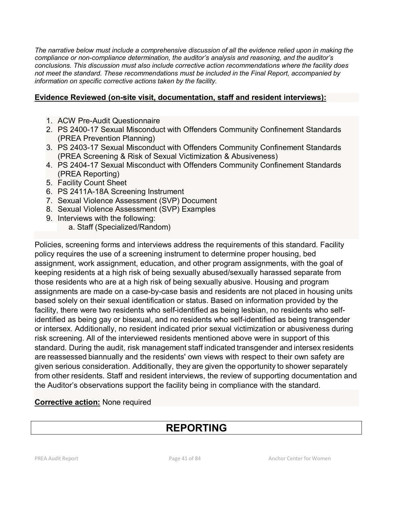*The narrative below must include a comprehensive discussion of all the evidence relied upon in making the compliance or non-compliance determination, the auditor's analysis and reasoning, and the auditor's conclusions. This discussion must also include corrective action recommendations where the facility does not meet the standard. These recommendations must be included in the Final Report, accompanied by information on specific corrective actions taken by the facility.*

## **Evidence Reviewed (on-site visit, documentation, staff and resident interviews):**

- 1. ACW Pre-Audit Questionnaire
- 2. PS 2400-17 Sexual Misconduct with Offenders Community Confinement Standards (PREA Prevention Planning)
- 3. PS 2403-17 Sexual Misconduct with Offenders Community Confinement Standards (PREA Screening & Risk of Sexual Victimization & Abusiveness)
- 4. PS 2404-17 Sexual Misconduct with Offenders Community Confinement Standards (PREA Reporting)
- 5. Facility Count Sheet
- 6. PS 2411A-18A Screening Instrument
- 7. Sexual Violence Assessment (SVP) Document
- 8. Sexual Violence Assessment (SVP) Examples
- 9. Interviews with the following:
	- a. Staff (Specialized/Random)

Policies, screening forms and interviews address the requirements of this standard. Facility policy requires the use of a screening instrument to determine proper housing, bed assignment, work assignment, education, and other program assignments, with the goal of keeping residents at a high risk of being sexually abused/sexually harassed separate from those residents who are at a high risk of being sexually abusive. Housing and program assignments are made on a case-by-case basis and residents are not placed in housing units based solely on their sexual identification or status. Based on information provided by the facility, there were two residents who self-identified as being lesbian, no residents who selfidentified as being gay or bisexual, and no residents who self-identified as being transgender or intersex. Additionally, no resident indicated prior sexual victimization or abusiveness during risk screening. All of the interviewed residents mentioned above were in support of this standard. During the audit, risk management staff indicated transgender and intersex residents are reassessed biannually and the residents' own views with respect to their own safety are given serious consideration. Additionally, they are given the opportunity to shower separately from other residents. Staff and resident interviews, the review of supporting documentation and the Auditor's observations support the facility being in compliance with the standard.

## **Corrective action:** None required

# **REPORTING**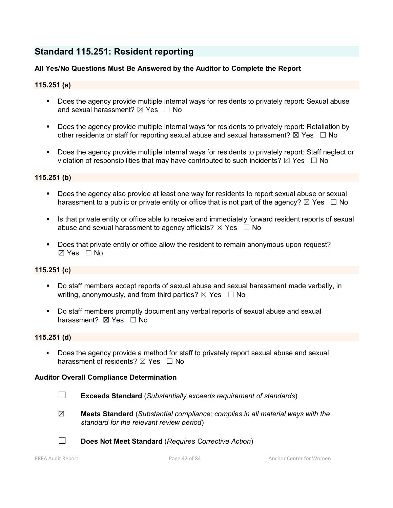# **Standard 115.251: Resident reporting**

## **All Yes/No Questions Must Be Answered by the Auditor to Complete the Report**

## **115.251 (a)**

- Does the agency provide multiple internal ways for residents to privately report: Sexual abuse and sexual harassment?  $\boxtimes$  Yes  $\Box$  No
- Does the agency provide multiple internal ways for residents to privately report: Retaliation by other residents or staff for reporting sexual abuse and sexual harassment?  $\boxtimes$  Yes  $\Box$  No
- Does the agency provide multiple internal ways for residents to privately report: Staff neglect or violation of responsibilities that may have contributed to such incidents?  $\boxtimes$  Yes  $\Box$  No

#### **115.251 (b)**

- Does the agency also provide at least one way for residents to report sexual abuse or sexual harassment to a public or private entity or office that is not part of the agency?  $\boxtimes$  Yes  $\Box$  No
- Is that private entity or office able to receive and immediately forward resident reports of sexual abuse and sexual harassment to agency officials?  $\boxtimes$  Yes  $\Box$  No
- Does that private entity or office allow the resident to remain anonymous upon request?  $\boxtimes$  Yes  $\Box$  No

## **115.251 (c)**

- Do staff members accept reports of sexual abuse and sexual harassment made verbally, in writing, anonymously, and from third parties?  $\boxtimes$  Yes  $\Box$  No
- Do staff members promptly document any verbal reports of sexual abuse and sexual harassment? **⊠** Yes □ No

#### **115.251 (d)**

Does the agency provide a method for staff to privately report sexual abuse and sexual harassment of residents?  $\boxtimes$  Yes  $\Box$  No

- ☐ **Exceeds Standard** (*Substantially exceeds requirement of standards*)
- ☒ **Meets Standard** (*Substantial compliance; complies in all material ways with the standard for the relevant review period*)
- ☐ **Does Not Meet Standard** (*Requires Corrective Action*)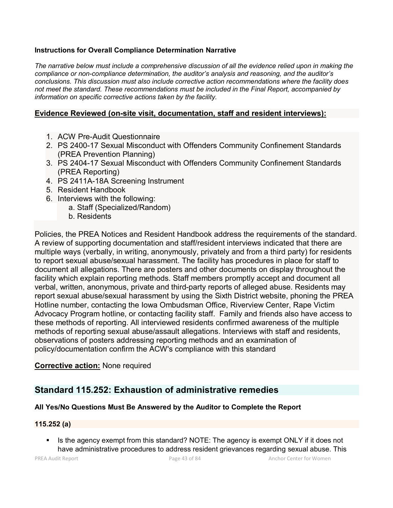## **Instructions for Overall Compliance Determination Narrative**

*The narrative below must include a comprehensive discussion of all the evidence relied upon in making the compliance or non-compliance determination, the auditor's analysis and reasoning, and the auditor's conclusions. This discussion must also include corrective action recommendations where the facility does not meet the standard. These recommendations must be included in the Final Report, accompanied by information on specific corrective actions taken by the facility.*

## **Evidence Reviewed (on-site visit, documentation, staff and resident interviews):**

- 1. ACW Pre-Audit Questionnaire
- 2. PS 2400-17 Sexual Misconduct with Offenders Community Confinement Standards (PREA Prevention Planning)
- 3. PS 2404-17 Sexual Misconduct with Offenders Community Confinement Standards (PREA Reporting)
- 4. PS 2411A-18A Screening Instrument
- 5. Resident Handbook
- 6. Interviews with the following:
	- a. Staff (Specialized/Random)
		- b. Residents

Policies, the PREA Notices and Resident Handbook address the requirements of the standard. A review of supporting documentation and staff/resident interviews indicated that there are multiple ways (verbally, in writing, anonymously, privately and from a third party) for residents to report sexual abuse/sexual harassment. The facility has procedures in place for staff to document all allegations. There are posters and other documents on display throughout the facility which explain reporting methods. Staff members promptly accept and document all verbal, written, anonymous, private and third-party reports of alleged abuse. Residents may report sexual abuse/sexual harassment by using the Sixth District website, phoning the PREA Hotline number, contacting the Iowa Ombudsman Office, Riverview Center, Rape Victim Advocacy Program hotline, or contacting facility staff. Family and friends also have access to these methods of reporting. All interviewed residents confirmed awareness of the multiple methods of reporting sexual abuse/assault allegations. Interviews with staff and residents, observations of posters addressing reporting methods and an examination of policy/documentation confirm the ACW's compliance with this standard

## **Corrective action:** None required

# **Standard 115.252: Exhaustion of administrative remedies**

## **All Yes/No Questions Must Be Answered by the Auditor to Complete the Report**

## **115.252 (a)**

Is the agency exempt from this standard? NOTE: The agency is exempt ONLY if it does not have administrative procedures to address resident grievances regarding sexual abuse. This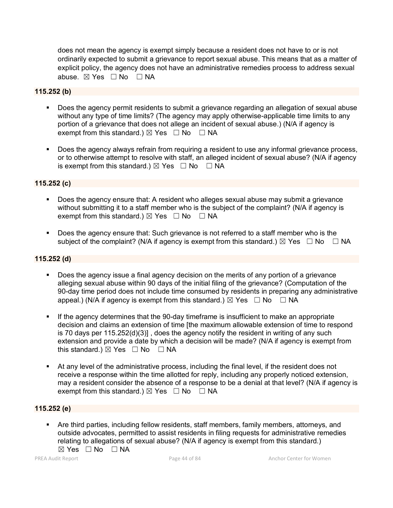does not mean the agency is exempt simply because a resident does not have to or is not ordinarily expected to submit a grievance to report sexual abuse. This means that as a matter of explicit policy, the agency does not have an administrative remedies process to address sexual abuse.  $\boxtimes$  Yes  $\Box$  No  $\Box$  NA

#### **115.252 (b)**

- Does the agency permit residents to submit a grievance regarding an allegation of sexual abuse without any type of time limits? (The agency may apply otherwise-applicable time limits to any portion of a grievance that does not allege an incident of sexual abuse.) (N/A if agency is exempt from this standard.)  $\boxtimes$  Yes  $\Box$  No  $\Box$  NA
- Does the agency always refrain from requiring a resident to use any informal grievance process, or to otherwise attempt to resolve with staff, an alleged incident of sexual abuse? (N/A if agency is exempt from this standard.)  $\boxtimes$  Yes  $\Box$  No  $\Box$  NA

## **115.252 (c)**

- Does the agency ensure that: A resident who alleges sexual abuse may submit a grievance without submitting it to a staff member who is the subject of the complaint? (N/A if agency is exempt from this standard.)  $\boxtimes$  Yes  $\Box$  No  $\Box$  NA
- Does the agency ensure that: Such grievance is not referred to a staff member who is the subject of the complaint? (N/A if agency is exempt from this standard.)  $\boxtimes$  Yes  $\Box$  No  $\Box$  NA

#### **115.252 (d)**

- Does the agency issue a final agency decision on the merits of any portion of a grievance alleging sexual abuse within 90 days of the initial filing of the grievance? (Computation of the 90-day time period does not include time consumed by residents in preparing any administrative appeal.) (N/A if agency is exempt from this standard.)  $\boxtimes$  Yes  $\Box$  No  $\Box$  NA
- If the agency determines that the 90-day timeframe is insufficient to make an appropriate decision and claims an extension of time [the maximum allowable extension of time to respond is 70 days per 115.252(d)(3)] , does the agency notify the resident in writing of any such extension and provide a date by which a decision will be made? (N/A if agency is exempt from this standard.)  $\boxtimes$  Yes  $\Box$  No  $\Box$  NA
- At any level of the administrative process, including the final level, if the resident does not receive a response within the time allotted for reply, including any properly noticed extension, may a resident consider the absence of a response to be a denial at that level? (N/A if agency is exempt from this standard.)  $\boxtimes$  Yes  $\Box$  No  $\Box$  NA

#### **115.252 (e)**

 Are third parties, including fellow residents, staff members, family members, attorneys, and outside advocates, permitted to assist residents in filing requests for administrative remedies relating to allegations of sexual abuse? (N/A if agency is exempt from this standard.)  $\boxtimes$  Yes  $\Box$  No  $\Box$  NA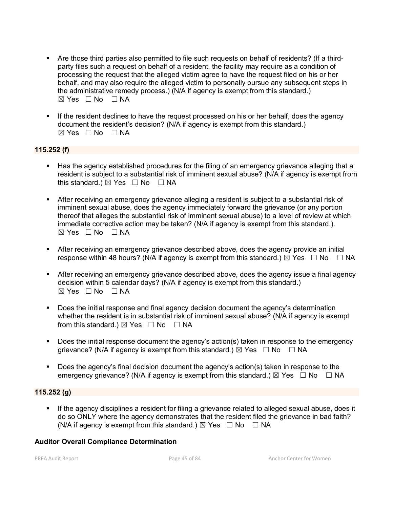- Are those third parties also permitted to file such requests on behalf of residents? (If a thirdparty files such a request on behalf of a resident, the facility may require as a condition of processing the request that the alleged victim agree to have the request filed on his or her behalf, and may also require the alleged victim to personally pursue any subsequent steps in the administrative remedy process.) (N/A if agency is exempt from this standard.) ☒ Yes ☐ No ☐ NA
- If the resident declines to have the request processed on his or her behalf, does the agency document the resident's decision? (N/A if agency is exempt from this standard.)  $\boxtimes$  Yes  $\Box$  No  $\Box$  NA

## **115.252 (f)**

- Has the agency established procedures for the filing of an emergency grievance alleging that a resident is subject to a substantial risk of imminent sexual abuse? (N/A if agency is exempt from this standard.)  $\boxtimes$  Yes  $\Box$  No  $\Box$  NA
- After receiving an emergency grievance alleging a resident is subject to a substantial risk of imminent sexual abuse, does the agency immediately forward the grievance (or any portion thereof that alleges the substantial risk of imminent sexual abuse) to a level of review at which immediate corrective action may be taken? (N/A if agency is exempt from this standard.).  $\boxtimes$  Yes  $\Box$  No  $\Box$  NA
- After receiving an emergency grievance described above, does the agency provide an initial response within 48 hours? (N/A if agency is exempt from this standard.)  $\boxtimes$  Yes  $\Box$  No  $\Box$  NA
- After receiving an emergency grievance described above, does the agency issue a final agency decision within 5 calendar days? (N/A if agency is exempt from this standard.) ☒ Yes ☐ No ☐ NA
- Does the initial response and final agency decision document the agency's determination whether the resident is in substantial risk of imminent sexual abuse? (N/A if agency is exempt from this standard.)  $\boxtimes$  Yes  $\Box$  No  $\Box$  NA
- Does the initial response document the agency's action(s) taken in response to the emergency grievance? (N/A if agency is exempt from this standard.)  $\boxtimes$  Yes  $\Box$  No  $\Box$  NA
- Does the agency's final decision document the agency's action(s) taken in response to the emergency grievance? (N/A if agency is exempt from this standard.)  $\boxtimes$  Yes  $\Box$  No  $\Box$  NA

## **115.252 (g)**

 If the agency disciplines a resident for filing a grievance related to alleged sexual abuse, does it do so ONLY where the agency demonstrates that the resident filed the grievance in bad faith? (N/A if agency is exempt from this standard.)  $\boxtimes$  Yes  $\Box$  No  $\Box$  NA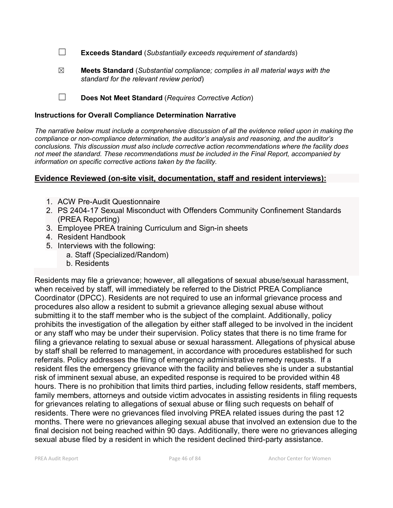☐ **Exceeds Standard** (*Substantially exceeds requirement of standards*)

☒ **Meets Standard** (*Substantial compliance; complies in all material ways with the standard for the relevant review period*)

☐ **Does Not Meet Standard** (*Requires Corrective Action*)

#### **Instructions for Overall Compliance Determination Narrative**

*The narrative below must include a comprehensive discussion of all the evidence relied upon in making the compliance or non-compliance determination, the auditor's analysis and reasoning, and the auditor's conclusions. This discussion must also include corrective action recommendations where the facility does not meet the standard. These recommendations must be included in the Final Report, accompanied by information on specific corrective actions taken by the facility.*

## **Evidence Reviewed (on-site visit, documentation, staff and resident interviews):**

- 1. ACW Pre-Audit Questionnaire
- 2. PS 2404-17 Sexual Misconduct with Offenders Community Confinement Standards (PREA Reporting)
- 3. Employee PREA training Curriculum and Sign-in sheets
- 4. Resident Handbook
- 5. Interviews with the following:
	- a. Staff (Specialized/Random)
	- b. Residents

Residents may file a grievance; however, all allegations of sexual abuse/sexual harassment, when received by staff, will immediately be referred to the District PREA Compliance Coordinator (DPCC). Residents are not required to use an informal grievance process and procedures also allow a resident to submit a grievance alleging sexual abuse without submitting it to the staff member who is the subject of the complaint. Additionally, policy prohibits the investigation of the allegation by either staff alleged to be involved in the incident or any staff who may be under their supervision. Policy states that there is no time frame for filing a grievance relating to sexual abuse or sexual harassment. Allegations of physical abuse by staff shall be referred to management, in accordance with procedures established for such referrals. Policy addresses the filing of emergency administrative remedy requests. If a resident files the emergency grievance with the facility and believes she is under a substantial risk of imminent sexual abuse, an expedited response is required to be provided within 48 hours. There is no prohibition that limits third parties, including fellow residents, staff members, family members, attorneys and outside victim advocates in assisting residents in filing requests for grievances relating to allegations of sexual abuse or filing such requests on behalf of residents. There were no grievances filed involving PREA related issues during the past 12 months. There were no grievances alleging sexual abuse that involved an extension due to the final decision not being reached within 90 days. Additionally, there were no grievances alleging sexual abuse filed by a resident in which the resident declined third-party assistance.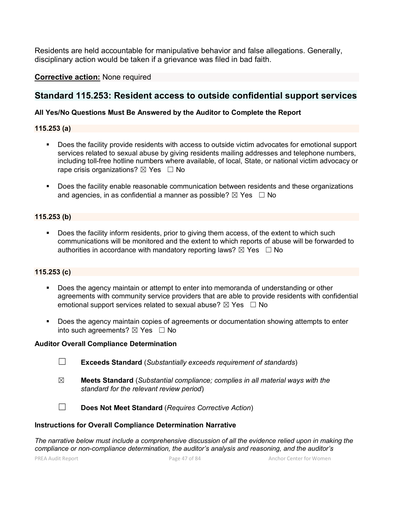Residents are held accountable for manipulative behavior and false allegations. Generally, disciplinary action would be taken if a grievance was filed in bad faith.

**Corrective action:** None required

## **Standard 115.253: Resident access to outside confidential support services**

## **All Yes/No Questions Must Be Answered by the Auditor to Complete the Report**

## **115.253 (a)**

- **Does the facility provide residents with access to outside victim advocates for emotional support** services related to sexual abuse by giving residents mailing addresses and telephone numbers, including toll-free hotline numbers where available, of local, State, or national victim advocacy or rape crisis organizations?  $\boxtimes$  Yes  $\Box$  No
- **Does the facility enable reasonable communication between residents and these organizations** and agencies, in as confidential a manner as possible?  $\boxtimes$  Yes  $\Box$  No

## **115.253 (b)**

Does the facility inform residents, prior to giving them access, of the extent to which such communications will be monitored and the extent to which reports of abuse will be forwarded to authorities in accordance with mandatory reporting laws?  $\boxtimes$  Yes  $\Box$  No

## **115.253 (c)**

- Does the agency maintain or attempt to enter into memoranda of understanding or other agreements with community service providers that are able to provide residents with confidential emotional support services related to sexual abuse?  $\boxtimes$  Yes  $\Box$  No
- Does the agency maintain copies of agreements or documentation showing attempts to enter into such agreements?  $\boxtimes$  Yes  $\Box$  No

## **Auditor Overall Compliance Determination**

- ☐ **Exceeds Standard** (*Substantially exceeds requirement of standards*)
- ☒ **Meets Standard** (*Substantial compliance; complies in all material ways with the standard for the relevant review period*)

☐ **Does Not Meet Standard** (*Requires Corrective Action*)

#### **Instructions for Overall Compliance Determination Narrative**

*The narrative below must include a comprehensive discussion of all the evidence relied upon in making the compliance or non-compliance determination, the auditor's analysis and reasoning, and the auditor's*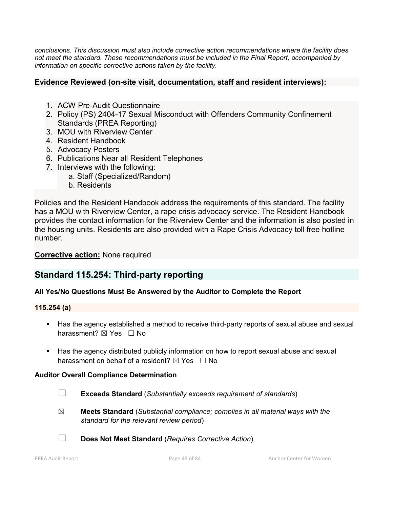*conclusions. This discussion must also include corrective action recommendations where the facility does not meet the standard. These recommendations must be included in the Final Report, accompanied by information on specific corrective actions taken by the facility.*

## **Evidence Reviewed (on-site visit, documentation, staff and resident interviews):**

- 1. ACW Pre-Audit Questionnaire
- 2. Policy (PS) 2404-17 Sexual Misconduct with Offenders Community Confinement Standards (PREA Reporting)
- 3. MOU with Riverview Center
- 4. Resident Handbook
- 5. Advocacy Posters
- 6. Publications Near all Resident Telephones
- 7. Interviews with the following:
	- a. Staff (Specialized/Random)
		- b. Residents

Policies and the Resident Handbook address the requirements of this standard. The facility has a MOU with Riverview Center, a rape crisis advocacy service. The Resident Handbook provides the contact information for the Riverview Center and the information is also posted in the housing units. Residents are also provided with a Rape Crisis Advocacy toll free hotline number.

**Corrective action:** None required

# **Standard 115.254: Third-party reporting**

## **All Yes/No Questions Must Be Answered by the Auditor to Complete the Report**

## **115.254 (a)**

- Has the agency established a method to receive third-party reports of sexual abuse and sexual harassment?  $\boxtimes$  Yes  $\Box$  No
- Has the agency distributed publicly information on how to report sexual abuse and sexual harassment on behalf of a resident?  $\boxtimes$  Yes  $\Box$  No

- ☐ **Exceeds Standard** (*Substantially exceeds requirement of standards*)
- ☒ **Meets Standard** (*Substantial compliance; complies in all material ways with the standard for the relevant review period*)
- ☐ **Does Not Meet Standard** (*Requires Corrective Action*)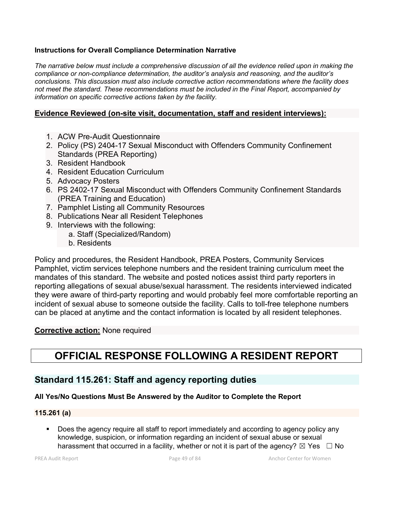## **Instructions for Overall Compliance Determination Narrative**

*The narrative below must include a comprehensive discussion of all the evidence relied upon in making the compliance or non-compliance determination, the auditor's analysis and reasoning, and the auditor's conclusions. This discussion must also include corrective action recommendations where the facility does not meet the standard. These recommendations must be included in the Final Report, accompanied by information on specific corrective actions taken by the facility.*

## **Evidence Reviewed (on-site visit, documentation, staff and resident interviews):**

- 1. ACW Pre-Audit Questionnaire
- 2. Policy (PS) 2404-17 Sexual Misconduct with Offenders Community Confinement Standards (PREA Reporting)
- 3. Resident Handbook
- 4. Resident Education Curriculum
- 5. Advocacy Posters
- 6. PS 2402-17 Sexual Misconduct with Offenders Community Confinement Standards (PREA Training and Education)
- 7. Pamphlet Listing all Community Resources
- 8. Publications Near all Resident Telephones
- 9. Interviews with the following:
	- a. Staff (Specialized/Random)
	- b. Residents

Policy and procedures, the Resident Handbook, PREA Posters, Community Services Pamphlet, victim services telephone numbers and the resident training curriculum meet the mandates of this standard. The website and posted notices assist third party reporters in reporting allegations of sexual abuse/sexual harassment. The residents interviewed indicated they were aware of third-party reporting and would probably feel more comfortable reporting an incident of sexual abuse to someone outside the facility. Calls to toll-free telephone numbers can be placed at anytime and the contact information is located by all resident telephones.

## **Corrective action:** None required

# **OFFICIAL RESPONSE FOLLOWING A RESIDENT REPORT**

## **Standard 115.261: Staff and agency reporting duties**

## **All Yes/No Questions Must Be Answered by the Auditor to Complete the Report**

## **115.261 (a)**

 Does the agency require all staff to report immediately and according to agency policy any knowledge, suspicion, or information regarding an incident of sexual abuse or sexual harassment that occurred in a facility, whether or not it is part of the agency?  $\boxtimes$  Yes  $\Box$  No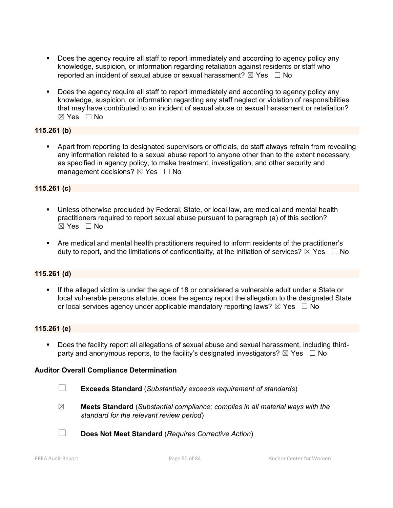- Does the agency require all staff to report immediately and according to agency policy any knowledge, suspicion, or information regarding retaliation against residents or staff who reported an incident of sexual abuse or sexual harassment?  $\boxtimes$  Yes  $\Box$  No
- Does the agency require all staff to report immediately and according to agency policy any knowledge, suspicion, or information regarding any staff neglect or violation of responsibilities that may have contributed to an incident of sexual abuse or sexual harassment or retaliation? ☒ Yes ☐ No

## **115.261 (b)**

 Apart from reporting to designated supervisors or officials, do staff always refrain from revealing any information related to a sexual abuse report to anyone other than to the extent necessary, as specified in agency policy, to make treatment, investigation, and other security and management decisions?  $\boxtimes$  Yes  $\Box$  No

#### **115.261 (c)**

- Unless otherwise precluded by Federal, State, or local law, are medical and mental health practitioners required to report sexual abuse pursuant to paragraph (a) of this section? ☒ Yes ☐ No
- Are medical and mental health practitioners required to inform residents of the practitioner's duty to report, and the limitations of confidentiality, at the initiation of services?  $\boxtimes$  Yes  $\Box$  No

#### **115.261 (d)**

 If the alleged victim is under the age of 18 or considered a vulnerable adult under a State or local vulnerable persons statute, does the agency report the allegation to the designated State or local services agency under applicable mandatory reporting laws?  $\boxtimes$  Yes  $\Box$  No

#### **115.261 (e)**

 Does the facility report all allegations of sexual abuse and sexual harassment, including thirdparty and anonymous reports, to the facility's designated investigators?  $\boxtimes$  Yes  $\Box$  No

- ☐ **Exceeds Standard** (*Substantially exceeds requirement of standards*)
- ☒ **Meets Standard** (*Substantial compliance; complies in all material ways with the standard for the relevant review period*)

☐ **Does Not Meet Standard** (*Requires Corrective Action*)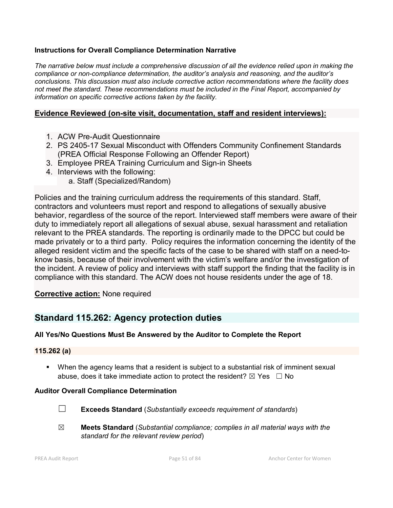## **Instructions for Overall Compliance Determination Narrative**

*The narrative below must include a comprehensive discussion of all the evidence relied upon in making the compliance or non-compliance determination, the auditor's analysis and reasoning, and the auditor's conclusions. This discussion must also include corrective action recommendations where the facility does not meet the standard. These recommendations must be included in the Final Report, accompanied by information on specific corrective actions taken by the facility.*

## **Evidence Reviewed (on-site visit, documentation, staff and resident interviews):**

- 1. ACW Pre-Audit Questionnaire
- 2. PS 2405-17 Sexual Misconduct with Offenders Community Confinement Standards (PREA Official Response Following an Offender Report)
- 3. Employee PREA Training Curriculum and Sign-in Sheets
- 4. Interviews with the following:
	- a. Staff (Specialized/Random)

Policies and the training curriculum address the requirements of this standard. Staff, contractors and volunteers must report and respond to allegations of sexually abusive behavior, regardless of the source of the report. Interviewed staff members were aware of their duty to immediately report all allegations of sexual abuse, sexual harassment and retaliation relevant to the PREA standards. The reporting is ordinarily made to the DPCC but could be made privately or to a third party. Policy requires the information concerning the identity of the alleged resident victim and the specific facts of the case to be shared with staff on a need-toknow basis, because of their involvement with the victim's welfare and/or the investigation of the incident. A review of policy and interviews with staff support the finding that the facility is in compliance with this standard. The ACW does not house residents under the age of 18.

## **Corrective action:** None required

# **Standard 115.262: Agency protection duties**

## **All Yes/No Questions Must Be Answered by the Auditor to Complete the Report**

## **115.262 (a)**

 When the agency learns that a resident is subject to a substantial risk of imminent sexual abuse, does it take immediate action to protect the resident?  $\boxtimes$  Yes  $\Box$  No

- ☐ **Exceeds Standard** (*Substantially exceeds requirement of standards*)
- ☒ **Meets Standard** (*Substantial compliance; complies in all material ways with the standard for the relevant review period*)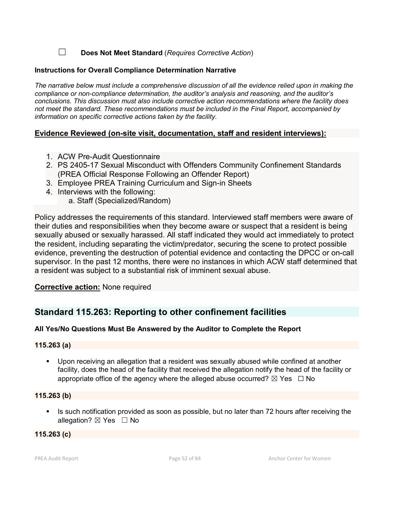☐ **Does Not Meet Standard** (*Requires Corrective Action*)

#### **Instructions for Overall Compliance Determination Narrative**

*The narrative below must include a comprehensive discussion of all the evidence relied upon in making the compliance or non-compliance determination, the auditor's analysis and reasoning, and the auditor's conclusions. This discussion must also include corrective action recommendations where the facility does not meet the standard. These recommendations must be included in the Final Report, accompanied by information on specific corrective actions taken by the facility.*

## **Evidence Reviewed (on-site visit, documentation, staff and resident interviews):**

- 1. ACW Pre-Audit Questionnaire
- 2. PS 2405-17 Sexual Misconduct with Offenders Community Confinement Standards (PREA Official Response Following an Offender Report)
- 3. Employee PREA Training Curriculum and Sign-in Sheets
- 4. Interviews with the following:
	- a. Staff (Specialized/Random)

Policy addresses the requirements of this standard. Interviewed staff members were aware of their duties and responsibilities when they become aware or suspect that a resident is being sexually abused or sexually harassed. All staff indicated they would act immediately to protect the resident, including separating the victim/predator, securing the scene to protect possible evidence, preventing the destruction of potential evidence and contacting the DPCC or on-call supervisor. In the past 12 months, there were no instances in which ACW staff determined that a resident was subject to a substantial risk of imminent sexual abuse.

## **Corrective action:** None required

# **Standard 115.263: Reporting to other confinement facilities**

## **All Yes/No Questions Must Be Answered by the Auditor to Complete the Report**

## **115.263 (a)**

 Upon receiving an allegation that a resident was sexually abused while confined at another facility, does the head of the facility that received the allegation notify the head of the facility or appropriate office of the agency where the alleged abuse occurred?  $\boxtimes$  Yes  $\Box$  No

#### **115.263 (b)**

If Is such notification provided as soon as possible, but no later than 72 hours after receiving the allegation?  $\boxtimes$  Yes  $\Box$  No

## **115.263 (c)**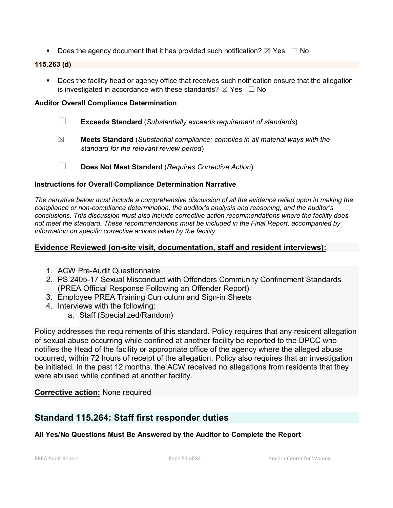Does the agency document that it has provided such notification?  $\boxtimes$  Yes  $\Box$  No

## **115.263 (d)**

**Does the facility head or agency office that receives such notification ensure that the allegation** is investigated in accordance with these standards?  $\boxtimes$  Yes  $\Box$  No

## **Auditor Overall Compliance Determination**

- ☐ **Exceeds Standard** (*Substantially exceeds requirement of standards*)
- ☒ **Meets Standard** (*Substantial compliance; complies in all material ways with the standard for the relevant review period*)
- ☐ **Does Not Meet Standard** (*Requires Corrective Action*)

## **Instructions for Overall Compliance Determination Narrative**

*The narrative below must include a comprehensive discussion of all the evidence relied upon in making the compliance or non-compliance determination, the auditor's analysis and reasoning, and the auditor's conclusions. This discussion must also include corrective action recommendations where the facility does not meet the standard. These recommendations must be included in the Final Report, accompanied by information on specific corrective actions taken by the facility.*

## **Evidence Reviewed (on-site visit, documentation, staff and resident interviews):**

- 1. ACW Pre-Audit Questionnaire
- 2. PS 2405-17 Sexual Misconduct with Offenders Community Confinement Standards (PREA Official Response Following an Offender Report)
- 3. Employee PREA Training Curriculum and Sign-in Sheets
- 4. Interviews with the following:
	- a. Staff (Specialized/Random)

Policy addresses the requirements of this standard. Policy requires that any resident allegation of sexual abuse occurring while confined at another facility be reported to the DPCC who notifies the Head of the facility or appropriate office of the agency where the alleged abuse occurred, within 72 hours of receipt of the allegation. Policy also requires that an investigation be initiated. In the past 12 months, the ACW received no allegations from residents that they were abused while confined at another facility.

## **Corrective action:** None required

# **Standard 115.264: Staff first responder duties**

## **All Yes/No Questions Must Be Answered by the Auditor to Complete the Report**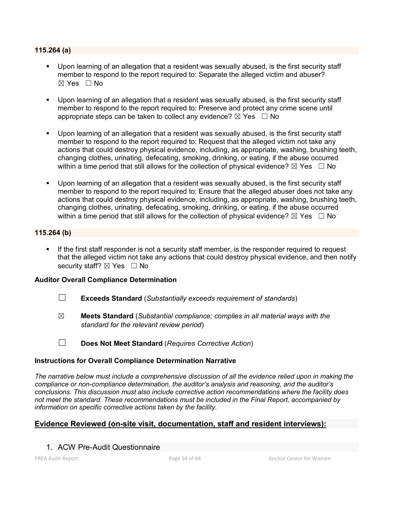#### **115.264 (a)**

- Upon learning of an allegation that a resident was sexually abused, is the first security staff member to respond to the report required to: Separate the alleged victim and abuser?  $\boxtimes$  Yes  $\Box$  No
- Upon learning of an allegation that a resident was sexually abused, is the first security staff member to respond to the report required to: Preserve and protect any crime scene until appropriate steps can be taken to collect any evidence?  $\boxtimes$  Yes  $\Box$  No
- Upon learning of an allegation that a resident was sexually abused, is the first security staff member to respond to the report required to: Request that the alleged victim not take any actions that could destroy physical evidence, including, as appropriate, washing, brushing teeth, changing clothes, urinating, defecating, smoking, drinking, or eating, if the abuse occurred within a time period that still allows for the collection of physical evidence?  $\boxtimes$  Yes  $\Box$  No
- Upon learning of an allegation that a resident was sexually abused, is the first security staff member to respond to the report required to: Ensure that the alleged abuser does not take any actions that could destroy physical evidence, including, as appropriate, washing, brushing teeth, changing clothes, urinating, defecating, smoking, drinking, or eating, if the abuse occurred within a time period that still allows for the collection of physical evidence?  $\boxtimes$  Yes  $\Box$  No

## **115.264 (b)**

 If the first staff responder is not a security staff member, is the responder required to request that the alleged victim not take any actions that could destroy physical evidence, and then notify security staff? ⊠ Yes □ No

#### **Auditor Overall Compliance Determination**

- ☐ **Exceeds Standard** (*Substantially exceeds requirement of standards*)
- ☒ **Meets Standard** (*Substantial compliance; complies in all material ways with the standard for the relevant review period*)
- ☐ **Does Not Meet Standard** (*Requires Corrective Action*)

#### **Instructions for Overall Compliance Determination Narrative**

*The narrative below must include a comprehensive discussion of all the evidence relied upon in making the compliance or non-compliance determination, the auditor's analysis and reasoning, and the auditor's conclusions. This discussion must also include corrective action recommendations where the facility does not meet the standard. These recommendations must be included in the Final Report, accompanied by information on specific corrective actions taken by the facility.*

## **Evidence Reviewed (on-site visit, documentation, staff and resident interviews):**

## 1. ACW Pre-Audit Questionnaire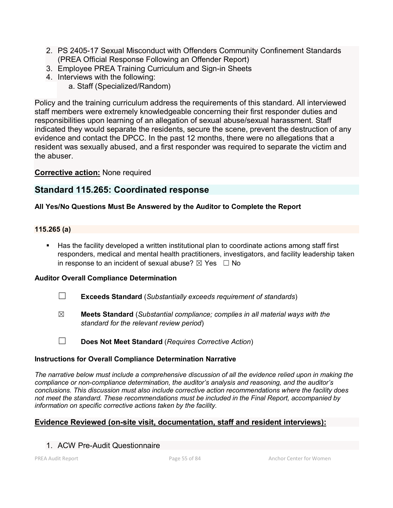- 2. PS 2405-17 Sexual Misconduct with Offenders Community Confinement Standards (PREA Official Response Following an Offender Report)
- 3. Employee PREA Training Curriculum and Sign-in Sheets
- 4. Interviews with the following: a. Staff (Specialized/Random)

Policy and the training curriculum address the requirements of this standard. All interviewed staff members were extremely knowledgeable concerning their first responder duties and responsibilities upon learning of an allegation of sexual abuse/sexual harassment. Staff indicated they would separate the residents, secure the scene, prevent the destruction of any evidence and contact the DPCC. In the past 12 months, there were no allegations that a resident was sexually abused, and a first responder was required to separate the victim and the abuser.

**Corrective action:** None required

# **Standard 115.265: Coordinated response**

## **All Yes/No Questions Must Be Answered by the Auditor to Complete the Report**

## **115.265 (a)**

 Has the facility developed a written institutional plan to coordinate actions among staff first responders, medical and mental health practitioners, investigators, and facility leadership taken in response to an incident of sexual abuse?  $\boxtimes$  Yes  $\Box$  No

## **Auditor Overall Compliance Determination**

- ☐ **Exceeds Standard** (*Substantially exceeds requirement of standards*)
- ☒ **Meets Standard** (*Substantial compliance; complies in all material ways with the standard for the relevant review period*)
- ☐ **Does Not Meet Standard** (*Requires Corrective Action*)

## **Instructions for Overall Compliance Determination Narrative**

*The narrative below must include a comprehensive discussion of all the evidence relied upon in making the compliance or non-compliance determination, the auditor's analysis and reasoning, and the auditor's conclusions. This discussion must also include corrective action recommendations where the facility does not meet the standard. These recommendations must be included in the Final Report, accompanied by information on specific corrective actions taken by the facility.*

## **Evidence Reviewed (on-site visit, documentation, staff and resident interviews):**

## 1. ACW Pre-Audit Questionnaire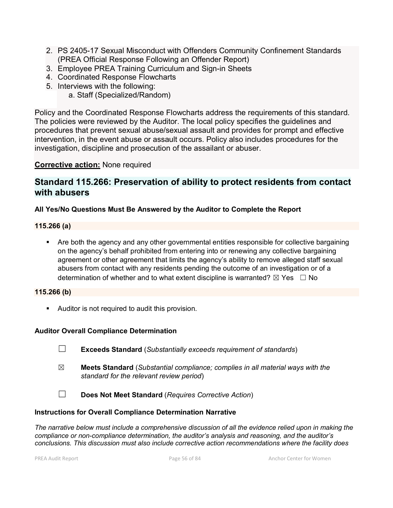- 2. PS 2405-17 Sexual Misconduct with Offenders Community Confinement Standards (PREA Official Response Following an Offender Report)
- 3. Employee PREA Training Curriculum and Sign-in Sheets
- 4. Coordinated Response Flowcharts
- 5. Interviews with the following:

a. Staff (Specialized/Random)

Policy and the Coordinated Response Flowcharts address the requirements of this standard. The policies were reviewed by the Auditor. The local policy specifies the guidelines and procedures that prevent sexual abuse/sexual assault and provides for prompt and effective intervention, in the event abuse or assault occurs. Policy also includes procedures for the investigation, discipline and prosecution of the assailant or abuser.

## **Corrective action:** None required

# **Standard 115.266: Preservation of ability to protect residents from contact with abusers**

## **All Yes/No Questions Must Be Answered by the Auditor to Complete the Report**

## **115.266 (a)**

 Are both the agency and any other governmental entities responsible for collective bargaining on the agency's behalf prohibited from entering into or renewing any collective bargaining agreement or other agreement that limits the agency's ability to remove alleged staff sexual abusers from contact with any residents pending the outcome of an investigation or of a determination of whether and to what extent discipline is warranted?  $\boxtimes$  Yes  $\Box$  No

## **115.266 (b)**

**Auditor is not required to audit this provision.** 

## **Auditor Overall Compliance Determination**

- ☐ **Exceeds Standard** (*Substantially exceeds requirement of standards*)
- ☒ **Meets Standard** (*Substantial compliance; complies in all material ways with the standard for the relevant review period*)
- ☐ **Does Not Meet Standard** (*Requires Corrective Action*)

## **Instructions for Overall Compliance Determination Narrative**

*The narrative below must include a comprehensive discussion of all the evidence relied upon in making the compliance or non-compliance determination, the auditor's analysis and reasoning, and the auditor's conclusions. This discussion must also include corrective action recommendations where the facility does*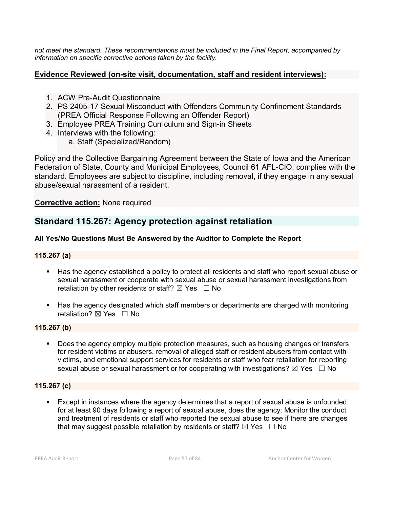*not meet the standard. These recommendations must be included in the Final Report, accompanied by information on specific corrective actions taken by the facility.*

## **Evidence Reviewed (on-site visit, documentation, staff and resident interviews):**

- 1. ACW Pre-Audit Questionnaire
- 2. PS 2405-17 Sexual Misconduct with Offenders Community Confinement Standards (PREA Official Response Following an Offender Report)
- 3. Employee PREA Training Curriculum and Sign-in Sheets
- 4. Interviews with the following:
	- a. Staff (Specialized/Random)

Policy and the Collective Bargaining Agreement between the State of Iowa and the American Federation of State, County and Municipal Employees, Council 61 AFL-CIO, complies with the standard. Employees are subject to discipline, including removal, if they engage in any sexual abuse/sexual harassment of a resident.

## **Corrective action:** None required

# **Standard 115.267: Agency protection against retaliation**

## **All Yes/No Questions Must Be Answered by the Auditor to Complete the Report**

## **115.267 (a)**

- Has the agency established a policy to protect all residents and staff who report sexual abuse or sexual harassment or cooperate with sexual abuse or sexual harassment investigations from retaliation by other residents or staff?  $\boxtimes$  Yes  $\Box$  No
- Has the agency designated which staff members or departments are charged with monitoring retaliation? ⊠ Yes □ No

## **115.267 (b)**

 Does the agency employ multiple protection measures, such as housing changes or transfers for resident victims or abusers, removal of alleged staff or resident abusers from contact with victims, and emotional support services for residents or staff who fear retaliation for reporting sexual abuse or sexual harassment or for cooperating with investigations?  $\boxtimes$  Yes  $\Box$  No

## **115.267 (c)**

 Except in instances where the agency determines that a report of sexual abuse is unfounded, for at least 90 days following a report of sexual abuse, does the agency: Monitor the conduct and treatment of residents or staff who reported the sexual abuse to see if there are changes that may suggest possible retaliation by residents or staff?  $\boxtimes$  Yes  $\Box$  No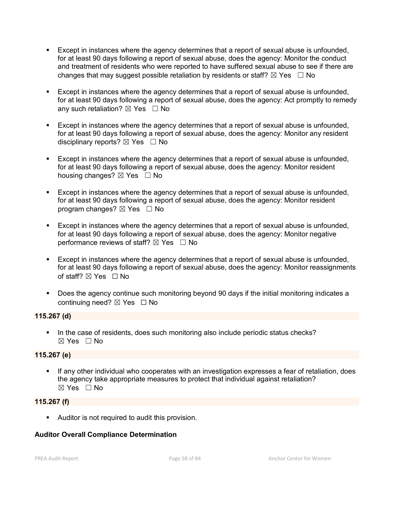- Except in instances where the agency determines that a report of sexual abuse is unfounded, for at least 90 days following a report of sexual abuse, does the agency: Monitor the conduct and treatment of residents who were reported to have suffered sexual abuse to see if there are changes that may suggest possible retaliation by residents or staff?  $\boxtimes$  Yes  $\Box$  No
- Except in instances where the agency determines that a report of sexual abuse is unfounded, for at least 90 days following a report of sexual abuse, does the agency: Act promptly to remedy any such retaliation?  $\boxtimes$  Yes  $\Box$  No
- Except in instances where the agency determines that a report of sexual abuse is unfounded, for at least 90 days following a report of sexual abuse, does the agency: Monitor any resident disciplinary reports?  $\boxtimes$  Yes  $\Box$  No
- Except in instances where the agency determines that a report of sexual abuse is unfounded, for at least 90 days following a report of sexual abuse, does the agency: Monitor resident housing changes?  $\boxtimes$  Yes  $\Box$  No
- Except in instances where the agency determines that a report of sexual abuse is unfounded, for at least 90 days following a report of sexual abuse, does the agency: Monitor resident program changes?  $\boxtimes$  Yes  $\Box$  No
- Except in instances where the agency determines that a report of sexual abuse is unfounded, for at least 90 days following a report of sexual abuse, does the agency: Monitor negative performance reviews of staff?  $\boxtimes$  Yes  $\Box$  No
- Except in instances where the agency determines that a report of sexual abuse is unfounded, for at least 90 days following a report of sexual abuse, does the agency: Monitor reassignments of staff?  $\boxtimes$  Yes  $\Box$  No
- Does the agency continue such monitoring beyond 90 days if the initial monitoring indicates a continuing need?  $\boxtimes$  Yes  $\Box$  No

## **115.267 (d)**

In the case of residents, does such monitoring also include periodic status checks? ☒ Yes ☐ No

## **115.267 (e)**

 If any other individual who cooperates with an investigation expresses a fear of retaliation, does the agency take appropriate measures to protect that individual against retaliation?  $\boxtimes$  Yes  $\Box$  No

## **115.267 (f)**

Auditor is not required to audit this provision.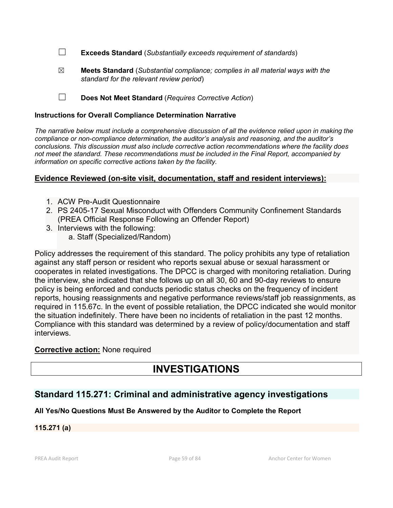☐ **Exceeds Standard** (*Substantially exceeds requirement of standards*)

☒ **Meets Standard** (*Substantial compliance; complies in all material ways with the standard for the relevant review period*)

☐ **Does Not Meet Standard** (*Requires Corrective Action*)

#### **Instructions for Overall Compliance Determination Narrative**

*The narrative below must include a comprehensive discussion of all the evidence relied upon in making the compliance or non-compliance determination, the auditor's analysis and reasoning, and the auditor's conclusions. This discussion must also include corrective action recommendations where the facility does not meet the standard. These recommendations must be included in the Final Report, accompanied by information on specific corrective actions taken by the facility.*

## **Evidence Reviewed (on-site visit, documentation, staff and resident interviews):**

- 1. ACW Pre-Audit Questionnaire
- 2. PS 2405-17 Sexual Misconduct with Offenders Community Confinement Standards (PREA Official Response Following an Offender Report)
- 3. Interviews with the following:
	- a. Staff (Specialized/Random)

Policy addresses the requirement of this standard. The policy prohibits any type of retaliation against any staff person or resident who reports sexual abuse or sexual harassment or cooperates in related investigations. The DPCC is charged with monitoring retaliation. During the interview, she indicated that she follows up on all 30, 60 and 90-day reviews to ensure policy is being enforced and conducts periodic status checks on the frequency of incident reports, housing reassignments and negative performance reviews/staff job reassignments, as required in 115.67c. In the event of possible retaliation, the DPCC indicated she would monitor the situation indefinitely. There have been no incidents of retaliation in the past 12 months. Compliance with this standard was determined by a review of policy/documentation and staff interviews.

## **Corrective action:** None required

# **INVESTIGATIONS**

# **Standard 115.271: Criminal and administrative agency investigations**

## **All Yes/No Questions Must Be Answered by the Auditor to Complete the Report**

## **115.271 (a)**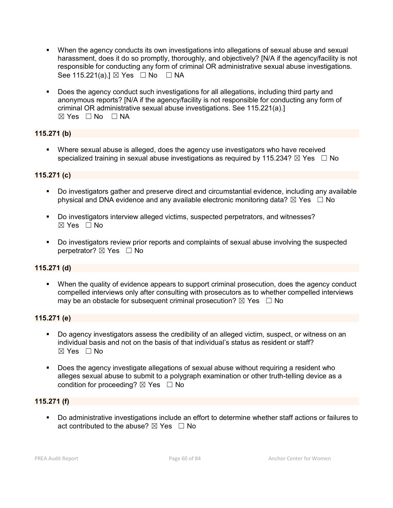- When the agency conducts its own investigations into allegations of sexual abuse and sexual harassment, does it do so promptly, thoroughly, and objectively? [N/A if the agency/facility is not responsible for conducting any form of criminal OR administrative sexual abuse investigations. See 115.221(a).] ⊠ Yes □ No □ NA
- Does the agency conduct such investigations for all allegations, including third party and anonymous reports? [N/A if the agency/facility is not responsible for conducting any form of criminal OR administrative sexual abuse investigations. See 115.221(a).] ☒ Yes ☐ No ☐ NA

## **115.271 (b)**

 Where sexual abuse is alleged, does the agency use investigators who have received specialized training in sexual abuse investigations as required by 115.234?  $\boxtimes$  Yes  $\Box$  No

## **115.271 (c)**

- Do investigators gather and preserve direct and circumstantial evidence, including any available physical and DNA evidence and any available electronic monitoring data?  $\boxtimes$  Yes  $\Box$  No
- Do investigators interview alleged victims, suspected perpetrators, and witnesses?  $\boxtimes$  Yes  $\Box$  No
- Do investigators review prior reports and complaints of sexual abuse involving the suspected perpetrator? ⊠ Yes □ No

## **115.271 (d)**

 When the quality of evidence appears to support criminal prosecution, does the agency conduct compelled interviews only after consulting with prosecutors as to whether compelled interviews may be an obstacle for subsequent criminal prosecution?  $\boxtimes$  Yes  $\Box$  No

## **115.271 (e)**

- Do agency investigators assess the credibility of an alleged victim, suspect, or witness on an individual basis and not on the basis of that individual's status as resident or staff?  $\boxtimes$  Yes  $\Box$  No
- Does the agency investigate allegations of sexual abuse without requiring a resident who alleges sexual abuse to submit to a polygraph examination or other truth-telling device as a condition for proceeding?  $\boxtimes$  Yes  $\Box$  No

## **115.271 (f)**

 Do administrative investigations include an effort to determine whether staff actions or failures to act contributed to the abuse?  $\boxtimes$  Yes  $\Box$  No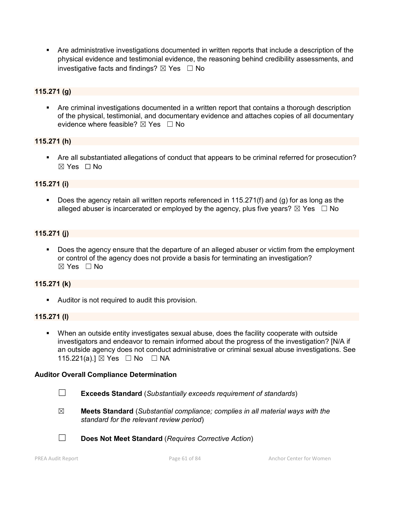Are administrative investigations documented in written reports that include a description of the physical evidence and testimonial evidence, the reasoning behind credibility assessments, and investigative facts and findings?  $\boxtimes$  Yes  $\Box$  No

## **115.271 (g)**

 Are criminal investigations documented in a written report that contains a thorough description of the physical, testimonial, and documentary evidence and attaches copies of all documentary evidence where feasible?  $\boxtimes$  Yes  $\Box$  No

## **115.271 (h)**

 Are all substantiated allegations of conduct that appears to be criminal referred for prosecution? ☒ Yes ☐ No

## **115.271 (i)**

 Does the agency retain all written reports referenced in 115.271(f) and (g) for as long as the alleged abuser is incarcerated or employed by the agency, plus five years?  $\boxtimes$  Yes  $\Box$  No

## **115.271 (j)**

 Does the agency ensure that the departure of an alleged abuser or victim from the employment or control of the agency does not provide a basis for terminating an investigation?  $\boxtimes$  Yes  $\Box$  No

## **115.271 (k)**

**Auditor is not required to audit this provision.** 

## **115.271 (l)**

 When an outside entity investigates sexual abuse, does the facility cooperate with outside investigators and endeavor to remain informed about the progress of the investigation? [N/A if an outside agency does not conduct administrative or criminal sexual abuse investigations. See 115.221(a).] ⊠ Yes □ No □ NA

- ☐ **Exceeds Standard** (*Substantially exceeds requirement of standards*)
- ☒ **Meets Standard** (*Substantial compliance; complies in all material ways with the standard for the relevant review period*)
- ☐ **Does Not Meet Standard** (*Requires Corrective Action*)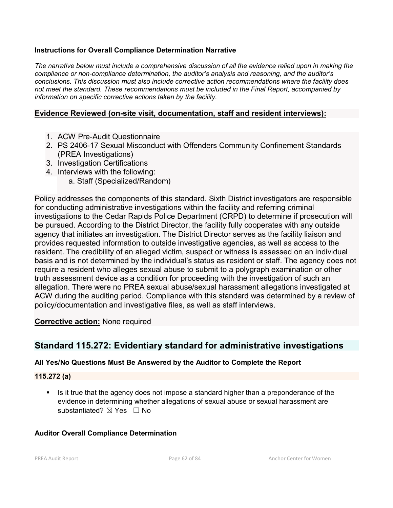## **Instructions for Overall Compliance Determination Narrative**

*The narrative below must include a comprehensive discussion of all the evidence relied upon in making the compliance or non-compliance determination, the auditor's analysis and reasoning, and the auditor's conclusions. This discussion must also include corrective action recommendations where the facility does not meet the standard. These recommendations must be included in the Final Report, accompanied by information on specific corrective actions taken by the facility.*

## **Evidence Reviewed (on-site visit, documentation, staff and resident interviews):**

- 1. ACW Pre-Audit Questionnaire
- 2. PS 2406-17 Sexual Misconduct with Offenders Community Confinement Standards (PREA Investigations)
- 3. Investigation Certifications
- 4. Interviews with the following:
	- a. Staff (Specialized/Random)

Policy addresses the components of this standard. Sixth District investigators are responsible for conducting administrative investigations within the facility and referring criminal investigations to the Cedar Rapids Police Department (CRPD) to determine if prosecution will be pursued. According to the District Director, the facility fully cooperates with any outside agency that initiates an investigation. The District Director serves as the facility liaison and provides requested information to outside investigative agencies, as well as access to the resident. The credibility of an alleged victim, suspect or witness is assessed on an individual basis and is not determined by the individual's status as resident or staff. The agency does not require a resident who alleges sexual abuse to submit to a polygraph examination or other truth assessment device as a condition for proceeding with the investigation of such an allegation. There were no PREA sexual abuse/sexual harassment allegations investigated at ACW during the auditing period. Compliance with this standard was determined by a review of policy/documentation and investigative files, as well as staff interviews.

## **Corrective action:** None required

## **Standard 115.272: Evidentiary standard for administrative investigations**

## **All Yes/No Questions Must Be Answered by the Auditor to Complete the Report**

## **115.272 (a)**

 Is it true that the agency does not impose a standard higher than a preponderance of the evidence in determining whether allegations of sexual abuse or sexual harassment are substantiated? ⊠ Yes □ No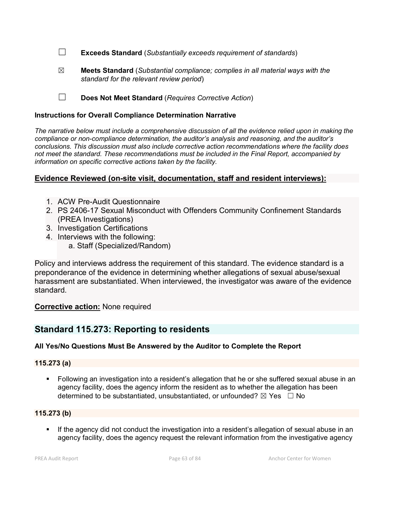☐ **Exceeds Standard** (*Substantially exceeds requirement of standards*)

☒ **Meets Standard** (*Substantial compliance; complies in all material ways with the standard for the relevant review period*)

☐ **Does Not Meet Standard** (*Requires Corrective Action*)

#### **Instructions for Overall Compliance Determination Narrative**

*The narrative below must include a comprehensive discussion of all the evidence relied upon in making the compliance or non-compliance determination, the auditor's analysis and reasoning, and the auditor's conclusions. This discussion must also include corrective action recommendations where the facility does not meet the standard. These recommendations must be included in the Final Report, accompanied by information on specific corrective actions taken by the facility.*

## **Evidence Reviewed (on-site visit, documentation, staff and resident interviews):**

- 1. ACW Pre-Audit Questionnaire
- 2. PS 2406-17 Sexual Misconduct with Offenders Community Confinement Standards (PREA Investigations)
- 3. Investigation Certifications
- 4. Interviews with the following:
	- a. Staff (Specialized/Random)

Policy and interviews address the requirement of this standard. The evidence standard is a preponderance of the evidence in determining whether allegations of sexual abuse/sexual harassment are substantiated. When interviewed, the investigator was aware of the evidence standard.

## **Corrective action:** None required

# **Standard 115.273: Reporting to residents**

## **All Yes/No Questions Must Be Answered by the Auditor to Complete the Report**

## **115.273 (a)**

 Following an investigation into a resident's allegation that he or she suffered sexual abuse in an agency facility, does the agency inform the resident as to whether the allegation has been determined to be substantiated, unsubstantiated, or unfounded?  $\boxtimes$  Yes  $\Box$  No

## **115.273 (b)**

 If the agency did not conduct the investigation into a resident's allegation of sexual abuse in an agency facility, does the agency request the relevant information from the investigative agency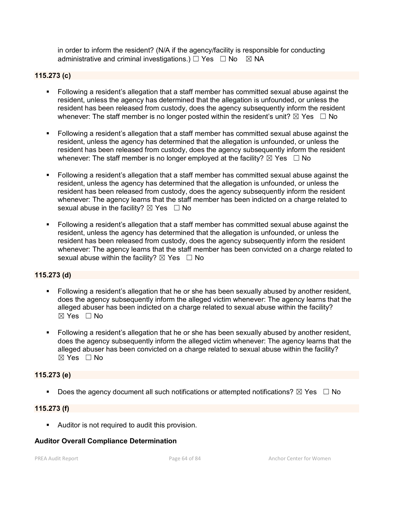in order to inform the resident? (N/A if the agency/facility is responsible for conducting administrative and criminal investigations.)  $\Box$  Yes  $\Box$  No  $\boxtimes$  NA

## **115.273 (c)**

- Following a resident's allegation that a staff member has committed sexual abuse against the resident, unless the agency has determined that the allegation is unfounded, or unless the resident has been released from custody, does the agency subsequently inform the resident whenever: The staff member is no longer posted within the resident's unit?  $\boxtimes$  Yes  $\Box$  No
- Following a resident's allegation that a staff member has committed sexual abuse against the resident, unless the agency has determined that the allegation is unfounded, or unless the resident has been released from custody, does the agency subsequently inform the resident whenever: The staff member is no longer employed at the facility?  $\boxtimes$  Yes  $\Box$  No
- Following a resident's allegation that a staff member has committed sexual abuse against the resident, unless the agency has determined that the allegation is unfounded, or unless the resident has been released from custody, does the agency subsequently inform the resident whenever: The agency learns that the staff member has been indicted on a charge related to sexual abuse in the facility?  $\boxtimes$  Yes  $\Box$  No
- Following a resident's allegation that a staff member has committed sexual abuse against the resident, unless the agency has determined that the allegation is unfounded, or unless the resident has been released from custody, does the agency subsequently inform the resident whenever: The agency learns that the staff member has been convicted on a charge related to sexual abuse within the facility?  $\boxtimes$  Yes  $\Box$  No

## **115.273 (d)**

- Following a resident's allegation that he or she has been sexually abused by another resident, does the agency subsequently inform the alleged victim whenever: The agency learns that the alleged abuser has been indicted on a charge related to sexual abuse within the facility? ☒ Yes ☐ No
- Following a resident's allegation that he or she has been sexually abused by another resident, does the agency subsequently inform the alleged victim whenever: The agency learns that the alleged abuser has been convicted on a charge related to sexual abuse within the facility?  $\boxtimes$  Yes  $\Box$  No

## **115.273 (e)**

Does the agency document all such notifications or attempted notifications?  $\boxtimes$  Yes  $\Box$  No

## **115.273 (f)**

**Auditor is not required to audit this provision.**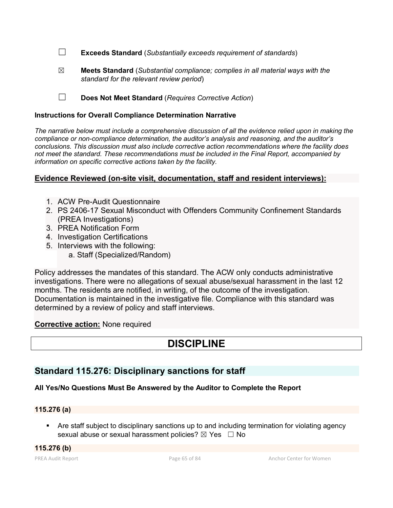☐ **Exceeds Standard** (*Substantially exceeds requirement of standards*)

☒ **Meets Standard** (*Substantial compliance; complies in all material ways with the standard for the relevant review period*)

☐ **Does Not Meet Standard** (*Requires Corrective Action*)

#### **Instructions for Overall Compliance Determination Narrative**

*The narrative below must include a comprehensive discussion of all the evidence relied upon in making the compliance or non-compliance determination, the auditor's analysis and reasoning, and the auditor's conclusions. This discussion must also include corrective action recommendations where the facility does not meet the standard. These recommendations must be included in the Final Report, accompanied by information on specific corrective actions taken by the facility.*

## **Evidence Reviewed (on-site visit, documentation, staff and resident interviews):**

- 1. ACW Pre-Audit Questionnaire
- 2. PS 2406-17 Sexual Misconduct with Offenders Community Confinement Standards (PREA Investigations)
- 3. PREA Notification Form
- 4. Investigation Certifications
- 5. Interviews with the following:
	- a. Staff (Specialized/Random)

Policy addresses the mandates of this standard. The ACW only conducts administrative investigations. There were no allegations of sexual abuse/sexual harassment in the last 12 months. The residents are notified, in writing, of the outcome of the investigation. Documentation is maintained in the investigative file. Compliance with this standard was determined by a review of policy and staff interviews.

## **Corrective action:** None required

# **DISCIPLINE**

## **Standard 115.276: Disciplinary sanctions for staff**

## **All Yes/No Questions Must Be Answered by the Auditor to Complete the Report**

#### **115.276 (a)**

 Are staff subject to disciplinary sanctions up to and including termination for violating agency sexual abuse or sexual harassment policies? ⊠ Yes □ No

**115.276 (b)**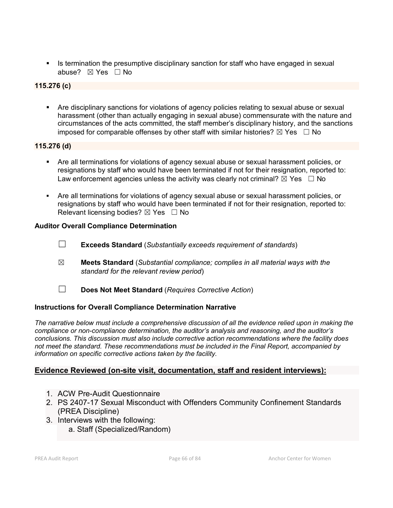Is termination the presumptive disciplinary sanction for staff who have engaged in sexual abuse? ☒ Yes ☐ No

## **115.276 (c)**

 Are disciplinary sanctions for violations of agency policies relating to sexual abuse or sexual harassment (other than actually engaging in sexual abuse) commensurate with the nature and circumstances of the acts committed, the staff member's disciplinary history, and the sanctions imposed for comparable offenses by other staff with similar histories?  $\boxtimes$  Yes  $\Box$  No

## **115.276 (d)**

- Are all terminations for violations of agency sexual abuse or sexual harassment policies, or resignations by staff who would have been terminated if not for their resignation, reported to: Law enforcement agencies unless the activity was clearly not criminal?  $\boxtimes$  Yes  $\Box$  No
- Are all terminations for violations of agency sexual abuse or sexual harassment policies, or resignations by staff who would have been terminated if not for their resignation, reported to: Relevant licensing bodies?  $\boxtimes$  Yes  $\Box$  No

## **Auditor Overall Compliance Determination**

- ☐ **Exceeds Standard** (*Substantially exceeds requirement of standards*)
- ☒ **Meets Standard** (*Substantial compliance; complies in all material ways with the standard for the relevant review period*)
- ☐ **Does Not Meet Standard** (*Requires Corrective Action*)

## **Instructions for Overall Compliance Determination Narrative**

*The narrative below must include a comprehensive discussion of all the evidence relied upon in making the compliance or non-compliance determination, the auditor's analysis and reasoning, and the auditor's conclusions. This discussion must also include corrective action recommendations where the facility does not meet the standard. These recommendations must be included in the Final Report, accompanied by information on specific corrective actions taken by the facility.*

## **Evidence Reviewed (on-site visit, documentation, staff and resident interviews):**

- 1. ACW Pre-Audit Questionnaire
- 2. PS 2407-17 Sexual Misconduct with Offenders Community Confinement Standards (PREA Discipline)
- 3. Interviews with the following:
	- a. Staff (Specialized/Random)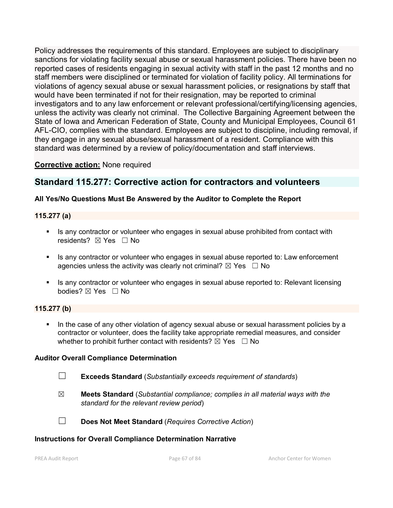Policy addresses the requirements of this standard. Employees are subject to disciplinary sanctions for violating facility sexual abuse or sexual harassment policies. There have been no reported cases of residents engaging in sexual activity with staff in the past 12 months and no staff members were disciplined or terminated for violation of facility policy. All terminations for violations of agency sexual abuse or sexual harassment policies, or resignations by staff that would have been terminated if not for their resignation, may be reported to criminal investigators and to any law enforcement or relevant professional/certifying/licensing agencies, unless the activity was clearly not criminal. The Collective Bargaining Agreement between the State of Iowa and American Federation of State, County and Municipal Employees, Council 61 AFL-CIO, complies with the standard. Employees are subject to discipline, including removal, if they engage in any sexual abuse/sexual harassment of a resident. Compliance with this standard was determined by a review of policy/documentation and staff interviews.

## **Corrective action:** None required

## **Standard 115.277: Corrective action for contractors and volunteers**

## **All Yes/No Questions Must Be Answered by the Auditor to Complete the Report**

## **115.277 (a)**

- Is any contractor or volunteer who engages in sexual abuse prohibited from contact with residents? ⊠ Yes □ No
- Is any contractor or volunteer who engages in sexual abuse reported to: Law enforcement agencies unless the activity was clearly not criminal?  $\boxtimes$  Yes  $\Box$  No
- Is any contractor or volunteer who engages in sexual abuse reported to: Relevant licensing bodies? ⊠ Yes □ No

## **115.277 (b)**

In the case of any other violation of agency sexual abuse or sexual harassment policies by a contractor or volunteer, does the facility take appropriate remedial measures, and consider whether to prohibit further contact with residents?  $\boxtimes$  Yes  $\Box$  No

## **Auditor Overall Compliance Determination**

- ☐ **Exceeds Standard** (*Substantially exceeds requirement of standards*)
- ☒ **Meets Standard** (*Substantial compliance; complies in all material ways with the standard for the relevant review period*)

☐ **Does Not Meet Standard** (*Requires Corrective Action*)

## **Instructions for Overall Compliance Determination Narrative**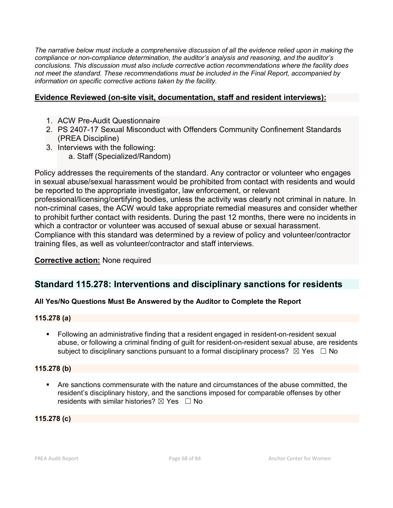*The narrative below must include a comprehensive discussion of all the evidence relied upon in making the compliance or non-compliance determination, the auditor's analysis and reasoning, and the auditor's conclusions. This discussion must also include corrective action recommendations where the facility does not meet the standard. These recommendations must be included in the Final Report, accompanied by information on specific corrective actions taken by the facility.*

## **Evidence Reviewed (on-site visit, documentation, staff and resident interviews):**

- 1. ACW Pre-Audit Questionnaire
- 2. PS 2407-17 Sexual Misconduct with Offenders Community Confinement Standards (PREA Discipline)
- 3. Interviews with the following: a. Staff (Specialized/Random)

Policy addresses the requirements of the standard. Any contractor or volunteer who engages in sexual abuse/sexual harassment would be prohibited from contact with residents and would be reported to the appropriate investigator, law enforcement, or relevant professional/licensing/certifying bodies, unless the activity was clearly not criminal in nature. In non-criminal cases, the ACW would take appropriate remedial measures and consider whether to prohibit further contact with residents. During the past 12 months, there were no incidents in which a contractor or volunteer was accused of sexual abuse or sexual harassment. Compliance with this standard was determined by a review of policy and volunteer/contractor training files, as well as volunteer/contractor and staff interviews.

## **Corrective action:** None required

# **Standard 115.278: Interventions and disciplinary sanctions for residents**

## **All Yes/No Questions Must Be Answered by the Auditor to Complete the Report**

## **115.278 (a)**

 Following an administrative finding that a resident engaged in resident-on-resident sexual abuse, or following a criminal finding of guilt for resident-on-resident sexual abuse, are residents subject to disciplinary sanctions pursuant to a formal disciplinary process?  $\boxtimes$  Yes  $\Box$  No

## **115.278 (b)**

 Are sanctions commensurate with the nature and circumstances of the abuse committed, the resident's disciplinary history, and the sanctions imposed for comparable offenses by other residents with similar histories?  $\boxtimes$  Yes  $\Box$  No

## **115.278 (c)**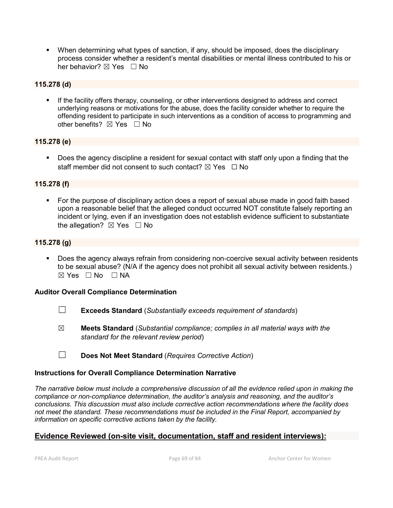When determining what types of sanction, if any, should be imposed, does the disciplinary process consider whether a resident's mental disabilities or mental illness contributed to his or her behavior? ⊠ Yes □ No

## **115.278 (d)**

 If the facility offers therapy, counseling, or other interventions designed to address and correct underlying reasons or motivations for the abuse, does the facility consider whether to require the offending resident to participate in such interventions as a condition of access to programming and other benefits?  $\boxtimes$  Yes  $\Box$  No

## **115.278 (e)**

 Does the agency discipline a resident for sexual contact with staff only upon a finding that the staff member did not consent to such contact?  $\boxtimes$  Yes  $\Box$  No

## **115.278 (f)**

 For the purpose of disciplinary action does a report of sexual abuse made in good faith based upon a reasonable belief that the alleged conduct occurred NOT constitute falsely reporting an incident or lying, even if an investigation does not establish evidence sufficient to substantiate the allegation?  $\boxtimes$  Yes  $\Box$  No

## **115.278 (g)**

 Does the agency always refrain from considering non-coercive sexual activity between residents to be sexual abuse? (N/A if the agency does not prohibit all sexual activity between residents.) ☒ Yes ☐ No ☐ NA

## **Auditor Overall Compliance Determination**

- ☐ **Exceeds Standard** (*Substantially exceeds requirement of standards*)
- ☒ **Meets Standard** (*Substantial compliance; complies in all material ways with the standard for the relevant review period*)
- ☐ **Does Not Meet Standard** (*Requires Corrective Action*)

## **Instructions for Overall Compliance Determination Narrative**

*The narrative below must include a comprehensive discussion of all the evidence relied upon in making the compliance or non-compliance determination, the auditor's analysis and reasoning, and the auditor's conclusions. This discussion must also include corrective action recommendations where the facility does not meet the standard. These recommendations must be included in the Final Report, accompanied by information on specific corrective actions taken by the facility.*

## **Evidence Reviewed (on-site visit, documentation, staff and resident interviews):**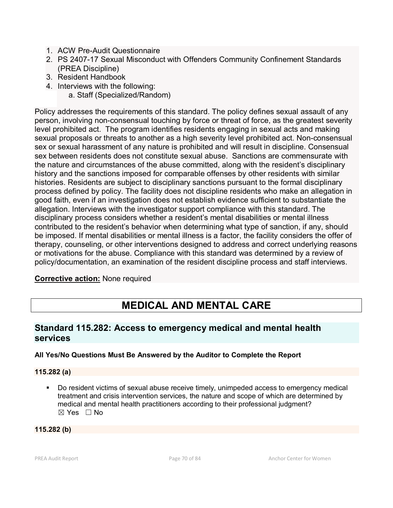- 1. ACW Pre-Audit Questionnaire
- 2. PS 2407-17 Sexual Misconduct with Offenders Community Confinement Standards (PREA Discipline)
- 3. Resident Handbook
- 4. Interviews with the following:
	- a. Staff (Specialized/Random)

Policy addresses the requirements of this standard. The policy defines sexual assault of any person, involving non-consensual touching by force or threat of force, as the greatest severity level prohibited act. The program identifies residents engaging in sexual acts and making sexual proposals or threats to another as a high severity level prohibited act. Non-consensual sex or sexual harassment of any nature is prohibited and will result in discipline. Consensual sex between residents does not constitute sexual abuse. Sanctions are commensurate with the nature and circumstances of the abuse committed, along with the resident's disciplinary history and the sanctions imposed for comparable offenses by other residents with similar histories. Residents are subject to disciplinary sanctions pursuant to the formal disciplinary process defined by policy. The facility does not discipline residents who make an allegation in good faith, even if an investigation does not establish evidence sufficient to substantiate the allegation. Interviews with the investigator support compliance with this standard. The disciplinary process considers whether a resident's mental disabilities or mental illness contributed to the resident's behavior when determining what type of sanction, if any, should be imposed. If mental disabilities or mental illness is a factor, the facility considers the offer of therapy, counseling, or other interventions designed to address and correct underlying reasons or motivations for the abuse. Compliance with this standard was determined by a review of policy/documentation, an examination of the resident discipline process and staff interviews.

## **Corrective action:** None required

# **MEDICAL AND MENTAL CARE**

## **Standard 115.282: Access to emergency medical and mental health services**

## **All Yes/No Questions Must Be Answered by the Auditor to Complete the Report**

## **115.282 (a)**

 Do resident victims of sexual abuse receive timely, unimpeded access to emergency medical treatment and crisis intervention services, the nature and scope of which are determined by medical and mental health practitioners according to their professional judgment? ☒ Yes ☐ No

## **115.282 (b)**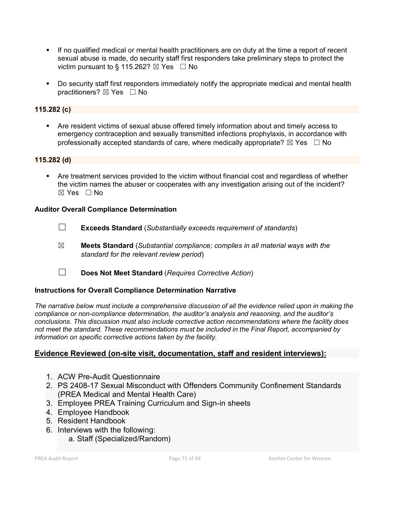- If no qualified medical or mental health practitioners are on duty at the time a report of recent sexual abuse is made, do security staff first responders take preliminary steps to protect the victim pursuant to § 115.262?  $\boxtimes$  Yes  $\Box$  No
- **Do security staff first responders immediately notify the appropriate medical and mental health** practitioners? ⊠ Yes □ No

## **115.282 (c)**

 Are resident victims of sexual abuse offered timely information about and timely access to emergency contraception and sexually transmitted infections prophylaxis, in accordance with professionally accepted standards of care, where medically appropriate?  $\boxtimes$  Yes  $\Box$  No

## **115.282 (d)**

 Are treatment services provided to the victim without financial cost and regardless of whether the victim names the abuser or cooperates with any investigation arising out of the incident?  $\boxtimes$  Yes  $\Box$  No

## **Auditor Overall Compliance Determination**

- ☐ **Exceeds Standard** (*Substantially exceeds requirement of standards*)
- ☒ **Meets Standard** (*Substantial compliance; complies in all material ways with the standard for the relevant review period*)
- ☐ **Does Not Meet Standard** (*Requires Corrective Action*)

## **Instructions for Overall Compliance Determination Narrative**

*The narrative below must include a comprehensive discussion of all the evidence relied upon in making the compliance or non-compliance determination, the auditor's analysis and reasoning, and the auditor's conclusions. This discussion must also include corrective action recommendations where the facility does not meet the standard. These recommendations must be included in the Final Report, accompanied by information on specific corrective actions taken by the facility.*

## **Evidence Reviewed (on-site visit, documentation, staff and resident interviews):**

- 1. ACW Pre-Audit Questionnaire
- 2. PS 2408-17 Sexual Misconduct with Offenders Community Confinement Standards (PREA Medical and Mental Health Care)
- 3. Employee PREA Training Curriculum and Sign-in sheets
- 4. Employee Handbook
- 5. Resident Handbook
- 6. Interviews with the following:
	- a. Staff (Specialized/Random)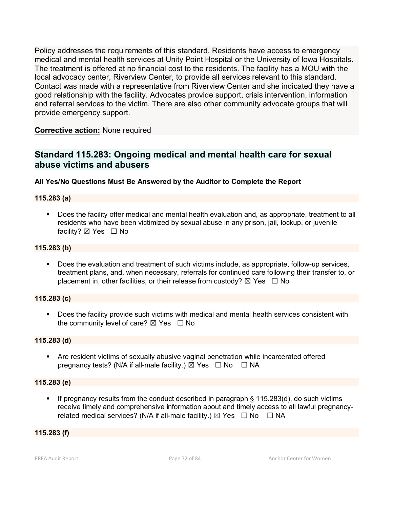Policy addresses the requirements of this standard. Residents have access to emergency medical and mental health services at Unity Point Hospital or the University of Iowa Hospitals. The treatment is offered at no financial cost to the residents. The facility has a MOU with the local advocacy center, Riverview Center, to provide all services relevant to this standard. Contact was made with a representative from Riverview Center and she indicated they have a good relationship with the facility. Advocates provide support, crisis intervention, information and referral services to the victim. There are also other community advocate groups that will provide emergency support.

**Corrective action:** None required

# **Standard 115.283: Ongoing medical and mental health care for sexual abuse victims and abusers**

## **All Yes/No Questions Must Be Answered by the Auditor to Complete the Report**

## **115.283 (a)**

 Does the facility offer medical and mental health evaluation and, as appropriate, treatment to all residents who have been victimized by sexual abuse in any prison, jail, lockup, or juvenile facility?  $\boxtimes$  Yes  $\Box$  No

#### **115.283 (b)**

 Does the evaluation and treatment of such victims include, as appropriate, follow-up services, treatment plans, and, when necessary, referrals for continued care following their transfer to, or placement in, other facilities, or their release from custody?  $\boxtimes$  Yes  $\Box$  No

#### **115.283 (c)**

 Does the facility provide such victims with medical and mental health services consistent with the community level of care?  $\boxtimes$  Yes  $\Box$  No

#### **115.283 (d)**

 Are resident victims of sexually abusive vaginal penetration while incarcerated offered pregnancy tests? (N/A if all-male facility.)  $\boxtimes$  Yes  $\Box$  No  $\Box$  NA

## **115.283 (e)**

 If pregnancy results from the conduct described in paragraph § 115.283(d), do such victims receive timely and comprehensive information about and timely access to all lawful pregnancyrelated medical services? (N/A if all-male facility.)  $\boxtimes$  Yes  $\Box$  No  $\Box$  NA

## **115.283 (f)**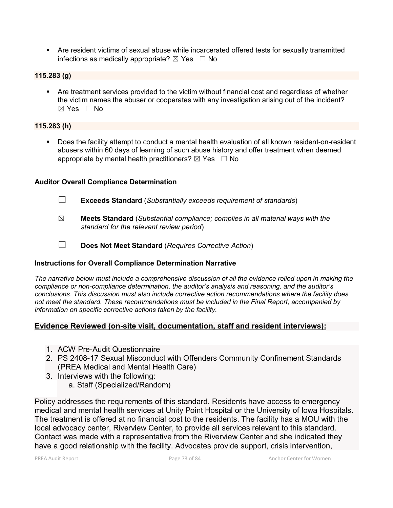Are resident victims of sexual abuse while incarcerated offered tests for sexually transmitted infections as medically appropriate?  $\boxtimes$  Yes  $\Box$  No

## **115.283 (g)**

**•** Are treatment services provided to the victim without financial cost and regardless of whether the victim names the abuser or cooperates with any investigation arising out of the incident?  $\boxtimes$  Yes  $\Box$  No

## **115.283 (h)**

 Does the facility attempt to conduct a mental health evaluation of all known resident-on-resident abusers within 60 days of learning of such abuse history and offer treatment when deemed appropriate by mental health practitioners?  $\boxtimes$  Yes  $\Box$  No

## **Auditor Overall Compliance Determination**

- ☐ **Exceeds Standard** (*Substantially exceeds requirement of standards*)
- ☒ **Meets Standard** (*Substantial compliance; complies in all material ways with the standard for the relevant review period*)
- ☐ **Does Not Meet Standard** (*Requires Corrective Action*)

# **Instructions for Overall Compliance Determination Narrative**

*The narrative below must include a comprehensive discussion of all the evidence relied upon in making the compliance or non-compliance determination, the auditor's analysis and reasoning, and the auditor's conclusions. This discussion must also include corrective action recommendations where the facility does not meet the standard. These recommendations must be included in the Final Report, accompanied by information on specific corrective actions taken by the facility.*

# **Evidence Reviewed (on-site visit, documentation, staff and resident interviews):**

- 1. ACW Pre-Audit Questionnaire
- 2. PS 2408-17 Sexual Misconduct with Offenders Community Confinement Standards (PREA Medical and Mental Health Care)
- 3. Interviews with the following: a. Staff (Specialized/Random)

Policy addresses the requirements of this standard. Residents have access to emergency medical and mental health services at Unity Point Hospital or the University of Iowa Hospitals. The treatment is offered at no financial cost to the residents. The facility has a MOU with the local advocacy center, Riverview Center, to provide all services relevant to this standard. Contact was made with a representative from the Riverview Center and she indicated they have a good relationship with the facility. Advocates provide support, crisis intervention,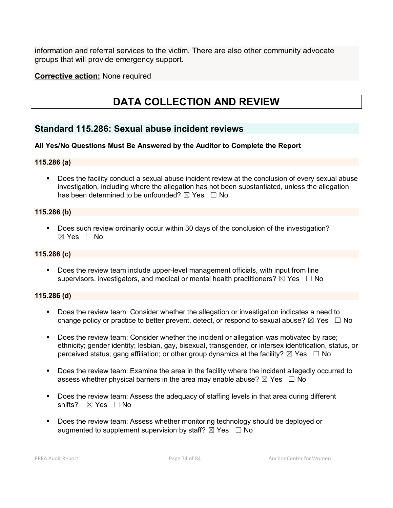information and referral services to the victim. There are also other community advocate groups that will provide emergency support.

**Corrective action:** None required

# **DATA COLLECTION AND REVIEW**

# **Standard 115.286: Sexual abuse incident reviews**

## **All Yes/No Questions Must Be Answered by the Auditor to Complete the Report**

#### **115.286 (a)**

 Does the facility conduct a sexual abuse incident review at the conclusion of every sexual abuse investigation, including where the allegation has not been substantiated, unless the allegation has been determined to be unfounded?  $\boxtimes$  Yes  $\Box$  No

#### **115.286 (b)**

Does such review ordinarily occur within 30 days of the conclusion of the investigation? ☒ Yes ☐ No

#### **115.286 (c)**

 Does the review team include upper-level management officials, with input from line supervisors, investigators, and medical or mental health practitioners?  $\boxtimes$  Yes  $\Box$  No

#### **115.286 (d)**

- Does the review team: Consider whether the allegation or investigation indicates a need to change policy or practice to better prevent, detect, or respond to sexual abuse?  $\boxtimes$  Yes  $\Box$  No
- Does the review team: Consider whether the incident or allegation was motivated by race; ethnicity; gender identity; lesbian, gay, bisexual, transgender, or intersex identification, status, or perceived status; gang affiliation; or other group dynamics at the facility?  $\boxtimes$  Yes  $\Box$  No
- Does the review team: Examine the area in the facility where the incident allegedly occurred to assess whether physical barriers in the area may enable abuse?  $\boxtimes$  Yes  $\Box$  No
- Does the review team: Assess the adequacy of staffing levels in that area during different shifts? ⊠ Yes □ No
- Does the review team: Assess whether monitoring technology should be deployed or augmented to supplement supervision by staff?  $\boxtimes$  Yes  $\Box$  No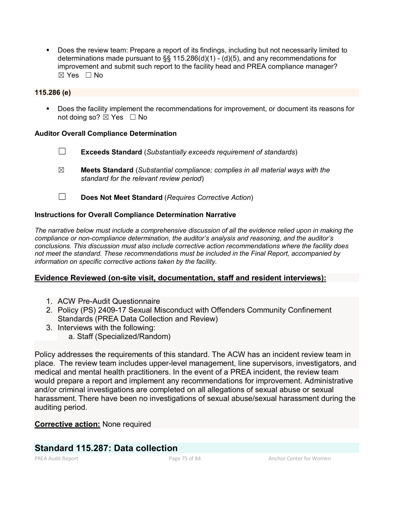Does the review team: Prepare a report of its findings, including but not necessarily limited to determinations made pursuant to  $\S$  115.286(d)(1) - (d)(5), and any recommendations for improvement and submit such report to the facility head and PREA compliance manager?  $\boxtimes$  Yes  $\Box$  No

#### **115.286 (e)**

**Does the facility implement the recommendations for improvement, or document its reasons for** not doing so?  $\boxtimes$  Yes  $\Box$  No

## **Auditor Overall Compliance Determination**

- ☐ **Exceeds Standard** (*Substantially exceeds requirement of standards*)
- ☒ **Meets Standard** (*Substantial compliance; complies in all material ways with the standard for the relevant review period*)
- ☐ **Does Not Meet Standard** (*Requires Corrective Action*)

#### **Instructions for Overall Compliance Determination Narrative**

*The narrative below must include a comprehensive discussion of all the evidence relied upon in making the compliance or non-compliance determination, the auditor's analysis and reasoning, and the auditor's conclusions. This discussion must also include corrective action recommendations where the facility does not meet the standard. These recommendations must be included in the Final Report, accompanied by information on specific corrective actions taken by the facility.*

# **Evidence Reviewed (on-site visit, documentation, staff and resident interviews):**

- 1. ACW Pre-Audit Questionnaire
- 2. Policy (PS) 2409-17 Sexual Misconduct with Offenders Community Confinement Standards (PREA Data Collection and Review)
- 3. Interviews with the following:
	- a. Staff (Specialized/Random)

Policy addresses the requirements of this standard. The ACW has an incident review team in place. The review team includes upper-level management, line supervisors, investigators, and medical and mental health practitioners. In the event of a PREA incident, the review team would prepare a report and implement any recommendations for improvement. Administrative and/or criminal investigations are completed on all allegations of sexual abuse or sexual harassment. There have been no investigations of sexual abuse/sexual harassment during the auditing period.

# **Corrective action:** None required

# **Standard 115.287: Data collection**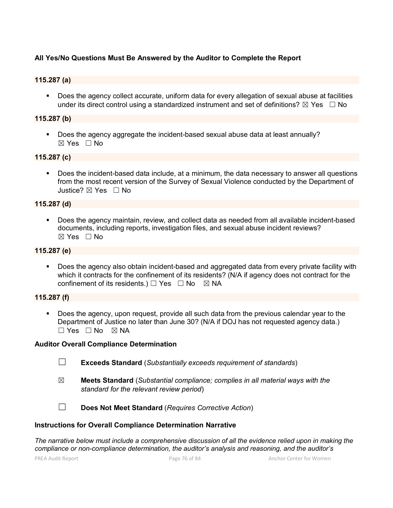## **All Yes/No Questions Must Be Answered by the Auditor to Complete the Report**

#### **115.287 (a)**

 Does the agency collect accurate, uniform data for every allegation of sexual abuse at facilities under its direct control using a standardized instrument and set of definitions?  $\boxtimes$  Yes  $\Box$  No

#### **115.287 (b)**

Does the agency aggregate the incident-based sexual abuse data at least annually?  $\boxtimes$  Yes  $\Box$  No

#### **115.287 (c)**

Does the incident-based data include, at a minimum, the data necessary to answer all questions from the most recent version of the Survey of Sexual Violence conducted by the Department of Justice? ☒ Yes ☐ No

#### **115.287 (d)**

 Does the agency maintain, review, and collect data as needed from all available incident-based documents, including reports, investigation files, and sexual abuse incident reviews? ☒ Yes ☐ No

#### **115.287 (e)**

 Does the agency also obtain incident-based and aggregated data from every private facility with which it contracts for the confinement of its residents? (N/A if agency does not contract for the confinement of its residents.)  $\Box$  Yes  $\Box$  No  $\boxtimes$  NA

#### **115.287 (f)**

**Does the agency, upon request, provide all such data from the previous calendar year to the** Department of Justice no later than June 30? (N/A if DOJ has not requested agency data.)  $\Box$  Yes  $\Box$  No  $\boxtimes$  NA

#### **Auditor Overall Compliance Determination**

- ☐ **Exceeds Standard** (*Substantially exceeds requirement of standards*)
- ☒ **Meets Standard** (*Substantial compliance; complies in all material ways with the standard for the relevant review period*)

☐ **Does Not Meet Standard** (*Requires Corrective Action*)

#### **Instructions for Overall Compliance Determination Narrative**

*The narrative below must include a comprehensive discussion of all the evidence relied upon in making the compliance or non-compliance determination, the auditor's analysis and reasoning, and the auditor's*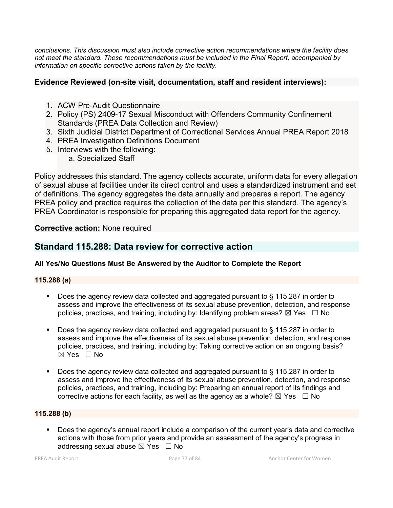*conclusions. This discussion must also include corrective action recommendations where the facility does not meet the standard. These recommendations must be included in the Final Report, accompanied by information on specific corrective actions taken by the facility.*

# **Evidence Reviewed (on-site visit, documentation, staff and resident interviews):**

- 1. ACW Pre-Audit Questionnaire
- 2. Policy (PS) 2409-17 Sexual Misconduct with Offenders Community Confinement Standards (PREA Data Collection and Review)
- 3. Sixth Judicial District Department of Correctional Services Annual PREA Report 2018
- 4. PREA Investigation Definitions Document
- 5. Interviews with the following:
	- a. Specialized Staff

Policy addresses this standard. The agency collects accurate, uniform data for every allegation of sexual abuse at facilities under its direct control and uses a standardized instrument and set of definitions. The agency aggregates the data annually and prepares a report. The agency PREA policy and practice requires the collection of the data per this standard. The agency's PREA Coordinator is responsible for preparing this aggregated data report for the agency.

# **Corrective action:** None required

# **Standard 115.288: Data review for corrective action**

# **All Yes/No Questions Must Be Answered by the Auditor to Complete the Report**

# **115.288 (a)**

- Does the agency review data collected and aggregated pursuant to § 115.287 in order to assess and improve the effectiveness of its sexual abuse prevention, detection, and response policies, practices, and training, including by: Identifying problem areas?  $\boxtimes$  Yes  $\Box$  No
- Does the agency review data collected and aggregated pursuant to § 115.287 in order to assess and improve the effectiveness of its sexual abuse prevention, detection, and response policies, practices, and training, including by: Taking corrective action on an ongoing basis?  $\boxtimes$  Yes  $\Box$  No
- Does the agency review data collected and aggregated pursuant to § 115.287 in order to assess and improve the effectiveness of its sexual abuse prevention, detection, and response policies, practices, and training, including by: Preparing an annual report of its findings and corrective actions for each facility, as well as the agency as a whole?  $\boxtimes$  Yes  $\Box$  No

## **115.288 (b)**

 Does the agency's annual report include a comparison of the current year's data and corrective actions with those from prior years and provide an assessment of the agency's progress in addressing sexual abuse  $\boxtimes$  Yes  $\Box$  No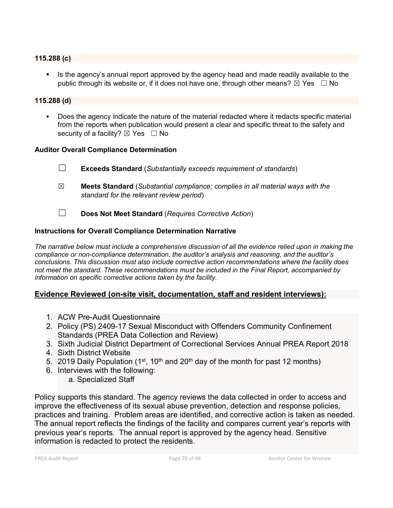#### **115.288 (c)**

 Is the agency's annual report approved by the agency head and made readily available to the public through its website or, if it does not have one, through other means?  $\boxtimes$  Yes  $\Box$  No

#### **115.288 (d)**

 Does the agency indicate the nature of the material redacted where it redacts specific material from the reports when publication would present a clear and specific threat to the safety and security of a facility?  $\boxtimes$  Yes  $\Box$  No

#### **Auditor Overall Compliance Determination**

- ☐ **Exceeds Standard** (*Substantially exceeds requirement of standards*)
- ☒ **Meets Standard** (*Substantial compliance; complies in all material ways with the standard for the relevant review period*)
- ☐ **Does Not Meet Standard** (*Requires Corrective Action*)

#### **Instructions for Overall Compliance Determination Narrative**

*The narrative below must include a comprehensive discussion of all the evidence relied upon in making the compliance or non-compliance determination, the auditor's analysis and reasoning, and the auditor's conclusions. This discussion must also include corrective action recommendations where the facility does not meet the standard. These recommendations must be included in the Final Report, accompanied by information on specific corrective actions taken by the facility.*

#### **Evidence Reviewed (on-site visit, documentation, staff and resident interviews):**

- 1. ACW Pre-Audit Questionnaire
- 2. Policy (PS) 2409-17 Sexual Misconduct with Offenders Community Confinement Standards (PREA Data Collection and Review)
- 3. Sixth Judicial District Department of Correctional Services Annual PREA Report 2018
- 4. Sixth District Website
- 5. 2019 Daily Population (1<sup>st</sup>, 10<sup>th</sup> and 20<sup>th</sup> day of the month for past 12 months)
- 6. Interviews with the following:
	- a. Specialized Staff

Policy supports this standard. The agency reviews the data collected in order to access and improve the effectiveness of its sexual abuse prevention, detection and response policies, practices and training. Problem areas are identified, and corrective action is taken as needed. The annual report reflects the findings of the facility and compares current year's reports with previous year's reports. The annual report is approved by the agency head. Sensitive information is redacted to protect the residents.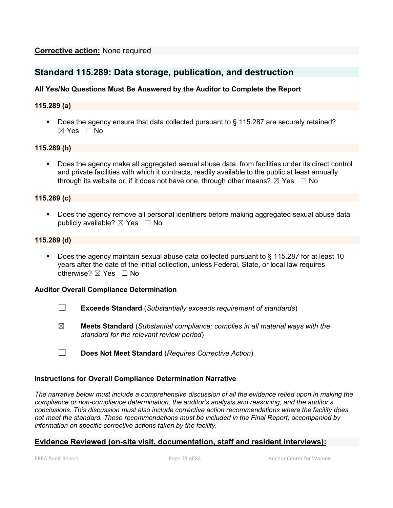# **Standard 115.289: Data storage, publication, and destruction**

## **All Yes/No Questions Must Be Answered by the Auditor to Complete the Report**

#### **115.289 (a)**

Does the agency ensure that data collected pursuant to § 115.287 are securely retained?  $\boxtimes$  Yes  $\Box$  No

#### **115.289 (b)**

 Does the agency make all aggregated sexual abuse data, from facilities under its direct control and private facilities with which it contracts, readily available to the public at least annually through its website or, if it does not have one, through other means?  $\boxtimes$  Yes  $\Box$  No

#### **115.289 (c)**

**Does the agency remove all personal identifiers before making aggregated sexual abuse data** publicly available?  $\boxtimes$  Yes  $\Box$  No

#### **115.289 (d)**

Does the agency maintain sexual abuse data collected pursuant to  $\S$  115.287 for at least 10 years after the date of the initial collection, unless Federal, State, or local law requires otherwise?  $\boxtimes$  Yes  $\Box$  No

#### **Auditor Overall Compliance Determination**

- ☐ **Exceeds Standard** (*Substantially exceeds requirement of standards*)
- ☒ **Meets Standard** (*Substantial compliance; complies in all material ways with the standard for the relevant review period*)
- ☐ **Does Not Meet Standard** (*Requires Corrective Action*)

#### **Instructions for Overall Compliance Determination Narrative**

*The narrative below must include a comprehensive discussion of all the evidence relied upon in making the compliance or non-compliance determination, the auditor's analysis and reasoning, and the auditor's conclusions. This discussion must also include corrective action recommendations where the facility does not meet the standard. These recommendations must be included in the Final Report, accompanied by information on specific corrective actions taken by the facility.*

# **Evidence Reviewed (on-site visit, documentation, staff and resident interviews):**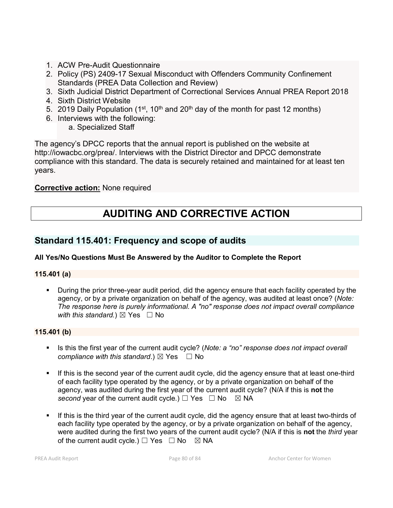- 1. ACW Pre-Audit Questionnaire
- 2. Policy (PS) 2409-17 Sexual Misconduct with Offenders Community Confinement Standards (PREA Data Collection and Review)
- 3. Sixth Judicial District Department of Correctional Services Annual PREA Report 2018
- 4. Sixth District Website
- 5. 2019 Daily Population (1<sup>st</sup>, 10<sup>th</sup> and 20<sup>th</sup> day of the month for past 12 months)
- 6. Interviews with the following:

a. Specialized Staff

The agency's DPCC reports that the annual report is published on the website at http://iowacbc.org/prea/. Interviews with the District Director and DPCC demonstrate compliance with this standard. The data is securely retained and maintained for at least ten years.

# **Corrective action:** None required

# **AUDITING AND CORRECTIVE ACTION**

# **Standard 115.401: Frequency and scope of audits**

# **All Yes/No Questions Must Be Answered by the Auditor to Complete the Report**

# **115.401 (a)**

 During the prior three-year audit period, did the agency ensure that each facility operated by the agency, or by a private organization on behalf of the agency, was audited at least once? (*Note: The response here is purely informational. A "no" response does not impact overall compliance with this standard.*)  $\boxtimes$  Yes  $\Box$  No

# **115.401 (b)**

- Is this the first year of the current audit cycle? (*Note: a "no" response does not impact overall compliance with this standard.*)  $\boxtimes$  Yes  $\Box$  No
- If this is the second year of the current audit cycle, did the agency ensure that at least one-third of each facility type operated by the agency, or by a private organization on behalf of the agency, was audited during the first year of the current audit cycle? (N/A if this is **not** the *second* year of the current audit cycle.)  $\Box$  Yes  $\Box$  No  $\boxtimes$  NA
- If this is the third year of the current audit cycle, did the agency ensure that at least two-thirds of each facility type operated by the agency, or by a private organization on behalf of the agency, were audited during the first two years of the current audit cycle? (N/A if this is **not** the *third* year of the current audit cycle.)  $\Box$  Yes  $\Box$  No  $\boxtimes$  NA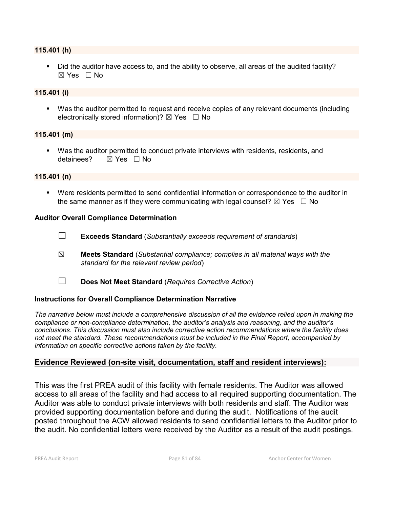#### **115.401 (h)**

 Did the auditor have access to, and the ability to observe, all areas of the audited facility?  $\boxtimes$  Yes  $\Box$  No

#### **115.401 (i)**

 Was the auditor permitted to request and receive copies of any relevant documents (including electronically stored information)?  $\boxtimes$  Yes  $\Box$  No

#### **115.401 (m)**

 Was the auditor permitted to conduct private interviews with residents, residents, and detainees?  $⊠$  Yes  $□$  No

#### **115.401 (n)**

 Were residents permitted to send confidential information or correspondence to the auditor in the same manner as if they were communicating with legal counsel?  $\boxtimes$  Yes  $\Box$  No

#### **Auditor Overall Compliance Determination**

- ☐ **Exceeds Standard** (*Substantially exceeds requirement of standards*)
- ☒ **Meets Standard** (*Substantial compliance; complies in all material ways with the standard for the relevant review period*)
- ☐ **Does Not Meet Standard** (*Requires Corrective Action*)

#### **Instructions for Overall Compliance Determination Narrative**

*The narrative below must include a comprehensive discussion of all the evidence relied upon in making the compliance or non-compliance determination, the auditor's analysis and reasoning, and the auditor's conclusions. This discussion must also include corrective action recommendations where the facility does not meet the standard. These recommendations must be included in the Final Report, accompanied by information on specific corrective actions taken by the facility.*

#### **Evidence Reviewed (on-site visit, documentation, staff and resident interviews):**

This was the first PREA audit of this facility with female residents. The Auditor was allowed access to all areas of the facility and had access to all required supporting documentation. The Auditor was able to conduct private interviews with both residents and staff. The Auditor was provided supporting documentation before and during the audit. Notifications of the audit posted throughout the ACW allowed residents to send confidential letters to the Auditor prior to the audit. No confidential letters were received by the Auditor as a result of the audit postings.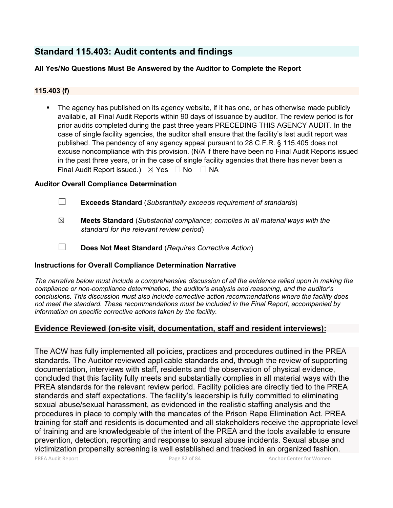# **Standard 115.403: Audit contents and findings**

## **All Yes/No Questions Must Be Answered by the Auditor to Complete the Report**

#### **115.403 (f)**

 The agency has published on its agency website, if it has one, or has otherwise made publicly available, all Final Audit Reports within 90 days of issuance by auditor. The review period is for prior audits completed during the past three years PRECEDING THIS AGENCY AUDIT. In the case of single facility agencies, the auditor shall ensure that the facility's last audit report was published. The pendency of any agency appeal pursuant to 28 C.F.R. § 115.405 does not excuse noncompliance with this provision. (N/A if there have been no Final Audit Reports issued in the past three years, or in the case of single facility agencies that there has never been a Final Audit Report issued.)  $\boxtimes$  Yes  $\Box$  No  $\Box$  NA

#### **Auditor Overall Compliance Determination**

- ☐ **Exceeds Standard** (*Substantially exceeds requirement of standards*)
- ☒ **Meets Standard** (*Substantial compliance; complies in all material ways with the standard for the relevant review period*)
- ☐ **Does Not Meet Standard** (*Requires Corrective Action*)

#### **Instructions for Overall Compliance Determination Narrative**

*The narrative below must include a comprehensive discussion of all the evidence relied upon in making the compliance or non-compliance determination, the auditor's analysis and reasoning, and the auditor's conclusions. This discussion must also include corrective action recommendations where the facility does not meet the standard. These recommendations must be included in the Final Report, accompanied by information on specific corrective actions taken by the facility.*

#### **Evidence Reviewed (on-site visit, documentation, staff and resident interviews):**

The ACW has fully implemented all policies, practices and procedures outlined in the PREA standards. The Auditor reviewed applicable standards and, through the review of supporting documentation, interviews with staff, residents and the observation of physical evidence, concluded that this facility fully meets and substantially complies in all material ways with the PREA standards for the relevant review period. Facility policies are directly tied to the PREA standards and staff expectations. The facility's leadership is fully committed to eliminating sexual abuse/sexual harassment, as evidenced in the realistic staffing analysis and the procedures in place to comply with the mandates of the Prison Rape Elimination Act. PREA training for staff and residents is documented and all stakeholders receive the appropriate level of training and are knowledgeable of the intent of the PREA and the tools available to ensure prevention, detection, reporting and response to sexual abuse incidents. Sexual abuse and victimization propensity screening is well established and tracked in an organized fashion.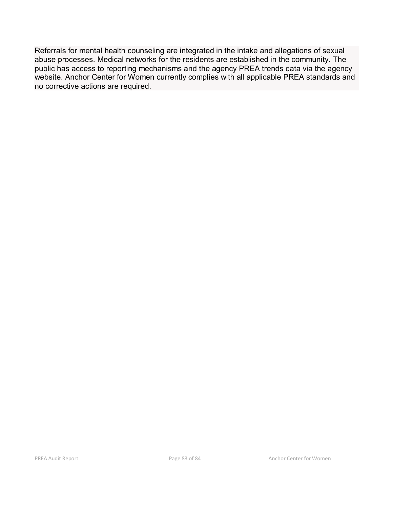Referrals for mental health counseling are integrated in the intake and allegations of sexual abuse processes. Medical networks for the residents are established in the community. The public has access to reporting mechanisms and the agency PREA trends data via the agency website. Anchor Center for Women currently complies with all applicable PREA standards and no corrective actions are required.